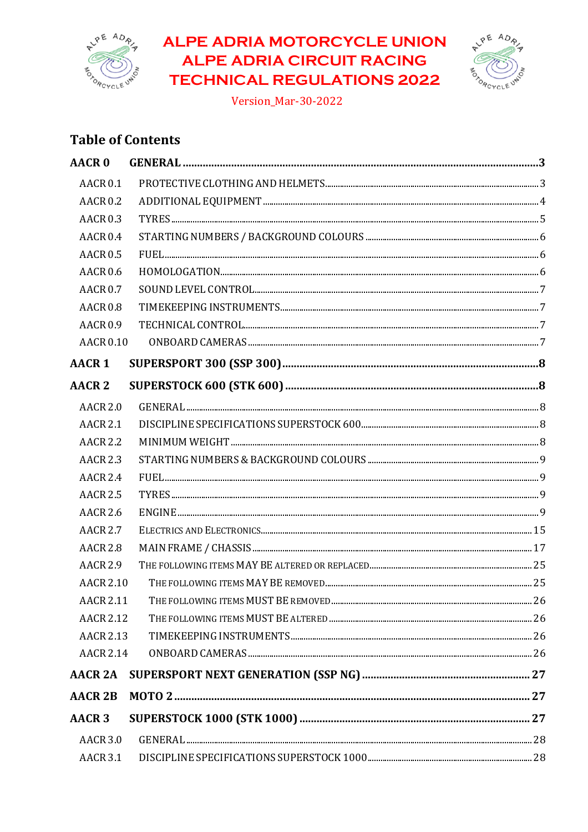

# **ALPE ADRIA MOTORCYCLE UNION ALPE ADRIA CIRCUIT RACING TECHNICAL REGULATIONS 2022**



Version\_Mar-30-2022

# **Table of Contents**

| <b>AACR 0</b>       |  |
|---------------------|--|
| AACR <sub>0.1</sub> |  |
| <b>AACR 0.2</b>     |  |
| <b>AACR 0.3</b>     |  |
| AACR <sub>0.4</sub> |  |
| <b>AACR 0.5</b>     |  |
| <b>AACR 0.6</b>     |  |
| <b>AACR 0.7</b>     |  |
| <b>AACR 0.8</b>     |  |
| <b>AACR 0.9</b>     |  |
| <b>AACR 0.10</b>    |  |
| <b>AACR1</b>        |  |
| <b>AACR 2</b>       |  |
| <b>AACR 2.0</b>     |  |
| <b>AACR 2.1</b>     |  |
| <b>AACR 2.2</b>     |  |
| <b>AACR 2.3</b>     |  |
| <b>AACR 2.4</b>     |  |
| <b>AACR 2.5</b>     |  |
| <b>AACR 2.6</b>     |  |
| <b>AACR 2.7</b>     |  |
| <b>AACR 2.8</b>     |  |
| <b>AACR 2.9</b>     |  |
| <b>AACR 2.10</b>    |  |
| <b>AACR 2.11</b>    |  |
| <b>AACR 2.12</b>    |  |
| <b>AACR 2.13</b>    |  |
| <b>AACR 2.14</b>    |  |
| <b>AACR 2A</b>      |  |
| <b>AACR 2B</b>      |  |
| <b>AACR 3</b>       |  |
| <b>AACR 3.0</b>     |  |
| <b>AACR 3.1</b>     |  |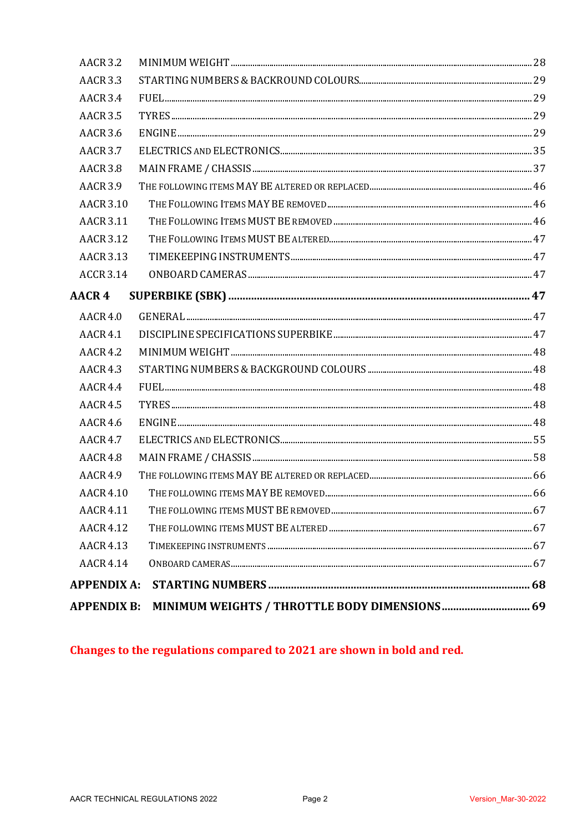| <b>AACR 3.2</b>    |                                               |  |
|--------------------|-----------------------------------------------|--|
| <b>AACR 3.3</b>    |                                               |  |
| <b>AACR 3.4</b>    |                                               |  |
| <b>AACR 3.5</b>    |                                               |  |
| <b>AACR 3.6</b>    |                                               |  |
| <b>AACR 3.7</b>    |                                               |  |
| <b>AACR 3.8</b>    |                                               |  |
| <b>AACR 3.9</b>    |                                               |  |
| <b>AACR 3.10</b>   |                                               |  |
| <b>AACR 3.11</b>   |                                               |  |
| <b>AACR 3.12</b>   |                                               |  |
| <b>AACR 3.13</b>   |                                               |  |
| <b>ACCR 3.14</b>   |                                               |  |
| AACR 4             |                                               |  |
| <b>AACR 4.0</b>    |                                               |  |
| <b>AACR 4.1</b>    |                                               |  |
| <b>AACR 4.2</b>    |                                               |  |
| <b>AACR 4.3</b>    |                                               |  |
| <b>AACR 4.4</b>    |                                               |  |
| <b>AACR 4.5</b>    |                                               |  |
| <b>AACR 4.6</b>    |                                               |  |
| <b>AACR 4.7</b>    |                                               |  |
| <b>AACR 4.8</b>    |                                               |  |
| <b>AACR 4.9</b>    |                                               |  |
| <b>AACR 4.10</b>   |                                               |  |
| <b>AACR 4.11</b>   |                                               |  |
| <b>AACR 4.12</b>   |                                               |  |
| <b>AACR 4.13</b>   |                                               |  |
| <b>AACR 4.14</b>   |                                               |  |
| <b>APPENDIX A:</b> |                                               |  |
| <b>APPENDIX B:</b> | MINIMUM WEIGHTS / THROTTLE BODY DIMENSIONS 69 |  |
|                    |                                               |  |

Changes to the regulations compared to 2021 are shown in bold and red.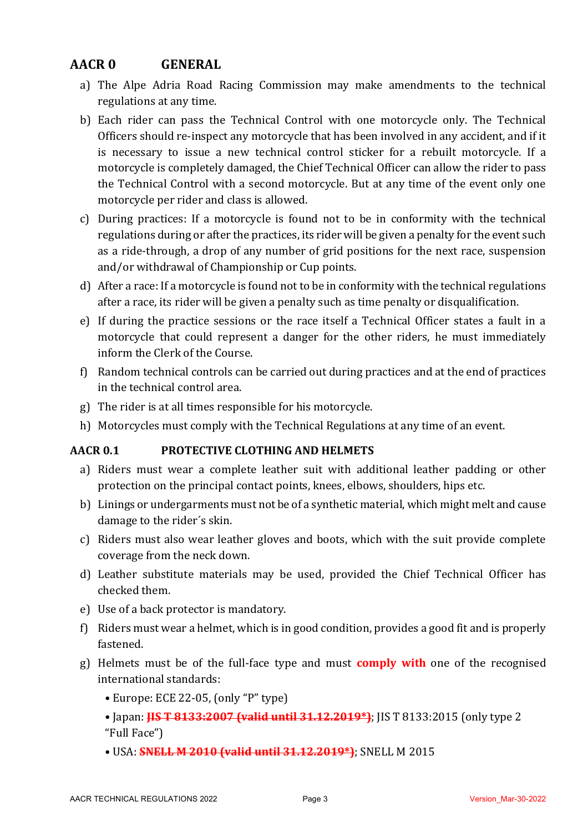# **AACR 0 GENERAL**

- a) The Alpe Adria Road Racing Commission may make amendments to the technical regulations at any time.
- b) Each rider can pass the Technical Control with one motorcycle only. The Technical Officers should re-inspect any motorcycle that has been involved in any accident, and if it is necessary to issue a new technical control sticker for a rebuilt motorcycle. If a motorcycle is completely damaged, the Chief Technical Officer can allow the rider to pass the Technical Control with a second motorcycle. But at any time of the event only one motorcycle per rider and class is allowed.
- c) During practices: If a motorcycle is found not to be in conformity with the technical regulations during or after the practices, its rider will be given a penalty for the event such as a ride-through, a drop of any number of grid positions for the next race, suspension and/or withdrawal of Championship or Cup points.
- d) After a race: If a motorcycle is found not to be in conformity with the technical regulations after a race, its rider will be given a penalty such as time penalty or disqualification.
- e) If during the practice sessions or the race itself a Technical Officer states a fault in a motorcycle that could represent a danger for the other riders, he must immediately inform the Clerk of the Course.
- f) Random technical controls can be carried out during practices and at the end of practices in the technical control area.
- $g$ ) The rider is at all times responsible for his motorcycle.
- h) Motorcycles must comply with the Technical Regulations at any time of an event.

#### **AACR 0.1 PROTECTIVE CLOTHING AND HELMETS**

- a) Riders must wear a complete leather suit with additional leather padding or other protection on the principal contact points, knees, elbows, shoulders, hips etc.
- b) Linings or undergarments must not be of a synthetic material, which might melt and cause damage to the rider's skin.
- c) Riders must also wear leather gloves and boots, which with the suit provide complete coverage from the neck down.
- d) Leather substitute materials may be used, provided the Chief Technical Officer has checked them.
- e) Use of a back protector is mandatory.
- f) Riders must wear a helmet, which is in good condition, provides a good fit and is properly fastened.
- g) Helmets must be of the full-face type and must **comply with** one of the recognised international standards:
	- Europe: ECE 22-05, (only "P" type)
	- Japan: **HS T 8133:2007 (valid until 31.12.2019\*)**; JIS T 8133:2015 (only type 2 "Full Face")
	- USA: **SNELL M 2010 (valid until 31.12.2019\*)**; SNELL M 2015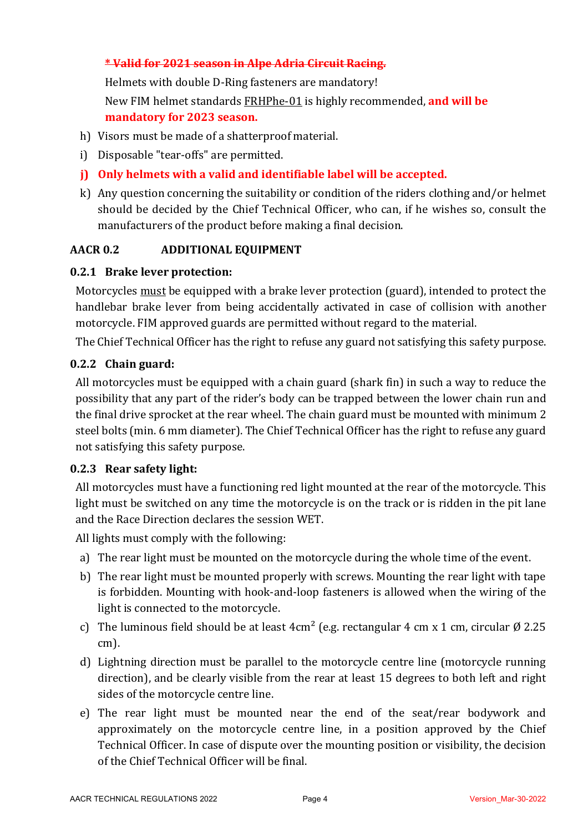### **\* Valid for 2021 season in Alpe Adria Circuit Racing.**

Helmets with double D-Ring fasteners are mandatory! New FIM helmet standards **FRHPhe-01** is highly recommended, and will be **mandatory for 2023 season.** 

- h) Visors must be made of a shatterproof material.
- i) Disposable "tear-offs" are permitted.
- **j)** Only helmets with a valid and identifiable label will be accepted.
- k) Any question concerning the suitability or condition of the riders clothing and/or helmet should be decided by the Chief Technical Officer, who can, if he wishes so, consult the manufacturers of the product before making a final decision.

### **AACR 0.2 ADDITIONAL EQUIPMENT**

### **0.2.1 Brake lever protection:**

Motorcycles must be equipped with a brake lever protection (guard), intended to protect the handlebar brake lever from being accidentally activated in case of collision with another motorcycle. FIM approved guards are permitted without regard to the material.

The Chief Technical Officer has the right to refuse any guard not satisfying this safety purpose.

#### **0.2.2 Chain guard:**

All motorcycles must be equipped with a chain guard (shark fin) in such a way to reduce the possibility that any part of the rider's body can be trapped between the lower chain run and the final drive sprocket at the rear wheel. The chain guard must be mounted with minimum 2 steel bolts (min. 6 mm diameter). The Chief Technical Officer has the right to refuse any guard not satisfying this safety purpose.

#### **0.2.3 Rear safety light:**

All motorcycles must have a functioning red light mounted at the rear of the motorcycle. This light must be switched on any time the motorcycle is on the track or is ridden in the pit lane and the Race Direction declares the session WET.

All lights must comply with the following:

- a) The rear light must be mounted on the motorcycle during the whole time of the event.
- b) The rear light must be mounted properly with screws. Mounting the rear light with tape is forbidden. Mounting with hook-and-loop fasteners is allowed when the wiring of the light is connected to the motorcycle.
- c) The luminous field should be at least  $4 \text{ cm}^2$  (e.g. rectangular 4 cm x 1 cm, circular Ø 2.25 cm).
- d) Lightning direction must be parallel to the motorcycle centre line (motorcycle running direction), and be clearly visible from the rear at least 15 degrees to both left and right sides of the motorcycle centre line.
- e) The rear light must be mounted near the end of the seat/rear bodywork and approximately on the motorcycle centre line, in a position approved by the Chief Technical Officer. In case of dispute over the mounting position or visibility, the decision of the Chief Technical Officer will be final.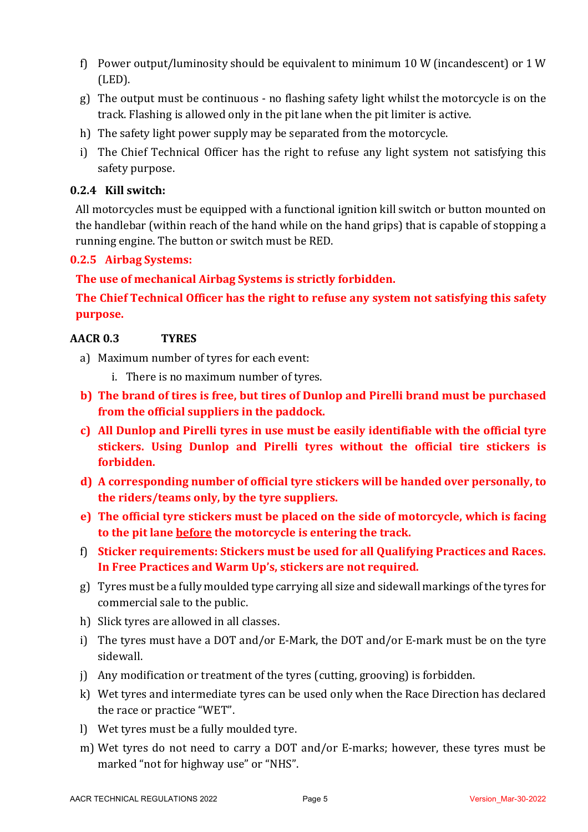- f) Power output/luminosity should be equivalent to minimum 10 W (incandescent) or 1 W (LED).
- g) The output must be continuous no flashing safety light whilst the motorcycle is on the track. Flashing is allowed only in the pit lane when the pit limiter is active.
- h) The safety light power supply may be separated from the motorcycle.
- i) The Chief Technical Officer has the right to refuse any light system not satisfying this safety purpose.

### **0.2.4 Kill switch:**

All motorcycles must be equipped with a functional ignition kill switch or button mounted on the handlebar (within reach of the hand while on the hand grips) that is capable of stopping a running engine. The button or switch must be RED.

### **0.2.5 Airbag Systems:**

The use of mechanical Airbag Systems is strictly forbidden.

The Chief Technical Officer has the right to refuse any system not satisfying this safety **purpose.**

### **AACR 0.3 TYRES**

- a) Maximum number of tyres for each event:
	- i. There is no maximum number of tyres.
- **b)** The brand of tires is free, but tires of Dunlop and Pirelli brand must be purchased from the official suppliers in the paddock.
- **c)** All Dunlop and Pirelli tyres in use must be easily identifiable with the official tyre **stickers.** Using Dunlop and Pirelli tyres without the official tire stickers is **forbidden.**
- **d)** A corresponding number of official tyre stickers will be handed over personally, to **the riders/teams only, by the tyre suppliers.**
- **e)** The official tyre stickers must be placed on the side of motorcycle, which is facing **to the pit lane before the motorcycle is entering the track.**
- f) Sticker requirements: Stickers must be used for all Qualifying Practices and Races. In Free Practices and Warm Up's, stickers are not required.
- g) Tyres must be a fully moulded type carrying all size and sidewall markings of the tyres for commercial sale to the public.
- h) Slick tyres are allowed in all classes.
- i) The tyres must have a DOT and/or E-Mark, the DOT and/or E-mark must be on the tyre sidewall.
- j) Any modification or treatment of the tyres (cutting, grooving) is forbidden.
- k) Wet tyres and intermediate tyres can be used only when the Race Direction has declared the race or practice "WET".
- l) Wet tyres must be a fully moulded tyre.
- m) Wet tyres do not need to carry a DOT and/or E-marks; however, these tyres must be marked "not for highway use" or "NHS".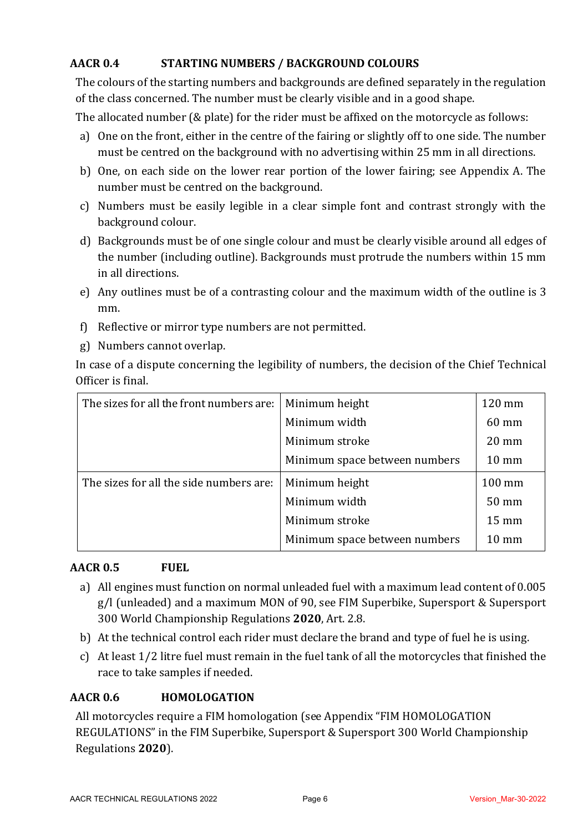# **AACR 0.4 STARTING NUMBERS / BACKGROUND COLOURS**

The colours of the starting numbers and backgrounds are defined separately in the regulation of the class concerned. The number must be clearly visible and in a good shape.

The allocated number ( $&$  plate) for the rider must be affixed on the motorcycle as follows:

- a) One on the front, either in the centre of the fairing or slightly off to one side. The number must be centred on the background with no advertising within 25 mm in all directions.
- b) One, on each side on the lower rear portion of the lower fairing; see Appendix A. The number must be centred on the background.
- c) Numbers must be easily legible in a clear simple font and contrast strongly with the background colour.
- d) Backgrounds must be of one single colour and must be clearly visible around all edges of the number (including outline). Backgrounds must protrude the numbers within 15 mm in all directions.
- e) Any outlines must be of a contrasting colour and the maximum width of the outline is 3 mm.
- f) Reflective or mirror type numbers are not permitted.
- g) Numbers cannot overlap.

In case of a dispute concerning the legibility of numbers, the decision of the Chief Technical Officer is final.

| The sizes for all the front numbers are: | Minimum height                | 120 mm          |
|------------------------------------------|-------------------------------|-----------------|
|                                          | Minimum width                 | 60 mm           |
|                                          | Minimum stroke                | $20 \text{ mm}$ |
|                                          | Minimum space between numbers | $10 \text{ mm}$ |
| The sizes for all the side numbers are:  | Minimum height                | 100 mm          |
|                                          | Minimum width                 | 50 mm           |
|                                          | Minimum stroke                | $15 \text{ mm}$ |
|                                          | Minimum space between numbers | $10 \text{ mm}$ |

# **AACR 0.5 FUEL**

- a) All engines must function on normal unleaded fuel with a maximum lead content of 0.005 g/l (unleaded) and a maximum MON of 90, see FIM Superbike, Supersport & Supersport 300 World Championship Regulations **2020**, Art. 2.8.
- b) At the technical control each rider must declare the brand and type of fuel he is using.
- c) At least 1/2 litre fuel must remain in the fuel tank of all the motorcycles that finished the race to take samples if needed.

# **AACR 0.6 HOMOLOGATION**

All motorcycles require a FIM homologation (see Appendix "FIM HOMOLOGATION REGULATIONS" in the FIM Superbike, Supersport & Supersport 300 World Championship Regulations **2020**).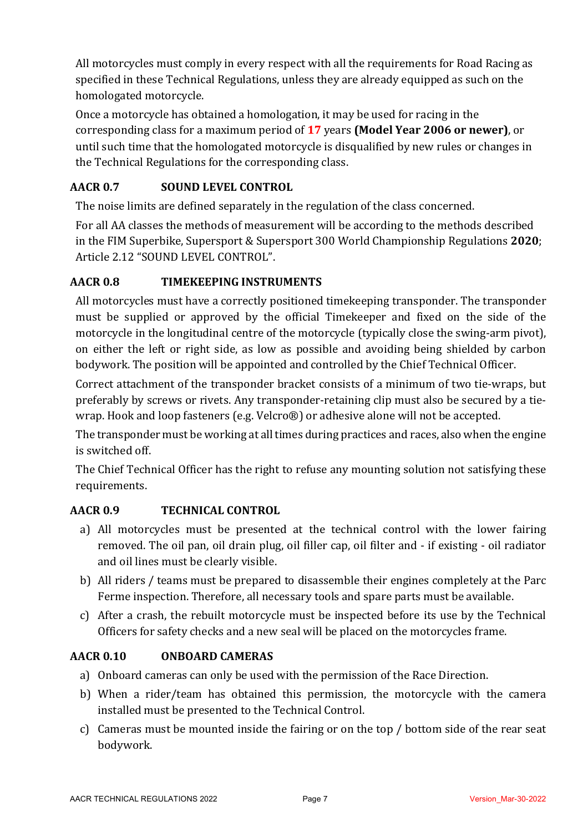All motorcycles must comply in every respect with all the requirements for Road Racing as specified in these Technical Regulations, unless they are already equipped as such on the homologated motorcycle.

Once a motorcycle has obtained a homologation, it may be used for racing in the corresponding class for a maximum period of 17 years **(Model Year 2006 or newer)**, or until such time that the homologated motorcycle is disqualified by new rules or changes in the Technical Regulations for the corresponding class.

# **AACR 0.7 SOUND LEVEL CONTROL**

The noise limits are defined separately in the regulation of the class concerned.

For all AA classes the methods of measurement will be according to the methods described in the FIM Superbike, Supersport & Supersport 300 World Championship Regulations 2020; Article 2.12 "SOUND LEVEL CONTROL".

# **AACR 0.8 TIMEKEEPING INSTRUMENTS**

All motorcycles must have a correctly positioned timekeeping transponder. The transponder must be supplied or approved by the official Timekeeper and fixed on the side of the motorcycle in the longitudinal centre of the motorcycle (typically close the swing-arm pivot), on either the left or right side, as low as possible and avoiding being shielded by carbon bodywork. The position will be appointed and controlled by the Chief Technical Officer.

Correct attachment of the transponder bracket consists of a minimum of two tie-wraps, but preferably by screws or rivets. Any transponder-retaining clip must also be secured by a tiewrap. Hook and loop fasteners (e.g. Velcro®) or adhesive alone will not be accepted.

The transponder must be working at all times during practices and races, also when the engine is switched off.

The Chief Technical Officer has the right to refuse any mounting solution not satisfying these requirements.

# **AACR 0.9 TECHNICAL CONTROL**

- a) All motorcycles must be presented at the technical control with the lower fairing removed. The oil pan, oil drain plug, oil filler cap, oil filter and - if existing - oil radiator and oil lines must be clearly visible.
- b) All riders / teams must be prepared to disassemble their engines completely at the Parc Ferme inspection. Therefore, all necessary tools and spare parts must be available.
- c) After a crash, the rebuilt motorcycle must be inspected before its use by the Technical Officers for safety checks and a new seal will be placed on the motorcycles frame.

# **AACR 0.10 ONBOARD CAMERAS**

- a) Onboard cameras can only be used with the permission of the Race Direction.
- b) When a rider/team has obtained this permission, the motorcycle with the camera installed must be presented to the Technical Control.
- c) Cameras must be mounted inside the fairing or on the top  $\ell$  bottom side of the rear seat bodywork.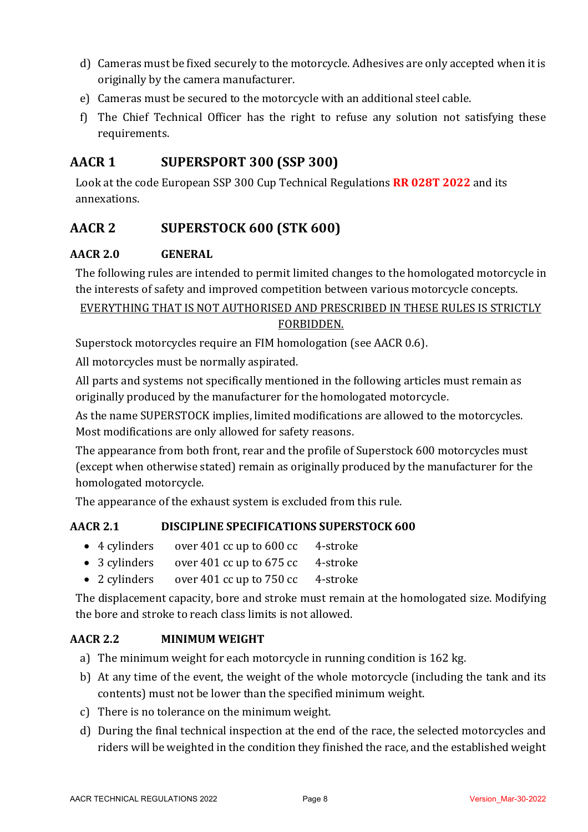- d) Cameras must be fixed securely to the motorcycle. Adhesives are only accepted when it is originally by the camera manufacturer.
- e) Cameras must be secured to the motorcycle with an additional steel cable.
- f) The Chief Technical Officer has the right to refuse any solution not satisfying these requirements.

# **AACR 1 SUPERSPORT 300 (SSP 300)**

Look at the code European SSP 300 Cup Technical Regulations **RR 028T 2022** and its annexations.

# **AACR 2 SUPERSTOCK 600 (STK 600)**

# **AACR 2.0 GENERAL**

The following rules are intended to permit limited changes to the homologated motorcycle in the interests of safety and improved competition between various motorcycle concepts.

EVERYTHING THAT IS NOT AUTHORISED AND PRESCRIBED IN THESE RULES IS STRICTLY

### FORBIDDEN.

Superstock motorcycles require an FIM homologation (see AACR 0.6).

All motorcycles must be normally aspirated.

All parts and systems not specifically mentioned in the following articles must remain as originally produced by the manufacturer for the homologated motorcycle.

As the name SUPERSTOCK implies, limited modifications are allowed to the motorcycles. Most modifications are only allowed for safety reasons.

The appearance from both front, rear and the profile of Superstock 600 motorcycles must (except when otherwise stated) remain as originally produced by the manufacturer for the homologated motorcycle.

The appearance of the exhaust system is excluded from this rule.

# **AACR 2.1 DISCIPLINE SPECIFICATIONS SUPERSTOCK 600**

- 4 cylinders over 401 cc up to 600 cc 4-stroke
- 3 cylinders over 401 cc up to 675 cc 4-stroke
- 2 cylinders over 401 cc up to 750 cc 4-stroke

The displacement capacity, bore and stroke must remain at the homologated size. Modifying the bore and stroke to reach class limits is not allowed.

# **AACR 2.2 MINIMUM WEIGHT**

- a) The minimum weight for each motorcycle in running condition is 162 kg.
- b) At any time of the event, the weight of the whole motorcycle (including the tank and its contents) must not be lower than the specified minimum weight.
- c) There is no tolerance on the minimum weight.
- d) During the final technical inspection at the end of the race, the selected motorcycles and riders will be weighted in the condition they finished the race, and the established weight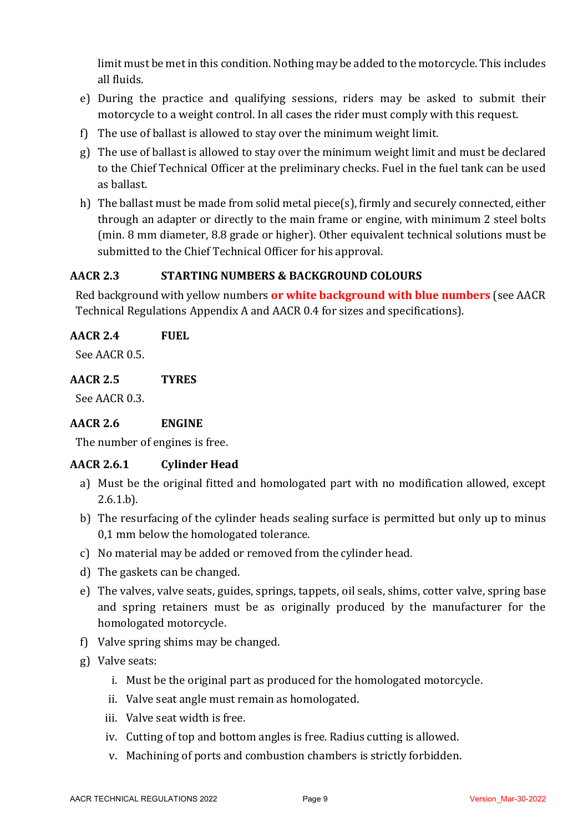limit must be met in this condition. Nothing may be added to the motorcycle. This includes all fluids.

- e) During the practice and qualifying sessions, riders may be asked to submit their motorcycle to a weight control. In all cases the rider must comply with this request.
- f) The use of ballast is allowed to stay over the minimum weight limit.
- g) The use of ballast is allowed to stay over the minimum weight limit and must be declared to the Chief Technical Officer at the preliminary checks. Fuel in the fuel tank can be used as ballast.
- h) The ballast must be made from solid metal piece(s), firmly and securely connected, either through an adapter or directly to the main frame or engine, with minimum 2 steel bolts (min. 8 mm diameter, 8.8 grade or higher). Other equivalent technical solutions must be submitted to the Chief Technical Officer for his approval.

### **AACR 2.3 STARTING NUMBERS & BACKGROUND COLOURS**

Red background with yellow numbers or white background with blue numbers (see AACR Technical Regulations Appendix A and AACR 0.4 for sizes and specifications).

| <b>AACR 2.4</b> | <b>FUEL</b> |
|-----------------|-------------|
|-----------------|-------------|

See AACR 0.5

**AACR 2.5 TYRES**

See AACR 0.3.

# **AACR 2.6 ENGINE**

The number of engines is free.

# **AACR 2.6.1 Cylinder Head**

- a) Must be the original fitted and homologated part with no modification allowed, except  $2.6.1.b$ .
- b) The resurfacing of the cylinder heads sealing surface is permitted but only up to minus 0,1 mm below the homologated tolerance.
- c) No material may be added or removed from the cylinder head.
- d) The gaskets can be changed.
- e) The valves, valve seats, guides, springs, tappets, oil seals, shims, cotter valve, spring base and spring retainers must be as originally produced by the manufacturer for the homologated motorcycle.
- f) Valve spring shims may be changed.
- g) Valve seats:
	- i. Must be the original part as produced for the homologated motorcycle.
	- ii. Valve seat angle must remain as homologated.
	- iii. Valve seat width is free.
	- iv. Cutting of top and bottom angles is free. Radius cutting is allowed.
	- v. Machining of ports and combustion chambers is strictly forbidden.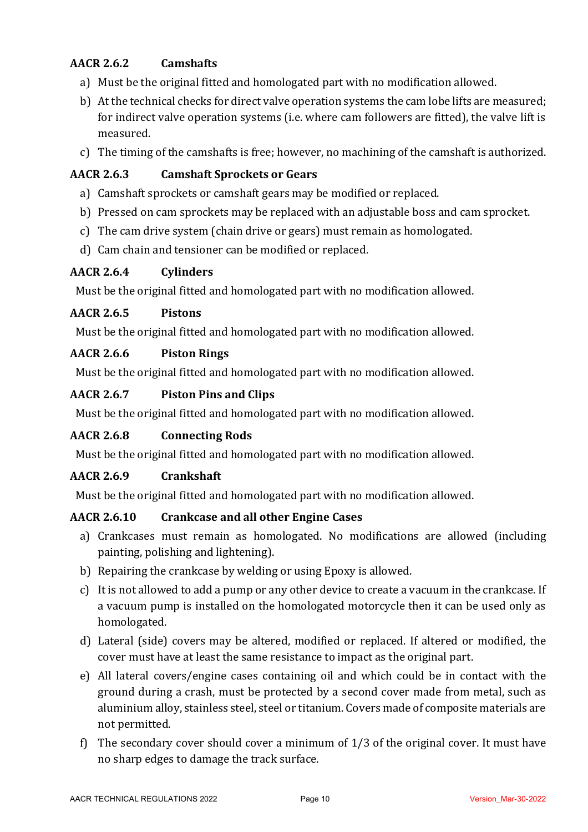# **AACR 2.6.2 Camshafts**

- a) Must be the original fitted and homologated part with no modification allowed.
- b) At the technical checks for direct valve operation systems the cam lobe lifts are measured; for indirect valve operation systems (i.e. where cam followers are fitted), the valve lift is measured.
- c) The timing of the camshafts is free; however, no machining of the camshaft is authorized.

# **AACR 2.6.3 Camshaft Sprockets or Gears**

- a) Camshaft sprockets or camshaft gears may be modified or replaced.
- b) Pressed on cam sprockets may be replaced with an adjustable boss and cam sprocket.
- c) The cam drive system (chain drive or gears) must remain as homologated.
- d) Cam chain and tensioner can be modified or replaced.

# **AACR 2.6.4 Cylinders**

Must be the original fitted and homologated part with no modification allowed.

# **AACR 2.6.5 Pistons**

Must be the original fitted and homologated part with no modification allowed.

# **AACR 2.6.6 Piston Rings**

Must be the original fitted and homologated part with no modification allowed.

# **AACR 2.6.7 Piston Pins and Clips**

Must be the original fitted and homologated part with no modification allowed.

# **AACR 2.6.8 Connecting Rods**

Must be the original fitted and homologated part with no modification allowed.

# **AACR 2.6.9 Crankshaft**

Must be the original fitted and homologated part with no modification allowed.

# **AACR 2.6.10 Crankcase and all other Engine Cases**

- a) Crankcases must remain as homologated. No modifications are allowed (including painting, polishing and lightening).
- b) Repairing the crankcase by welding or using Epoxy is allowed.
- c) It is not allowed to add a pump or any other device to create a vacuum in the crankcase. If a vacuum pump is installed on the homologated motorcycle then it can be used only as homologated.
- d) Lateral (side) covers may be altered, modified or replaced. If altered or modified, the cover must have at least the same resistance to impact as the original part.
- e) All lateral covers/engine cases containing oil and which could be in contact with the ground during a crash, must be protected by a second cover made from metal, such as aluminium alloy, stainless steel, steel or titanium. Covers made of composite materials are not permitted.
- f) The secondary cover should cover a minimum of  $1/3$  of the original cover. It must have no sharp edges to damage the track surface.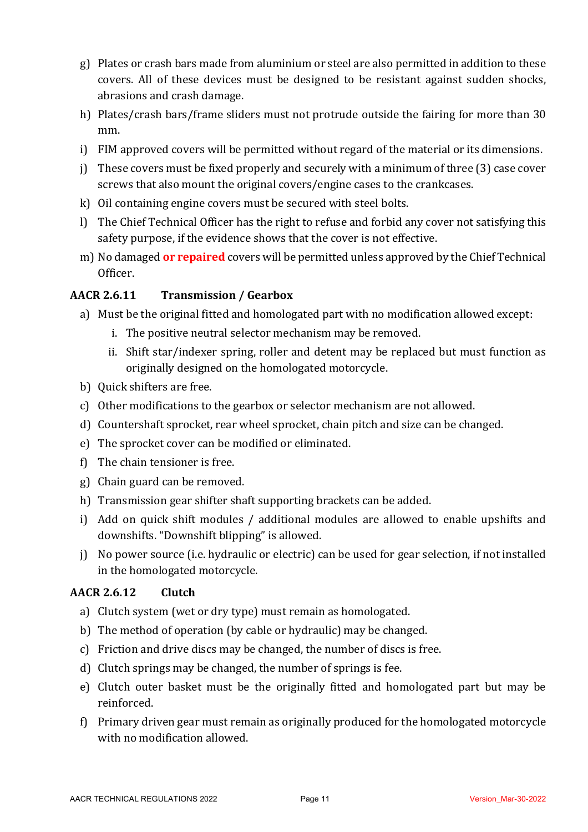- $g$ ) Plates or crash bars made from aluminium or steel are also permitted in addition to these covers. All of these devices must be designed to be resistant against sudden shocks, abrasions and crash damage.
- h) Plates/crash bars/frame sliders must not protrude outside the fairing for more than 30 mm.
- i) FIM approved covers will be permitted without regard of the material or its dimensions.
- i) These covers must be fixed properly and securely with a minimum of three  $(3)$  case cover screws that also mount the original covers/engine cases to the crankcases.
- k) Oil containing engine covers must be secured with steel bolts.
- l) The Chief Technical Officer has the right to refuse and forbid any cover not satisfying this safety purpose, if the evidence shows that the cover is not effective.
- m) No damaged **or repaired** covers will be permitted unless approved by the Chief Technical Officer.

# **AACR 2.6.11 Transmission / Gearbox**

- a) Must be the original fitted and homologated part with no modification allowed except:
	- i. The positive neutral selector mechanism may be removed.
	- ii. Shift star/indexer spring, roller and detent may be replaced but must function as originally designed on the homologated motorcycle.
- b) Quick shifters are free.
- c) Other modifications to the gearbox or selector mechanism are not allowed.
- d) Countershaft sprocket, rear wheel sprocket, chain pitch and size can be changed.
- e) The sprocket cover can be modified or eliminated.
- $f$ ) The chain tensioner is free.
- g) Chain guard can be removed.
- h) Transmission gear shifter shaft supporting brackets can be added.
- i) Add on quick shift modules / additional modules are allowed to enable upshifts and downshifts. "Downshift blipping" is allowed.
- j) No power source (i.e. hydraulic or electric) can be used for gear selection, if not installed in the homologated motorcycle.

# **AACR 2.6.12 Clutch**

- a) Clutch system (wet or dry type) must remain as homologated.
- b) The method of operation (by cable or hydraulic) may be changed.
- c) Friction and drive discs may be changed, the number of discs is free.
- d) Clutch springs may be changed, the number of springs is fee.
- e) Clutch outer basket must be the originally fitted and homologated part but may be reinforced.
- f) Primary driven gear must remain as originally produced for the homologated motorcycle with no modification allowed.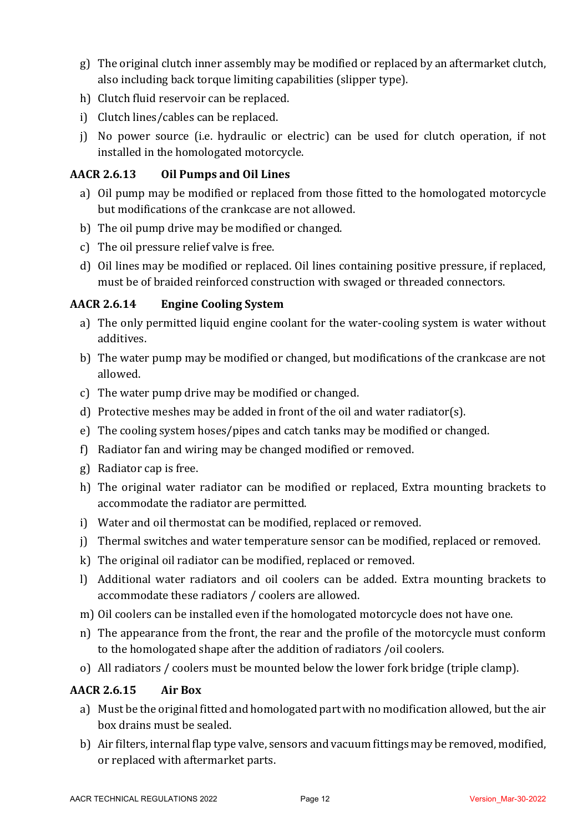- g) The original clutch inner assembly may be modified or replaced by an aftermarket clutch, also including back torque limiting capabilities (slipper type).
- h) Clutch fluid reservoir can be replaced.
- i) Clutch lines/cables can be replaced.
- i) No power source (i.e. hydraulic or electric) can be used for clutch operation, if not installed in the homologated motorcycle.

# **AACR 2.6.13 Oil Pumps and Oil Lines**

- a) Oil pump may be modified or replaced from those fitted to the homologated motorcycle but modifications of the crankcase are not allowed.
- b) The oil pump drive may be modified or changed.
- c) The oil pressure relief valve is free.
- d) Oil lines may be modified or replaced. Oil lines containing positive pressure, if replaced, must be of braided reinforced construction with swaged or threaded connectors.

# **AACR 2.6.14 Engine Cooling System**

- a) The only permitted liquid engine coolant for the water-cooling system is water without additives.
- b) The water pump may be modified or changed, but modifications of the crankcase are not allowed.
- c) The water pump drive may be modified or changed.
- d) Protective meshes may be added in front of the oil and water radiator(s).
- e) The cooling system hoses/pipes and catch tanks may be modified or changed.
- f) Radiator fan and wiring may be changed modified or removed.
- g) Radiator cap is free.
- h) The original water radiator can be modified or replaced, Extra mounting brackets to accommodate the radiator are permitted.
- i) Water and oil thermostat can be modified, replaced or removed.
- j) Thermal switches and water temperature sensor can be modified, replaced or removed.
- k) The original oil radiator can be modified, replaced or removed.
- l) Additional water radiators and oil coolers can be added. Extra mounting brackets to accommodate these radiators / coolers are allowed.
- m) Oil coolers can be installed even if the homologated motorcycle does not have one.
- n) The appearance from the front, the rear and the profile of the motorcycle must conform to the homologated shape after the addition of radiators /oil coolers.
- o) All radiators / coolers must be mounted below the lower fork bridge (triple clamp).

# **AACR 2.6.15 Air Box**

- a) Must be the original fitted and homologated part with no modification allowed, but the air box drains must be sealed.
- b) Air filters, internal flap type valve, sensors and vacuum fittings may be removed, modified, or replaced with aftermarket parts.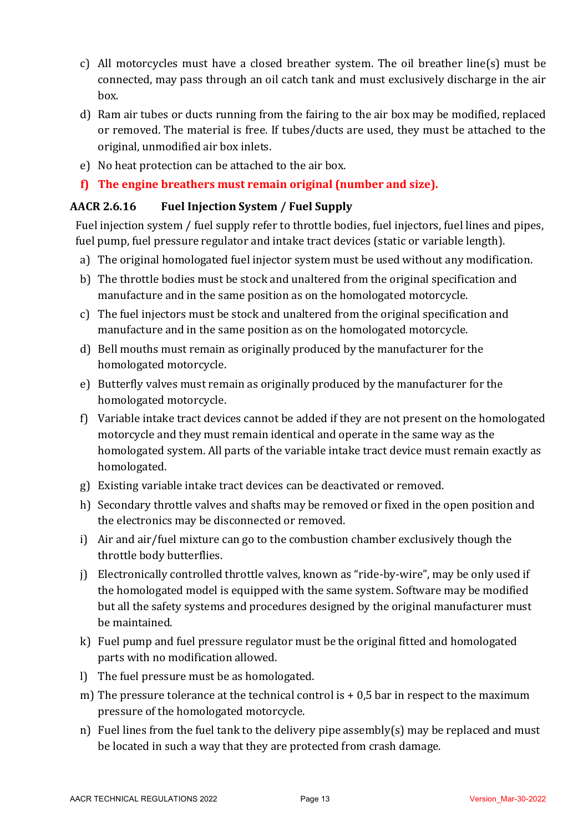- c) All motorcycles must have a closed breather system. The oil breather line(s) must be connected, may pass through an oil catch tank and must exclusively discharge in the air box.
- d) Ram air tubes or ducts running from the fairing to the air box may be modified, replaced or removed. The material is free. If tubes/ducts are used, they must be attached to the original, unmodified air box inlets.
- e) No heat protection can be attached to the air box.
- f) The engine breathers must remain original (number and size).

# **AACR 2.6.16 Fuel Injection System / Fuel Supply**

Fuel injection system / fuel supply refer to throttle bodies, fuel injectors, fuel lines and pipes, fuel pump, fuel pressure regulator and intake tract devices (static or variable length).

- a) The original homologated fuel injector system must be used without any modification.
- b) The throttle bodies must be stock and unaltered from the original specification and manufacture and in the same position as on the homologated motorcycle.
- c) The fuel injectors must be stock and unaltered from the original specification and manufacture and in the same position as on the homologated motorcycle.
- d) Bell mouths must remain as originally produced by the manufacturer for the homologated motorcycle.
- e) Butterfly valves must remain as originally produced by the manufacturer for the homologated motorcycle.
- f) Variable intake tract devices cannot be added if they are not present on the homologated motorcycle and they must remain identical and operate in the same way as the homologated system. All parts of the variable intake tract device must remain exactly as homologated.
- g) Existing variable intake tract devices can be deactivated or removed.
- h) Secondary throttle valves and shafts may be removed or fixed in the open position and the electronics may be disconnected or removed.
- i) Air and air/fuel mixture can go to the combustion chamber exclusively though the throttle body butterflies.
- j) Electronically controlled throttle valves, known as "ride-by-wire", may be only used if the homologated model is equipped with the same system. Software may be modified but all the safety systems and procedures designed by the original manufacturer must be maintained.
- k) Fuel pump and fuel pressure regulator must be the original fitted and homologated parts with no modification allowed.
- l) The fuel pressure must be as homologated.
- m) The pressure tolerance at the technical control is  $+0.5$  bar in respect to the maximum pressure of the homologated motorcycle.
- n) Fuel lines from the fuel tank to the delivery pipe assembly(s) may be replaced and must be located in such a way that they are protected from crash damage.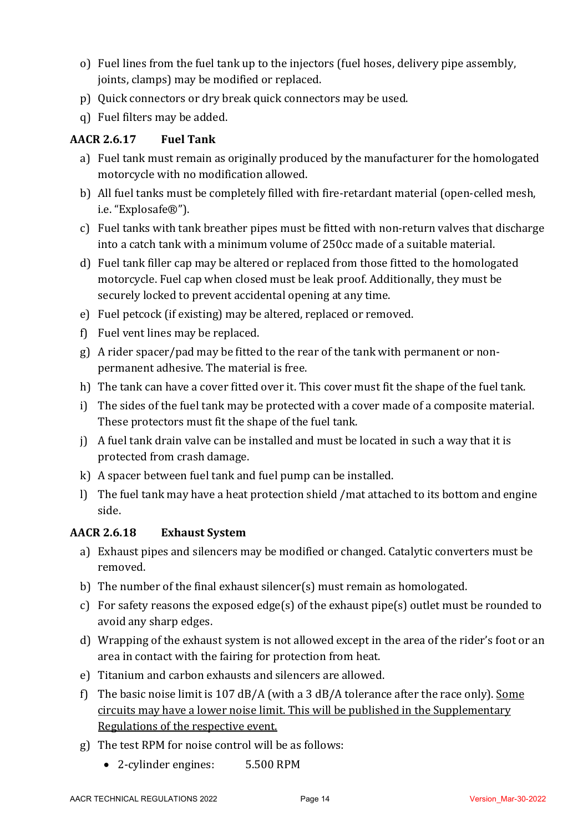- o) Fuel lines from the fuel tank up to the injectors (fuel hoses, delivery pipe assembly, joints, clamps) may be modified or replaced.
- p) Quick connectors or dry break quick connectors may be used.
- q) Fuel filters may be added.

# **AACR 2.6.17 Fuel Tank**

- a) Fuel tank must remain as originally produced by the manufacturer for the homologated motorcycle with no modification allowed.
- b) All fuel tanks must be completely filled with fire-retardant material (open-celled mesh, i.e. "Explosafe®").
- c) Fuel tanks with tank breather pipes must be fitted with non-return valves that discharge into a catch tank with a minimum volume of 250cc made of a suitable material.
- d) Fuel tank filler cap may be altered or replaced from those fitted to the homologated motorcycle. Fuel cap when closed must be leak proof. Additionally, they must be securely locked to prevent accidental opening at any time.
- e) Fuel petcock (if existing) may be altered, replaced or removed.
- f) Fuel vent lines may be replaced.
- g) A rider spacer/pad may be fitted to the rear of the tank with permanent or nonpermanent adhesive. The material is free.
- h) The tank can have a cover fitted over it. This cover must fit the shape of the fuel tank.
- i) The sides of the fuel tank may be protected with a cover made of a composite material. These protectors must fit the shape of the fuel tank.
- j) A fuel tank drain valve can be installed and must be located in such a way that it is protected from crash damage.
- $k$ ) A spacer between fuel tank and fuel pump can be installed.
- l) The fuel tank may have a heat protection shield /mat attached to its bottom and engine side.

# **AACR 2.6.18 Exhaust System**

- a) Exhaust pipes and silencers may be modified or changed. Catalytic converters must be removed.
- b) The number of the final exhaust silencer(s) must remain as homologated.
- c) For safety reasons the exposed edge(s) of the exhaust pipe(s) outlet must be rounded to avoid any sharp edges.
- d) Wrapping of the exhaust system is not allowed except in the area of the rider's foot or an area in contact with the fairing for protection from heat.
- e) Titanium and carbon exhausts and silencers are allowed.
- f) The basic noise limit is 107 dB/A (with a 3 dB/A tolerance after the race only). Some circuits may have a lower noise limit. This will be published in the Supplementary Regulations of the respective event.
- g) The test RPM for noise control will be as follows:
	- 2-cylinder engines: 5.500 RPM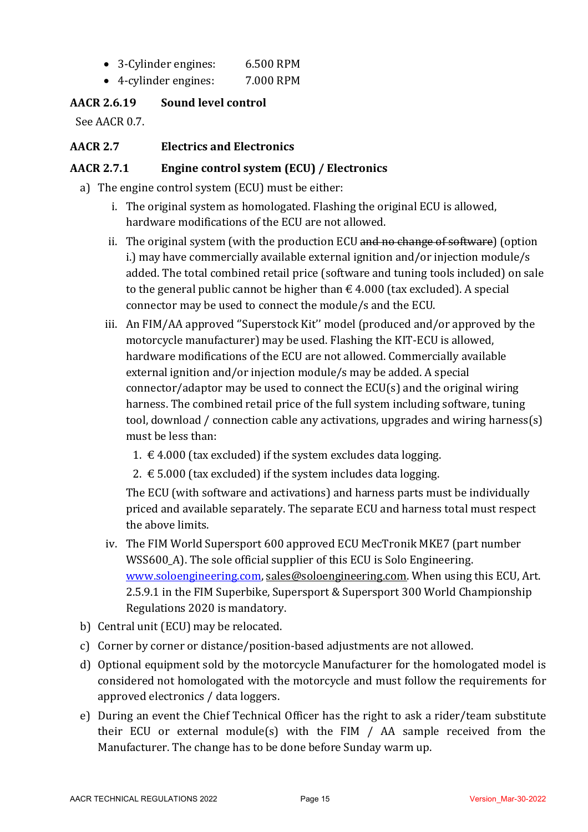- 3-Cylinder engines: 6.500 RPM
- 4-cylinder engines: 7.000 RPM

# **AACR 2.6.19 Sound level control**

See AACR 0.7.

# **AACR 2.7 Electrics and Electronics**

# AACR 2.7.1 **Engine control system (ECU)** / Electronics

- a) The engine control system (ECU) must be either:
	- i. The original system as homologated. Flashing the original ECU is allowed, hardware modifications of the ECU are not allowed.
	- ii. The original system (with the production ECU and no change of software) (option i.) may have commercially available external ignition and/or injection module/s added. The total combined retail price (software and tuning tools included) on sale to the general public cannot be higher than  $\epsilon$  4.000 (tax excluded). A special connector may be used to connect the module/s and the ECU.
	- iii. An FIM/AA approved "Superstock Kit" model (produced and/or approved by the motorcycle manufacturer) may be used. Flashing the KIT-ECU is allowed, hardware modifications of the ECU are not allowed. Commercially available external ignition and/or injection module/s may be added. A special connector/adaptor may be used to connect the  $ECU(s)$  and the original wiring harness. The combined retail price of the full system including software, tuning tool, download / connection cable any activations, upgrades and wiring harness(s) must be less than:
		- 1.  $€$  4.000 (tax excluded) if the system excludes data logging.
		- 2.  $\epsilon$  5.000 (tax excluded) if the system includes data logging.

The ECU (with software and activations) and harness parts must be individually priced and available separately. The separate ECU and harness total must respect the above limits.

- iv. The FIM World Supersport 600 approved ECU MecTronik MKE7 (part number WSS600 A). The sole official supplier of this ECU is Solo Engineering. www.soloengineering.com, sales@soloengineering.com. When using this ECU, Art. 2.5.9.1 in the FIM Superbike, Supersport & Supersport 300 World Championship Regulations 2020 is mandatory.
- b) Central unit (ECU) may be relocated.
- c) Corner by corner or distance/position-based adjustments are not allowed.
- d) Optional equipment sold by the motorcycle Manufacturer for the homologated model is considered not homologated with the motorcycle and must follow the requirements for approved electronics / data loggers.
- e) During an event the Chief Technical Officer has the right to ask a rider/team substitute their ECU or external module(s) with the FIM  $/$  AA sample received from the Manufacturer. The change has to be done before Sunday warm up.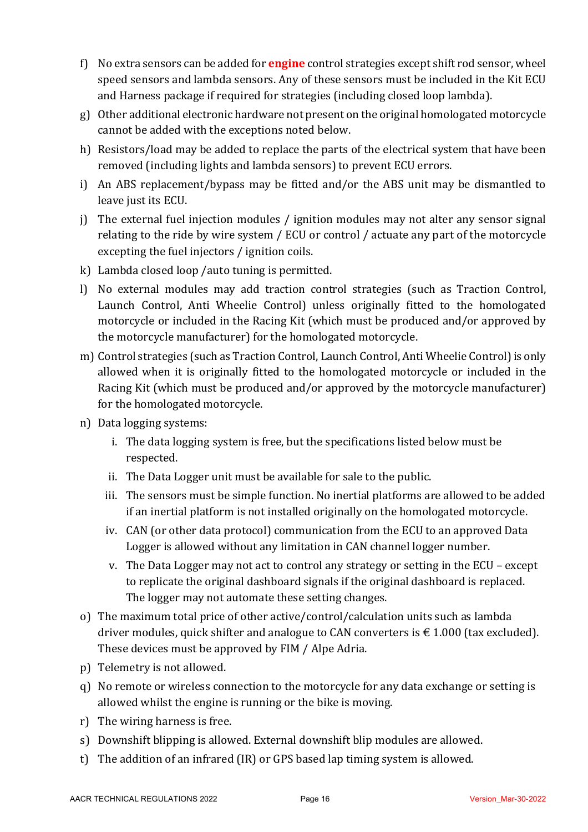- f) No extra sensors can be added for **engine** control strategies except shift rod sensor, wheel speed sensors and lambda sensors. Any of these sensors must be included in the Kit ECU and Harness package if required for strategies (including closed loop lambda).
- $g$ ) Other additional electronic hardware not present on the original homologated motorcycle cannot be added with the exceptions noted below.
- h) Resistors/load may be added to replace the parts of the electrical system that have been removed (including lights and lambda sensors) to prevent ECU errors.
- i) An ABS replacement/bypass may be fitted and/or the ABS unit may be dismantled to leave just its ECU.
- j) The external fuel injection modules / ignition modules may not alter any sensor signal relating to the ride by wire system / ECU or control / actuate any part of the motorcycle excepting the fuel injectors / ignition coils.
- k) Lambda closed loop /auto tuning is permitted.
- l) No external modules may add traction control strategies (such as Traction Control, Launch Control, Anti Wheelie Control) unless originally fitted to the homologated motorcycle or included in the Racing Kit (which must be produced and/or approved by the motorcycle manufacturer) for the homologated motorcycle.
- m) Control strategies (such as Traction Control, Launch Control, Anti Wheelie Control) is only allowed when it is originally fitted to the homologated motorcycle or included in the Racing Kit (which must be produced and/or approved by the motorcycle manufacturer) for the homologated motorcycle.
- n) Data logging systems:
	- i. The data logging system is free, but the specifications listed below must be respected.
	- ii. The Data Logger unit must be available for sale to the public.
	- iii. The sensors must be simple function. No inertial platforms are allowed to be added if an inertial platform is not installed originally on the homologated motorcycle.
	- iv. CAN (or other data protocol) communication from the ECU to an approved Data Logger is allowed without any limitation in CAN channel logger number.
	- v. The Data Logger may not act to control any strategy or setting in the  $ECU$  except to replicate the original dashboard signals if the original dashboard is replaced. The logger may not automate these setting changes.
- o) The maximum total price of other active/control/calculation units such as lambda driver modules, quick shifter and analogue to CAN converters is  $\epsilon$  1.000 (tax excluded). These devices must be approved by FIM / Alpe Adria.
- p) Telemetry is not allowed.
- g) No remote or wireless connection to the motorcycle for any data exchange or setting is allowed whilst the engine is running or the bike is moving.
- $r$ ) The wiring harness is free.
- s) Downshift blipping is allowed. External downshift blip modules are allowed.
- t) The addition of an infrared (IR) or GPS based lap timing system is allowed.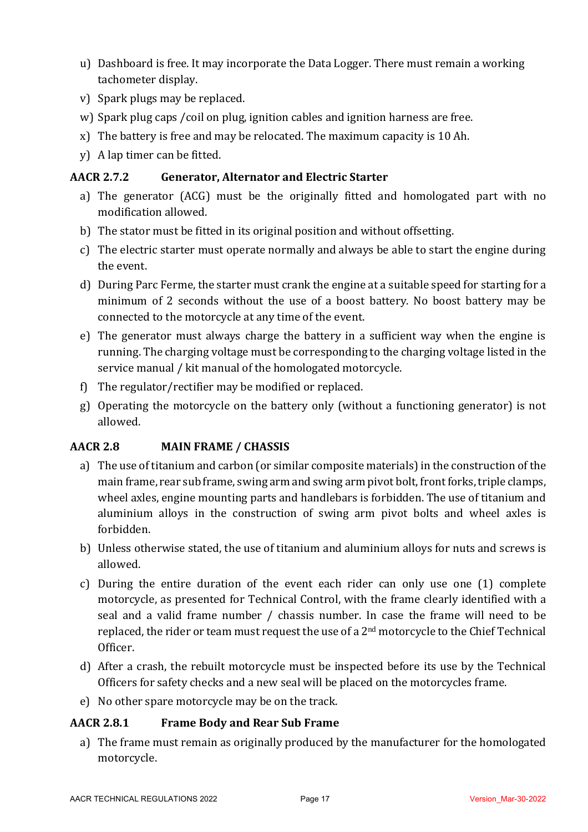- u) Dashboard is free. It may incorporate the Data Logger. There must remain a working tachometer display.
- v) Spark plugs may be replaced.
- w) Spark plug caps / coil on plug, ignition cables and ignition harness are free.
- x) The battery is free and may be relocated. The maximum capacity is 10 Ah.
- y) A lap timer can be fitted.

# **AACR 2.7.2 Generator, Alternator and Electric Starter**

- a) The generator (ACG) must be the originally fitted and homologated part with no modification allowed.
- b) The stator must be fitted in its original position and without offsetting.
- c) The electric starter must operate normally and always be able to start the engine during the event.
- d) During Parc Ferme, the starter must crank the engine at a suitable speed for starting for a minimum of 2 seconds without the use of a boost battery. No boost battery may be connected to the motorcycle at any time of the event.
- e) The generator must always charge the battery in a sufficient way when the engine is running. The charging voltage must be corresponding to the charging voltage listed in the service manual / kit manual of the homologated motorcycle.
- f) The regulator/rectifier may be modified or replaced.
- g) Operating the motorcycle on the battery only (without a functioning generator) is not allowed.

# **AACR 2.8 MAIN FRAME / CHASSIS**

- a) The use of titanium and carbon (or similar composite materials) in the construction of the main frame, rear sub frame, swing arm and swing arm pivot bolt, front forks, triple clamps, wheel axles, engine mounting parts and handlebars is forbidden. The use of titanium and aluminium alloys in the construction of swing arm pivot bolts and wheel axles is forbidden.
- b) Unless otherwise stated, the use of titanium and aluminium alloys for nuts and screws is allowed.
- c) During the entire duration of the event each rider can only use one (1) complete motorcycle, as presented for Technical Control, with the frame clearly identified with a seal and a valid frame number / chassis number. In case the frame will need to be replaced, the rider or team must request the use of a  $2<sup>nd</sup>$  motorcycle to the Chief Technical Officer.
- d) After a crash, the rebuilt motorcycle must be inspected before its use by the Technical Officers for safety checks and a new seal will be placed on the motorcycles frame.
- e) No other spare motorcycle may be on the track.

# **AACR 2.8.1 Frame Body and Rear Sub Frame**

a) The frame must remain as originally produced by the manufacturer for the homologated motorcycle.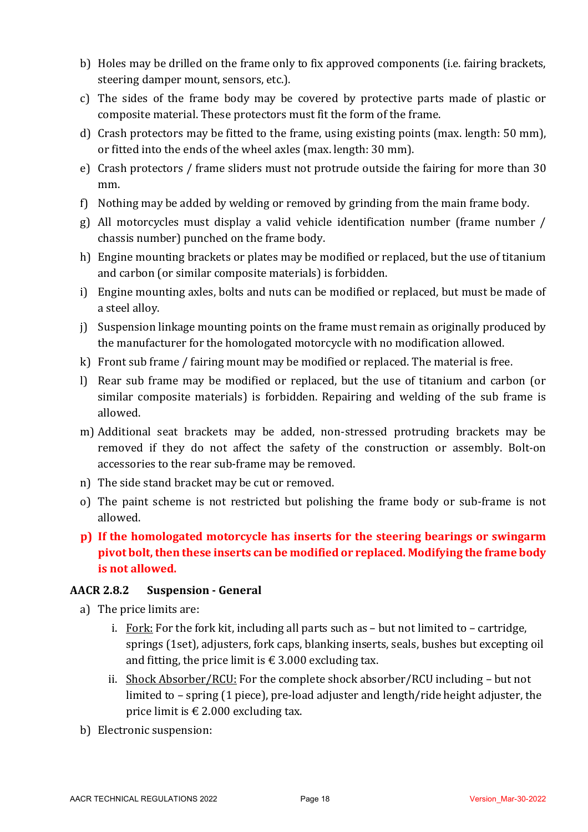- b) Holes may be drilled on the frame only to fix approved components (i.e. fairing brackets, steering damper mount, sensors, etc.).
- c) The sides of the frame body may be covered by protective parts made of plastic or composite material. These protectors must fit the form of the frame.
- d) Crash protectors may be fitted to the frame, using existing points (max. length:  $50 \text{ mm}$ ). or fitted into the ends of the wheel axles (max. length: 30 mm).
- e) Crash protectors / frame sliders must not protrude outside the fairing for more than 30 mm.
- f) Nothing may be added by welding or removed by grinding from the main frame body.
- g) All motorcycles must display a valid vehicle identification number (frame number / chassis number) punched on the frame body.
- h) Engine mounting brackets or plates may be modified or replaced, but the use of titanium and carbon (or similar composite materials) is forbidden.
- i) Engine mounting axles, bolts and nuts can be modified or replaced, but must be made of a steel alloy.
- j) Suspension linkage mounting points on the frame must remain as originally produced by the manufacturer for the homologated motorcycle with no modification allowed.
- $k$ ) Front sub frame / fairing mount may be modified or replaced. The material is free.
- l) Rear sub frame may be modified or replaced, but the use of titanium and carbon (or similar composite materials) is forbidden. Repairing and welding of the sub frame is allowed.
- m) Additional seat brackets may be added, non-stressed protruding brackets may be removed if they do not affect the safety of the construction or assembly. Bolt-on accessories to the rear sub-frame may be removed.
- n) The side stand bracket may be cut or removed.
- o) The paint scheme is not restricted but polishing the frame body or sub-frame is not allowed.
- **p)** If the homologated motorcycle has inserts for the steering bearings or swingarm pivot bolt, then these inserts can be modified or replaced. Modifying the frame body **is not allowed.**

# **AACR 2.8.2 Suspension - General**

- a) The price limits are:
	- i. Fork: For the fork kit, including all parts such as  $-$  but not limited to  $-$  cartridge, springs (1set), adjusters, fork caps, blanking inserts, seals, bushes but excepting oil and fitting, the price limit is  $\epsilon$  3.000 excluding tax.
	- ii. Shock Absorber/RCU: For the complete shock absorber/RCU including  $-$  but not limited to  $-$  spring (1 piece), pre-load adjuster and length/ride height adjuster, the price limit is  $\epsilon$  2.000 excluding tax.
- b) Electronic suspension: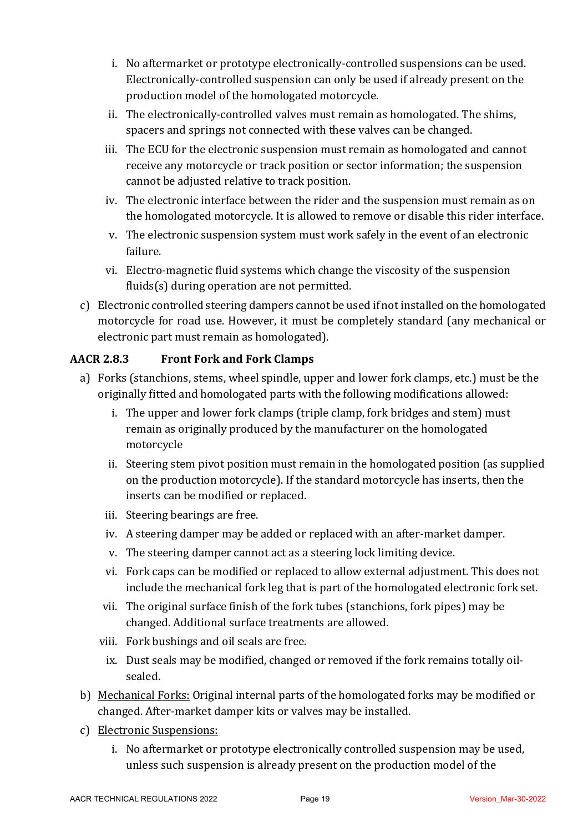- i. No aftermarket or prototype electronically-controlled suspensions can be used. Electronically-controlled suspension can only be used if already present on the production model of the homologated motorcycle.
- ii. The electronically-controlled valves must remain as homologated. The shims, spacers and springs not connected with these valves can be changed.
- iii. The ECU for the electronic suspension must remain as homologated and cannot receive any motorcycle or track position or sector information; the suspension cannot be adjusted relative to track position.
- iv. The electronic interface between the rider and the suspension must remain as on the homologated motorcycle. It is allowed to remove or disable this rider interface.
- v. The electronic suspension system must work safely in the event of an electronic failure.
- vi. Electro-magnetic fluid systems which change the viscosity of the suspension fluids $(s)$  during operation are not permitted.
- c) Electronic controlled steering dampers cannot be used if not installed on the homologated motorcycle for road use. However, it must be completely standard (any mechanical or electronic part must remain as homologated).

# **AACR 2.8.3 Front Fork and Fork Clamps**

- a) Forks (stanchions, stems, wheel spindle, upper and lower fork clamps, etc.) must be the originally fitted and homologated parts with the following modifications allowed:
	- i. The upper and lower fork clamps (triple clamp, fork bridges and stem) must remain as originally produced by the manufacturer on the homologated motorcycle
	- ii. Steering stem pivot position must remain in the homologated position (as supplied on the production motorcycle). If the standard motorcycle has inserts, then the inserts can be modified or replaced.
	- iii. Steering bearings are free.
	- iv. A steering damper may be added or replaced with an after-market damper.
	- v. The steering damper cannot act as a steering lock limiting device.
	- vi. Fork caps can be modified or replaced to allow external adjustment. This does not include the mechanical fork leg that is part of the homologated electronic fork set.
	- vii. The original surface finish of the fork tubes (stanchions, fork pipes) may be changed. Additional surface treatments are allowed.
	- viii. Fork bushings and oil seals are free.
	- ix. Dust seals may be modified, changed or removed if the fork remains totally oilsealed.
- b) Mechanical Forks: Original internal parts of the homologated forks may be modified or changed. After-market damper kits or valves may be installed.
- c) Electronic Suspensions:
	- i. No aftermarket or prototype electronically controlled suspension may be used, unless such suspension is already present on the production model of the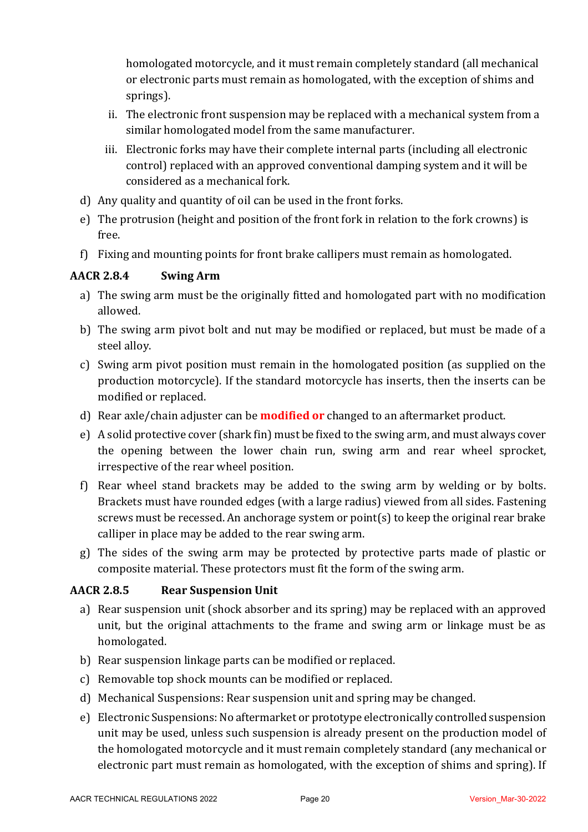homologated motorcycle, and it must remain completely standard (all mechanical or electronic parts must remain as homologated, with the exception of shims and springs).

- ii. The electronic front suspension may be replaced with a mechanical system from a similar homologated model from the same manufacturer.
- iii. Electronic forks may have their complete internal parts (including all electronic control) replaced with an approved conventional damping system and it will be considered as a mechanical fork.
- d) Any quality and quantity of oil can be used in the front forks.
- e) The protrusion (height and position of the front fork in relation to the fork crowns) is free.
- f) Fixing and mounting points for front brake callipers must remain as homologated.

# **AACR 2.8.4 Swing Arm**

- a) The swing arm must be the originally fitted and homologated part with no modification allowed.
- b) The swing arm pivot bolt and nut may be modified or replaced, but must be made of a steel alloy.
- c) Swing arm pivot position must remain in the homologated position (as supplied on the production motorcycle). If the standard motorcycle has inserts, then the inserts can be modified or replaced.
- d) Rear axle/chain adjuster can be **modified or** changed to an aftermarket product.
- e) A solid protective cover (shark fin) must be fixed to the swing arm, and must always cover the opening between the lower chain run, swing arm and rear wheel sprocket, irrespective of the rear wheel position.
- f) Rear wheel stand brackets may be added to the swing arm by welding or by bolts. Brackets must have rounded edges (with a large radius) viewed from all sides. Fastening screws must be recessed. An anchorage system or point(s) to keep the original rear brake calliper in place may be added to the rear swing arm.
- g) The sides of the swing arm may be protected by protective parts made of plastic or composite material. These protectors must fit the form of the swing arm.

# **AACR 2.8.5 Rear Suspension Unit**

- a) Rear suspension unit (shock absorber and its spring) may be replaced with an approved unit, but the original attachments to the frame and swing arm or linkage must be as homologated.
- b) Rear suspension linkage parts can be modified or replaced.
- c) Removable top shock mounts can be modified or replaced.
- d) Mechanical Suspensions: Rear suspension unit and spring may be changed.
- e) Electronic Suspensions: No aftermarket or prototype electronically controlled suspension unit may be used, unless such suspension is already present on the production model of the homologated motorcycle and it must remain completely standard (any mechanical or electronic part must remain as homologated, with the exception of shims and spring). If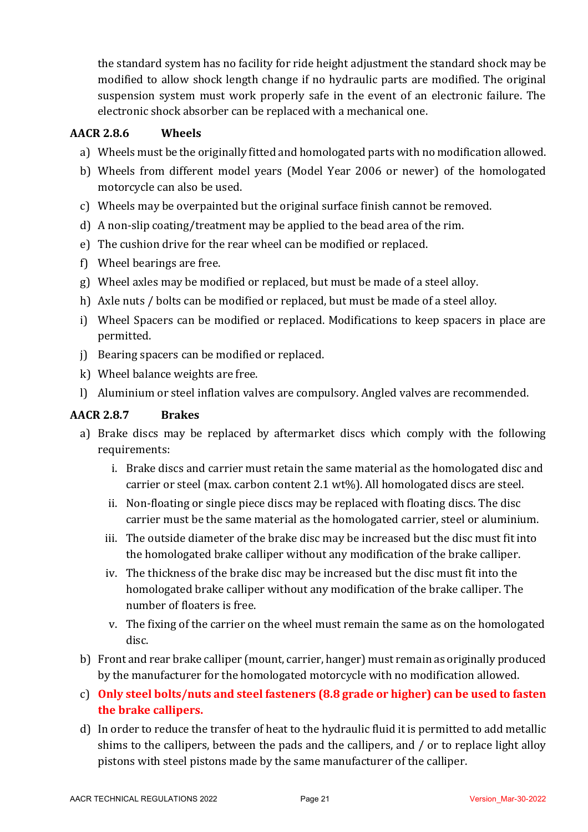the standard system has no facility for ride height adjustment the standard shock may be modified to allow shock length change if no hydraulic parts are modified. The original suspension system must work properly safe in the event of an electronic failure. The electronic shock absorber can be replaced with a mechanical one.

### **AACR 2.8.6 Wheels**

- a) Wheels must be the originally fitted and homologated parts with no modification allowed.
- b) Wheels from different model years (Model Year 2006 or newer) of the homologated motorcycle can also be used.
- c) Wheels may be overpainted but the original surface finish cannot be removed.
- d) A non-slip coating/treatment may be applied to the bead area of the rim.
- e) The cushion drive for the rear wheel can be modified or replaced.
- f) Wheel bearings are free.
- g) Wheel axles may be modified or replaced, but must be made of a steel alloy.
- h) Axle nuts / bolts can be modified or replaced, but must be made of a steel alloy.
- i) Wheel Spacers can be modified or replaced. Modifications to keep spacers in place are permitted.
- i) Bearing spacers can be modified or replaced.
- k) Wheel balance weights are free.
- l) Aluminium or steel inflation valves are compulsory. Angled valves are recommended.

#### **AACR 2.8.7 Brakes**

- a) Brake discs may be replaced by aftermarket discs which comply with the following requirements:
	- i. Brake discs and carrier must retain the same material as the homologated disc and carrier or steel (max. carbon content  $2.1 \text{ wt\%}$ ). All homologated discs are steel.
	- ii. Non-floating or single piece discs may be replaced with floating discs. The disc carrier must be the same material as the homologated carrier, steel or aluminium.
	- iii. The outside diameter of the brake disc may be increased but the disc must fit into the homologated brake calliper without any modification of the brake calliper.
	- iv. The thickness of the brake disc may be increased but the disc must fit into the homologated brake calliper without any modification of the brake calliper. The number of floaters is free.
	- v. The fixing of the carrier on the wheel must remain the same as on the homologated disc.
- b) Front and rear brake calliper (mount, carrier, hanger) must remain as originally produced by the manufacturer for the homologated motorcycle with no modification allowed.
- c) Only steel bolts/nuts and steel fasteners (8.8 grade or higher) can be used to fasten **the brake callipers.**
- d) In order to reduce the transfer of heat to the hydraulic fluid it is permitted to add metallic shims to the callipers, between the pads and the callipers, and  $\ell$  or to replace light alloy pistons with steel pistons made by the same manufacturer of the calliper.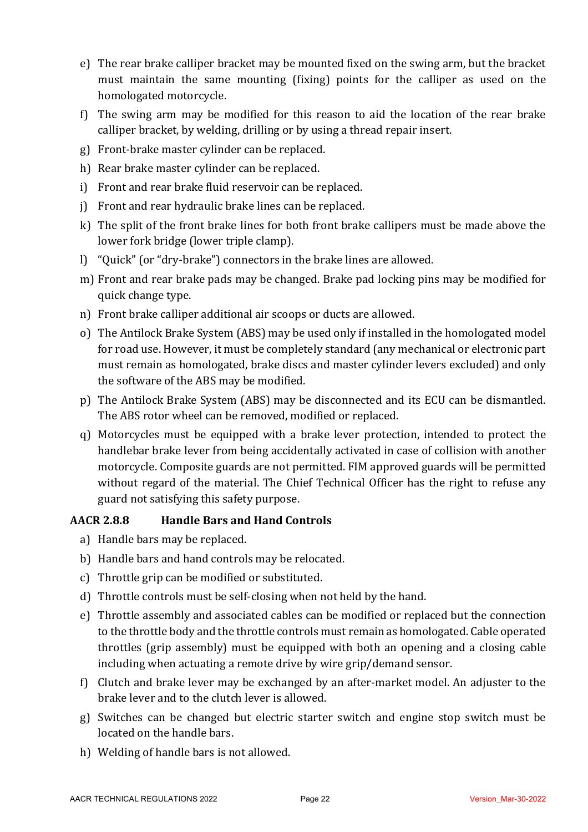- e) The rear brake calliper bracket may be mounted fixed on the swing arm, but the bracket must maintain the same mounting (fixing) points for the calliper as used on the homologated motorcycle.
- f) The swing arm may be modified for this reason to aid the location of the rear brake calliper bracket, by welding, drilling or by using a thread repair insert.
- g) Front-brake master cylinder can be replaced.
- h) Rear brake master cylinder can be replaced.
- i) Front and rear brake fluid reservoir can be replaced.
- j) Front and rear hydraulic brake lines can be replaced.
- k) The split of the front brake lines for both front brake callipers must be made above the lower fork bridge (lower triple clamp).
- l) "Quick" (or "dry-brake") connectors in the brake lines are allowed.
- m) Front and rear brake pads may be changed. Brake pad locking pins may be modified for quick change type.
- n) Front brake calliper additional air scoops or ducts are allowed.
- o) The Antilock Brake System (ABS) may be used only if installed in the homologated model for road use. However, it must be completely standard (any mechanical or electronic part must remain as homologated, brake discs and master cylinder levers excluded) and only the software of the ABS may be modified.
- p) The Antilock Brake System (ABS) may be disconnected and its ECU can be dismantled. The ABS rotor wheel can be removed, modified or replaced.
- q) Motorcycles must be equipped with a brake lever protection, intended to protect the handlebar brake lever from being accidentally activated in case of collision with another motorcycle. Composite guards are not permitted. FIM approved guards will be permitted without regard of the material. The Chief Technical Officer has the right to refuse any guard not satisfying this safety purpose.

# **AACR 2.8.8 Handle Bars and Hand Controls**

- a) Handle bars may be replaced.
- b) Handle bars and hand controls may be relocated.
- c) Throttle grip can be modified or substituted.
- d) Throttle controls must be self-closing when not held by the hand.
- e) Throttle assembly and associated cables can be modified or replaced but the connection to the throttle body and the throttle controls must remain as homologated. Cable operated throttles (grip assembly) must be equipped with both an opening and a closing cable including when actuating a remote drive by wire grip/demand sensor.
- f) Clutch and brake lever may be exchanged by an after-market model. An adjuster to the brake lever and to the clutch lever is allowed.
- g) Switches can be changed but electric starter switch and engine stop switch must be located on the handle bars.
- h) Welding of handle bars is not allowed.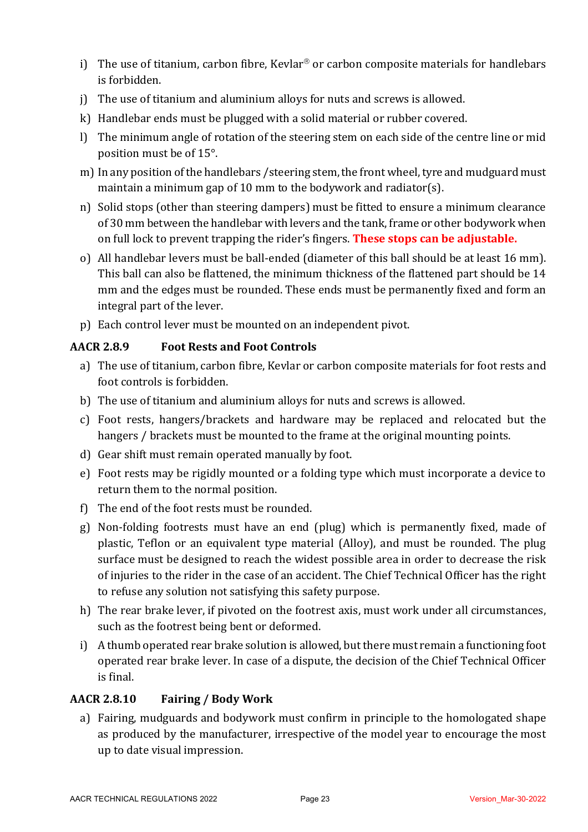- i) The use of titanium, carbon fibre, Kevlar<sup>®</sup> or carbon composite materials for handlebars is forbidden.
- j) The use of titanium and aluminium alloys for nuts and screws is allowed.
- k) Handlebar ends must be plugged with a solid material or rubber covered.
- l) The minimum angle of rotation of the steering stem on each side of the centre line or mid position must be of 15°.
- m) In any position of the handlebars / steering stem, the front wheel, tyre and mudguard must maintain a minimum gap of 10 mm to the bodywork and radiator(s).
- n) Solid stops (other than steering dampers) must be fitted to ensure a minimum clearance of 30 mm between the handlebar with levers and the tank, frame or other bodywork when on full lock to prevent trapping the rider's fingers. **These stops can be adjustable.**
- o) All handlebar levers must be ball-ended (diameter of this ball should be at least 16 mm). This ball can also be flattened, the minimum thickness of the flattened part should be 14 mm and the edges must be rounded. These ends must be permanently fixed and form an integral part of the lever.
- p) Each control lever must be mounted on an independent pivot.

# **AACR 2.8.9 Foot Rests and Foot Controls**

- a) The use of titanium, carbon fibre, Kevlar or carbon composite materials for foot rests and foot controls is forbidden.
- b) The use of titanium and aluminium alloys for nuts and screws is allowed.
- c) Foot rests, hangers/brackets and hardware may be replaced and relocated but the hangers / brackets must be mounted to the frame at the original mounting points.
- d) Gear shift must remain operated manually by foot.
- e) Foot rests may be rigidly mounted or a folding type which must incorporate a device to return them to the normal position.
- f) The end of the foot rests must be rounded.
- g) Non-folding footrests must have an end (plug) which is permanently fixed, made of plastic, Teflon or an equivalent type material (Alloy), and must be rounded. The plug surface must be designed to reach the widest possible area in order to decrease the risk of injuries to the rider in the case of an accident. The Chief Technical Officer has the right to refuse any solution not satisfying this safety purpose.
- h) The rear brake lever, if pivoted on the footrest axis, must work under all circumstances, such as the footrest being bent or deformed.
- i) A thumb operated rear brake solution is allowed, but there must remain a functioning foot operated rear brake lever. In case of a dispute, the decision of the Chief Technical Officer is final.

# **AACR 2.8.10 Fairing / Body Work**

a) Fairing, mudguards and bodywork must confirm in principle to the homologated shape as produced by the manufacturer, irrespective of the model year to encourage the most up to date visual impression.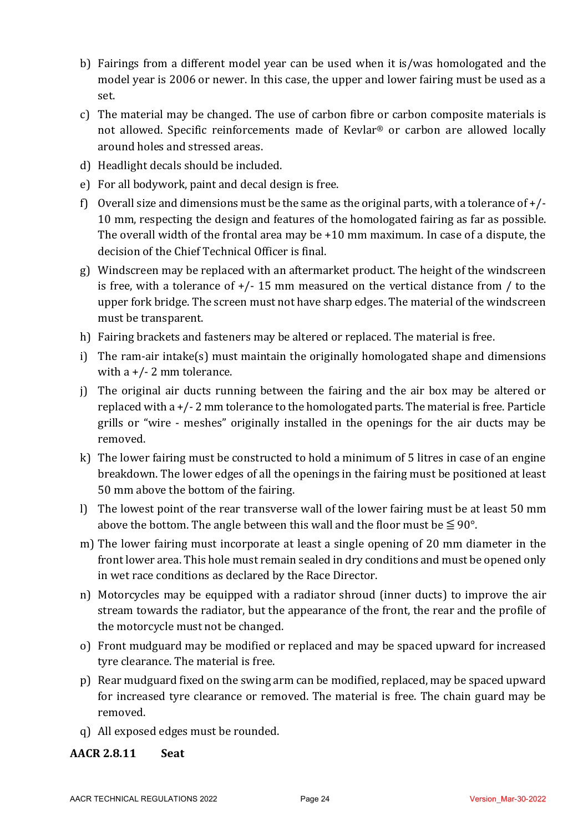- b) Fairings from a different model year can be used when it is/was homologated and the model year is 2006 or newer. In this case, the upper and lower fairing must be used as a set.
- c) The material may be changed. The use of carbon fibre or carbon composite materials is not allowed. Specific reinforcements made of Kevlar<sup>®</sup> or carbon are allowed locally around holes and stressed areas.
- d) Headlight decals should be included.
- e) For all bodywork, paint and decal design is free.
- f) Overall size and dimensions must be the same as the original parts, with a tolerance of  $+/-$ 10 mm, respecting the design and features of the homologated fairing as far as possible. The overall width of the frontal area may be  $+10$  mm maximum. In case of a dispute, the decision of the Chief Technical Officer is final.
- g) Windscreen may be replaced with an aftermarket product. The height of the windscreen is free, with a tolerance of  $+/- 15$  mm measured on the vertical distance from / to the upper fork bridge. The screen must not have sharp edges. The material of the windscreen must be transparent.
- h) Fairing brackets and fasteners may be altered or replaced. The material is free.
- i) The ram-air intake(s) must maintain the originally homologated shape and dimensions with  $a + (-2)$  mm tolerance.
- j) The original air ducts running between the fairing and the air box may be altered or replaced with  $a + (-2)$  mm tolerance to the homologated parts. The material is free. Particle grills or "wire - meshes" originally installed in the openings for the air ducts may be removed.
- k) The lower fairing must be constructed to hold a minimum of 5 litres in case of an engine breakdown. The lower edges of all the openings in the fairing must be positioned at least 50 mm above the bottom of the fairing.
- l) The lowest point of the rear transverse wall of the lower fairing must be at least 50 mm above the bottom. The angle between this wall and the floor must be  $\leq 90^{\circ}$ .
- m) The lower fairing must incorporate at least a single opening of 20 mm diameter in the front lower area. This hole must remain sealed in dry conditions and must be opened only in wet race conditions as declared by the Race Director.
- n) Motorcycles may be equipped with a radiator shroud (inner ducts) to improve the air stream towards the radiator, but the appearance of the front, the rear and the profile of the motorcycle must not be changed.
- o) Front mudguard may be modified or replaced and may be spaced upward for increased tyre clearance. The material is free.
- p) Rear mudguard fixed on the swing arm can be modified, replaced, may be spaced upward for increased tyre clearance or removed. The material is free. The chain guard may be removed.
- q) All exposed edges must be rounded.

#### **AACR 2.8.11 Seat**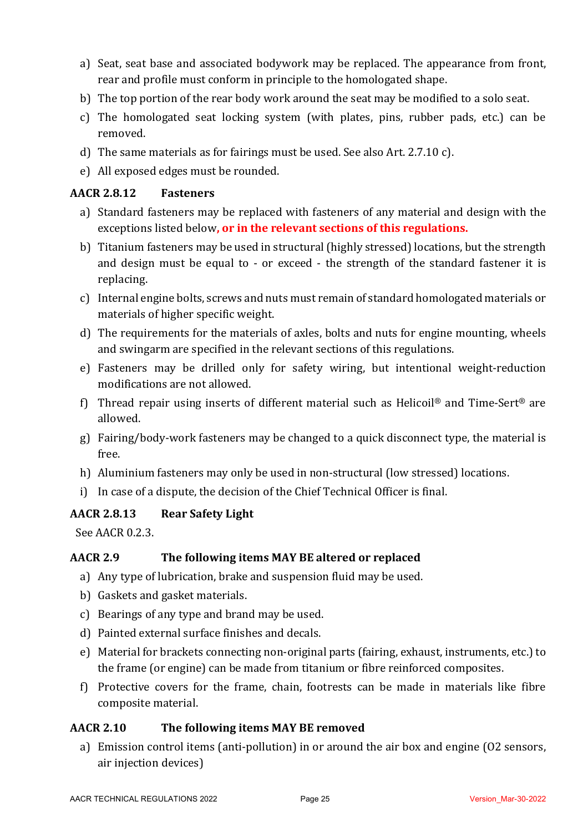- a) Seat, seat base and associated bodywork may be replaced. The appearance from front, rear and profile must conform in principle to the homologated shape.
- b) The top portion of the rear body work around the seat may be modified to a solo seat.
- c) The homologated seat locking system (with plates, pins, rubber pads, etc.) can be removed.
- d) The same materials as for fairings must be used. See also Art.  $2.7.10$  c).
- e) All exposed edges must be rounded.

### **AACR 2.8.12 Fasteners**

- a) Standard fasteners may be replaced with fasteners of any material and design with the exceptions listed below, or in the relevant sections of this regulations.
- b) Titanium fasteners may be used in structural (highly stressed) locations, but the strength and design must be equal to - or exceed - the strength of the standard fastener it is replacing.
- c) Internal engine bolts, screws and nuts must remain of standard homologated materials or materials of higher specific weight.
- d) The requirements for the materials of axles, bolts and nuts for engine mounting, wheels and swingarm are specified in the relevant sections of this regulations.
- e) Fasteners may be drilled only for safety wiring, but intentional weight-reduction modifications are not allowed.
- f) Thread repair using inserts of different material such as Helicoil<sup>®</sup> and Time-Sert<sup>®</sup> are allowed.
- $g$ ) Fairing/body-work fasteners may be changed to a quick disconnect type, the material is free.
- h) Aluminium fasteners may only be used in non-structural (low stressed) locations.
- i) In case of a dispute, the decision of the Chief Technical Officer is final.

#### **AACR 2.8.13 Rear Safety Light**

See AACR 0.2.3.

#### AACR 2.9 The following items MAY BE altered or replaced

- a) Any type of lubrication, brake and suspension fluid may be used.
- b) Gaskets and gasket materials.
- c) Bearings of any type and brand may be used.
- d) Painted external surface finishes and decals.
- e) Material for brackets connecting non-original parts (fairing, exhaust, instruments, etc.) to the frame (or engine) can be made from titanium or fibre reinforced composites.
- f) Protective covers for the frame, chain, footrests can be made in materials like fibre composite material.

#### AACR 2.10 The following items MAY BE removed

a) Emission control items (anti-pollution) in or around the air box and engine (O2 sensors, air injection devices)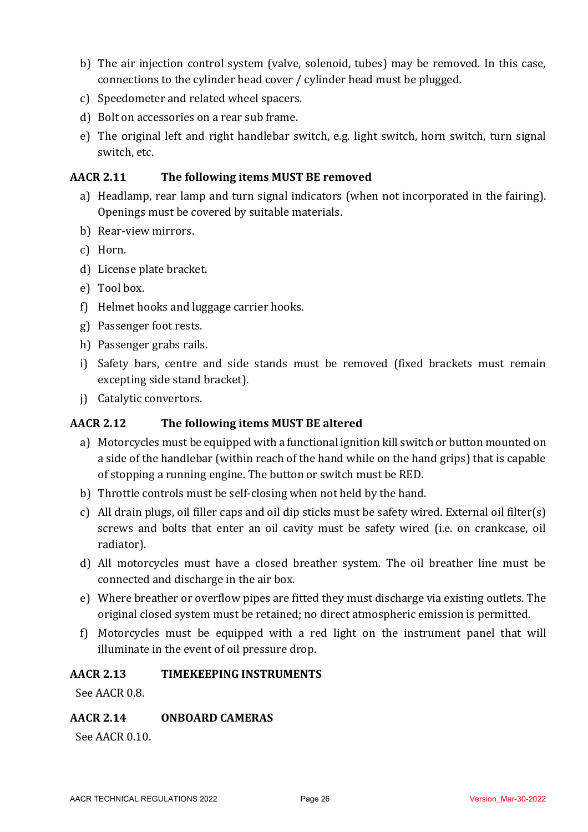- b) The air injection control system (valve, solenoid, tubes) may be removed. In this case, connections to the cylinder head cover / cylinder head must be plugged.
- c) Speedometer and related wheel spacers.
- d) Bolt on accessories on a rear sub frame.
- e) The original left and right handlebar switch, e.g. light switch, horn switch, turn signal switch, etc.

### AACR 2.11 The following items MUST BE removed

- a) Headlamp, rear lamp and turn signal indicators (when not incorporated in the fairing). Openings must be covered by suitable materials.
- b) Rear-view mirrors.
- c) Horn.
- d) License plate bracket.
- e) Tool box.
- f) Helmet hooks and luggage carrier hooks.
- g) Passenger foot rests.
- h) Passenger grabs rails.
- i) Safety bars, centre and side stands must be removed (fixed brackets must remain excepting side stand bracket).
- j) Catalytic convertors.

#### **AACR** 2.12 The following items MUST BE altered

- a) Motorcycles must be equipped with a functional ignition kill switch or button mounted on a side of the handlebar (within reach of the hand while on the hand grips) that is capable of stopping a running engine. The button or switch must be RED.
- b) Throttle controls must be self-closing when not held by the hand.
- c) All drain plugs, oil filler caps and oil dip sticks must be safety wired. External oil filter(s) screws and bolts that enter an oil cavity must be safety wired (i.e. on crankcase, oil radiator).
- d) All motorcycles must have a closed breather system. The oil breather line must be connected and discharge in the air box.
- e) Where breather or overflow pipes are fitted they must discharge via existing outlets. The original closed system must be retained; no direct atmospheric emission is permitted.
- f) Motorcycles must be equipped with a red light on the instrument panel that will illuminate in the event of oil pressure drop.

#### **AACR 2.13 TIMEKEEPING INSTRUMENTS**

See AACR 0.8.

#### **AACR 2.14 ONBOARD CAMERAS**

See AACR 0.10.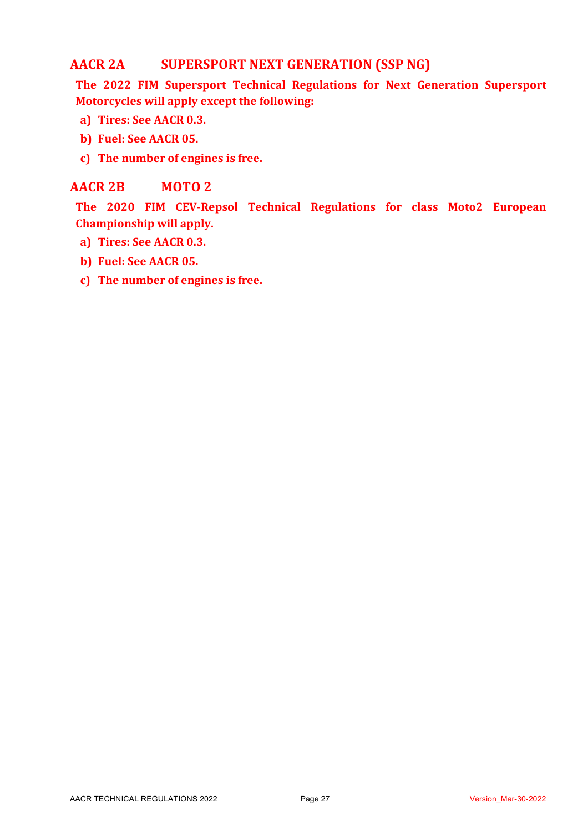# **AACR 2A SUPERSPORT NEXT GENERATION (SSP NG)**

The 2022 FIM Supersport Technical Regulations for Next Generation Supersport **Motorcycles will apply except the following:** 

- **a) Tires: See AACR 0.3.**
- **b) Fuel: See AACR 05.**
- c) The number of engines is free.

# **AACR 2B MOTO 2**

**The 2020 FIM CEV-Repsol Technical Regulations for class Moto2 European Championship will apply.**

- **a) Tires: See AACR 0.3.**
- **b) Fuel: See AACR 05.**
- c) The number of engines is free.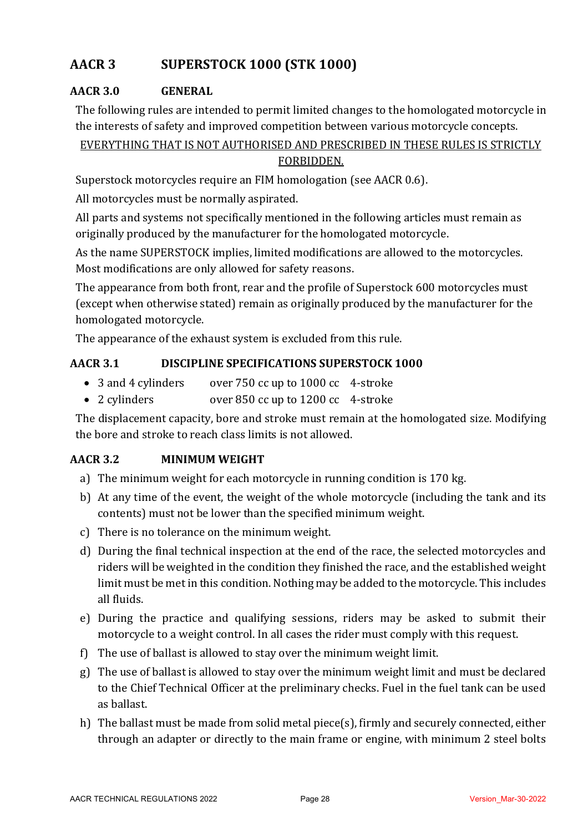# **AACR 3 SUPERSTOCK 1000 (STK 1000)**

# **AACR 3.0 GENERAL**

The following rules are intended to permit limited changes to the homologated motorcycle in the interests of safety and improved competition between various motorcycle concepts.

# EVERYTHING THAT IS NOT AUTHORISED AND PRESCRIBED IN THESE RULES IS STRICTLY FORBIDDEN.

Superstock motorcycles require an FIM homologation (see AACR 0.6).

All motorcycles must be normally aspirated.

All parts and systems not specifically mentioned in the following articles must remain as originally produced by the manufacturer for the homologated motorcycle.

As the name SUPERSTOCK implies, limited modifications are allowed to the motorcycles. Most modifications are only allowed for safety reasons.

The appearance from both front, rear and the profile of Superstock 600 motorcycles must (except when otherwise stated) remain as originally produced by the manufacturer for the homologated motorcycle.

The appearance of the exhaust system is excluded from this rule.

# **AACR 3.1 DISCIPLINE SPECIFICATIONS SUPERSTOCK 1000**

- 3 and 4 cylinders over 750 cc up to 1000 cc 4-stroke
- 2 cylinders over 850 cc up to 1200 cc 4-stroke

The displacement capacity, bore and stroke must remain at the homologated size. Modifying the bore and stroke to reach class limits is not allowed.

# **AACR 3.2 MINIMUM WEIGHT**

- a) The minimum weight for each motorcycle in running condition is 170 kg.
- b) At any time of the event, the weight of the whole motorcycle (including the tank and its contents) must not be lower than the specified minimum weight.
- c) There is no tolerance on the minimum weight.
- d) During the final technical inspection at the end of the race, the selected motorcycles and riders will be weighted in the condition they finished the race, and the established weight limit must be met in this condition. Nothing may be added to the motorcycle. This includes all fluids.
- e) During the practice and qualifying sessions, riders may be asked to submit their motorcycle to a weight control. In all cases the rider must comply with this request.
- f) The use of ballast is allowed to stay over the minimum weight limit.
- g) The use of ballast is allowed to stay over the minimum weight limit and must be declared to the Chief Technical Officer at the preliminary checks. Fuel in the fuel tank can be used as ballast.
- h) The ballast must be made from solid metal piece(s), firmly and securely connected, either through an adapter or directly to the main frame or engine, with minimum 2 steel bolts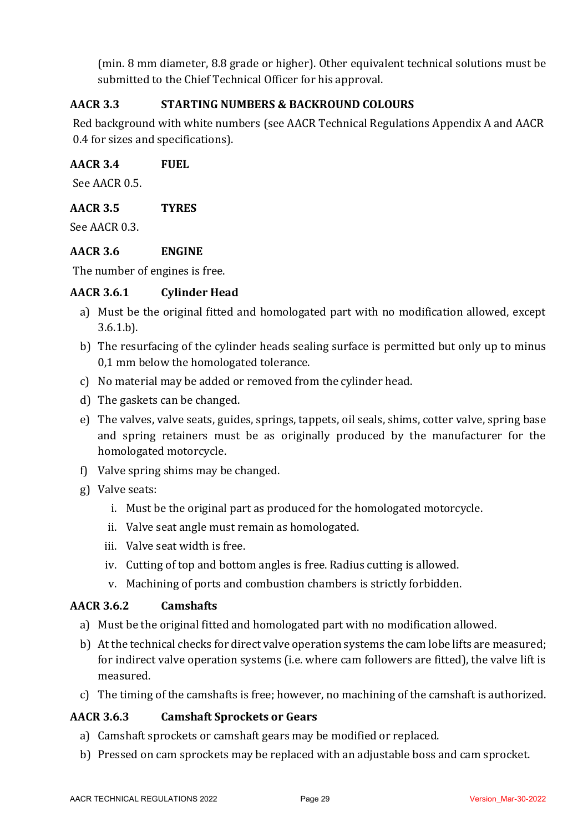(min. 8 mm diameter, 8.8 grade or higher). Other equivalent technical solutions must be submitted to the Chief Technical Officer for his approval.

# **AACR 3.3 STARTING NUMBERS & BACKROUND COLOURS**

Red background with white numbers (see AACR Technical Regulations Appendix A and AACR 0.4 for sizes and specifications).

### **AACR 3.4 FUEL**

See AACR 0.5.

### **AACR 3.5 TYRES**

See AACR 0.3.

### **AACR 3.6 ENGINE**

The number of engines is free.

### **AACR 3.6.1 Cylinder Head**

- a) Must be the original fitted and homologated part with no modification allowed, except 3.6.1.b).
- b) The resurfacing of the cylinder heads sealing surface is permitted but only up to minus 0,1 mm below the homologated tolerance.
- c) No material may be added or removed from the cylinder head.
- d) The gaskets can be changed.
- e) The valves, valve seats, guides, springs, tappets, oil seals, shims, cotter valve, spring base and spring retainers must be as originally produced by the manufacturer for the homologated motorcycle.
- f) Valve spring shims may be changed.
- g) Valve seats:
	- i. Must be the original part as produced for the homologated motorcycle.
	- ii. Valve seat angle must remain as homologated.
	- iii. Valve seat width is free.
	- iv. Cutting of top and bottom angles is free. Radius cutting is allowed.
	- v. Machining of ports and combustion chambers is strictly forbidden.

#### **AACR 3.6.2 Camshafts**

- a) Must be the original fitted and homologated part with no modification allowed.
- b) At the technical checks for direct valve operation systems the cam lobe lifts are measured; for indirect valve operation systems (i.e. where cam followers are fitted), the valve lift is measured.
- c) The timing of the camshafts is free; however, no machining of the camshaft is authorized.

#### **AACR 3.6.3 Camshaft Sprockets or Gears**

- a) Camshaft sprockets or camshaft gears may be modified or replaced.
- b) Pressed on cam sprockets may be replaced with an adjustable boss and cam sprocket.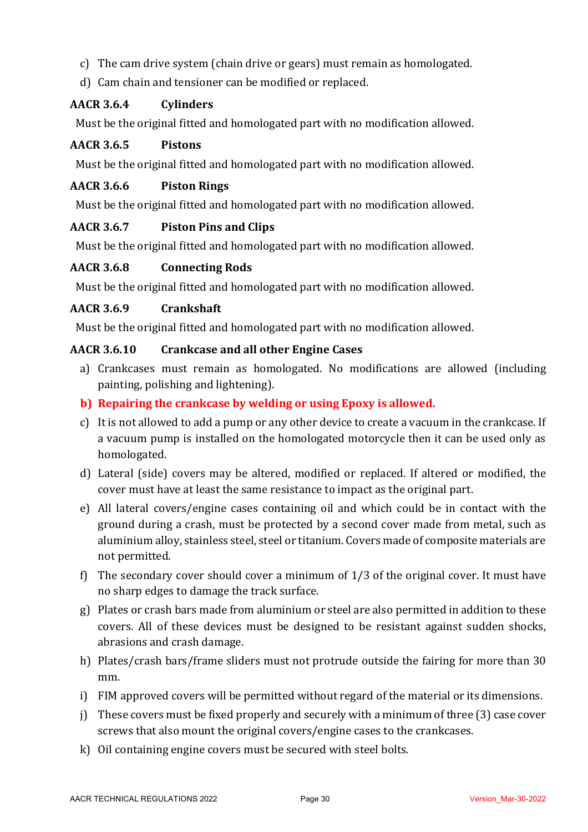- c) The cam drive system (chain drive or gears) must remain as homologated.
- d) Cam chain and tensioner can be modified or replaced.

# **AACR 3.6.4 Cylinders**

Must be the original fitted and homologated part with no modification allowed.

### **AACR 3.6.5 Pistons**

Must be the original fitted and homologated part with no modification allowed.

### **AACR 3.6.6 Piston Rings**

Must be the original fitted and homologated part with no modification allowed.

### **AACR 3.6.7 Piston Pins and Clips**

Must be the original fitted and homologated part with no modification allowed.

### **AACR 3.6.8 Connecting Rods**

Must be the original fitted and homologated part with no modification allowed.

### **AACR 3.6.9 Crankshaft**

Must be the original fitted and homologated part with no modification allowed.

#### **AACR 3.6.10 Crankcase and all other Engine Cases**

- a) Crankcases must remain as homologated. No modifications are allowed (including painting, polishing and lightening).
- **b)** Repairing the crankcase by welding or using Epoxy is allowed.
- c) It is not allowed to add a pump or any other device to create a vacuum in the crankcase. If a vacuum pump is installed on the homologated motorcycle then it can be used only as homologated.
- d) Lateral (side) covers may be altered, modified or replaced. If altered or modified, the cover must have at least the same resistance to impact as the original part.
- e) All lateral covers/engine cases containing oil and which could be in contact with the ground during a crash, must be protected by a second cover made from metal, such as aluminium alloy, stainless steel, steel or titanium. Covers made of composite materials are not permitted.
- f) The secondary cover should cover a minimum of  $1/3$  of the original cover. It must have no sharp edges to damage the track surface.
- g) Plates or crash bars made from aluminium or steel are also permitted in addition to these covers. All of these devices must be designed to be resistant against sudden shocks, abrasions and crash damage.
- h) Plates/crash bars/frame sliders must not protrude outside the fairing for more than 30 mm.
- i) FIM approved covers will be permitted without regard of the material or its dimensions.
- j) These covers must be fixed properly and securely with a minimum of three  $(3)$  case cover screws that also mount the original covers/engine cases to the crankcases.
- $k$ ) Oil containing engine covers must be secured with steel bolts.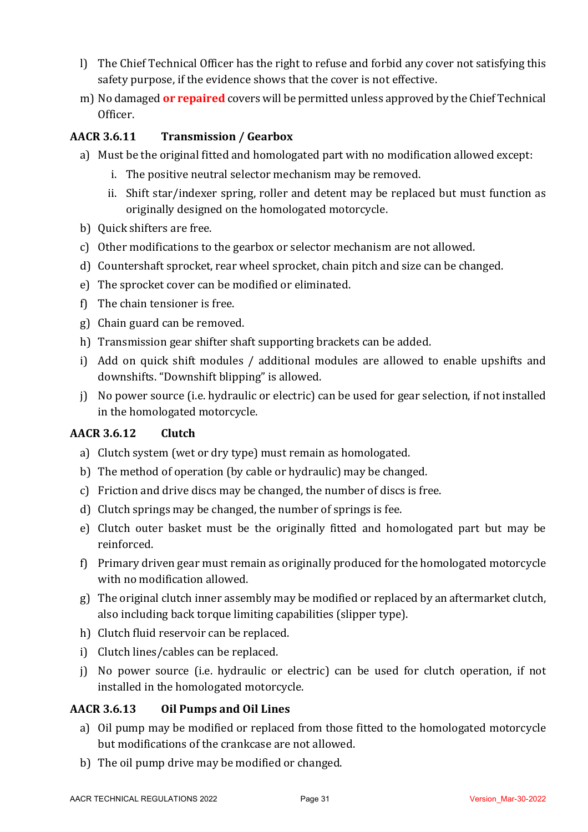- l) The Chief Technical Officer has the right to refuse and forbid any cover not satisfying this safety purpose, if the evidence shows that the cover is not effective.
- m) No damaged **or repaired** covers will be permitted unless approved by the Chief Technical Officer.

### **AACR 3.6.11 Transmission / Gearbox**

- a) Must be the original fitted and homologated part with no modification allowed except:
	- i. The positive neutral selector mechanism may be removed.
	- ii. Shift star/indexer spring, roller and detent may be replaced but must function as originally designed on the homologated motorcycle.
- b) Quick shifters are free.
- c) Other modifications to the gearbox or selector mechanism are not allowed.
- d) Countershaft sprocket, rear wheel sprocket, chain pitch and size can be changed.
- e) The sprocket cover can be modified or eliminated.
- f) The chain tensioner is free.
- g) Chain guard can be removed.
- h) Transmission gear shifter shaft supporting brackets can be added.
- i) Add on quick shift modules / additional modules are allowed to enable upshifts and downshifts. "Downshift blipping" is allowed.
- i) No power source (i.e. hydraulic or electric) can be used for gear selection, if not installed in the homologated motorcycle.

#### **AACR 3.6.12 Clutch**

- a) Clutch system (wet or dry type) must remain as homologated.
- b) The method of operation (by cable or hydraulic) may be changed.
- c) Friction and drive discs may be changed, the number of discs is free.
- d) Clutch springs may be changed, the number of springs is fee.
- e) Clutch outer basket must be the originally fitted and homologated part but may be reinforced.
- f) Primary driven gear must remain as originally produced for the homologated motorcycle with no modification allowed.
- g) The original clutch inner assembly may be modified or replaced by an aftermarket clutch, also including back torque limiting capabilities (slipper type).
- h) Clutch fluid reservoir can be replaced.
- i) Clutch lines/cables can be replaced.
- j) No power source (i.e. hydraulic or electric) can be used for clutch operation, if not installed in the homologated motorcycle.

#### **AACR 3.6.13 Oil Pumps and Oil Lines**

- a) Oil pump may be modified or replaced from those fitted to the homologated motorcycle but modifications of the crankcase are not allowed.
- b) The oil pump drive may be modified or changed.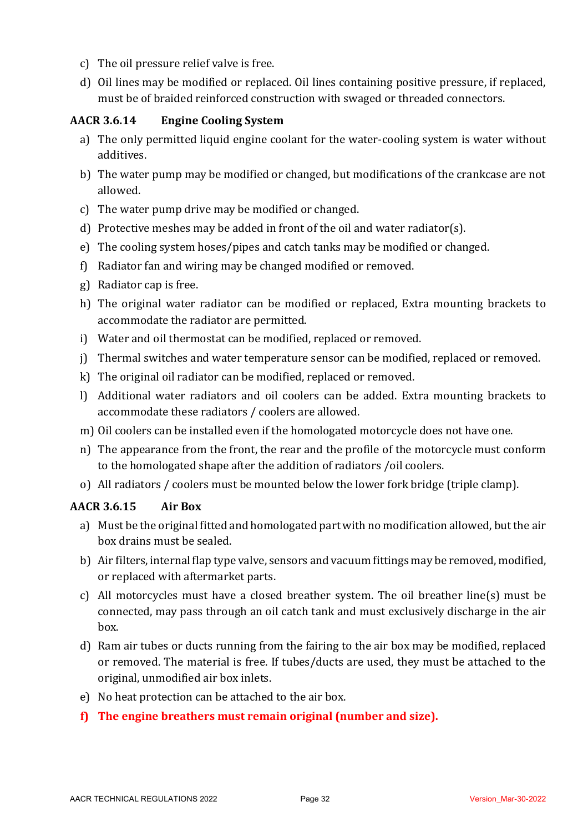- c) The oil pressure relief valve is free.
- d) Oil lines may be modified or replaced. Oil lines containing positive pressure, if replaced, must be of braided reinforced construction with swaged or threaded connectors.

# **AACR 3.6.14 Engine Cooling System**

- a) The only permitted liquid engine coolant for the water-cooling system is water without additives.
- b) The water pump may be modified or changed, but modifications of the crankcase are not allowed.
- c) The water pump drive may be modified or changed.
- d) Protective meshes may be added in front of the oil and water radiator(s).
- e) The cooling system hoses/pipes and catch tanks may be modified or changed.
- f) Radiator fan and wiring may be changed modified or removed.
- g) Radiator cap is free.
- h) The original water radiator can be modified or replaced, Extra mounting brackets to accommodate the radiator are permitted.
- i) Water and oil thermostat can be modified, replaced or removed.
- j) Thermal switches and water temperature sensor can be modified, replaced or removed.
- k) The original oil radiator can be modified, replaced or removed.
- l) Additional water radiators and oil coolers can be added. Extra mounting brackets to accommodate these radiators / coolers are allowed.
- m) Oil coolers can be installed even if the homologated motorcycle does not have one.
- n) The appearance from the front, the rear and the profile of the motorcycle must conform to the homologated shape after the addition of radiators /oil coolers.
- o) All radiators / coolers must be mounted below the lower fork bridge (triple clamp).

# **AACR 3.6.15 Air Box**

- a) Must be the original fitted and homologated part with no modification allowed, but the air box drains must be sealed.
- b) Air filters, internal flap type valve, sensors and vacuum fittings may be removed, modified, or replaced with aftermarket parts.
- c) All motorcycles must have a closed breather system. The oil breather line(s) must be connected, may pass through an oil catch tank and must exclusively discharge in the air box.
- d) Ram air tubes or ducts running from the fairing to the air box may be modified, replaced or removed. The material is free. If tubes/ducts are used, they must be attached to the original, unmodified air box inlets.
- e) No heat protection can be attached to the air box.
- f) The engine breathers must remain original (number and size).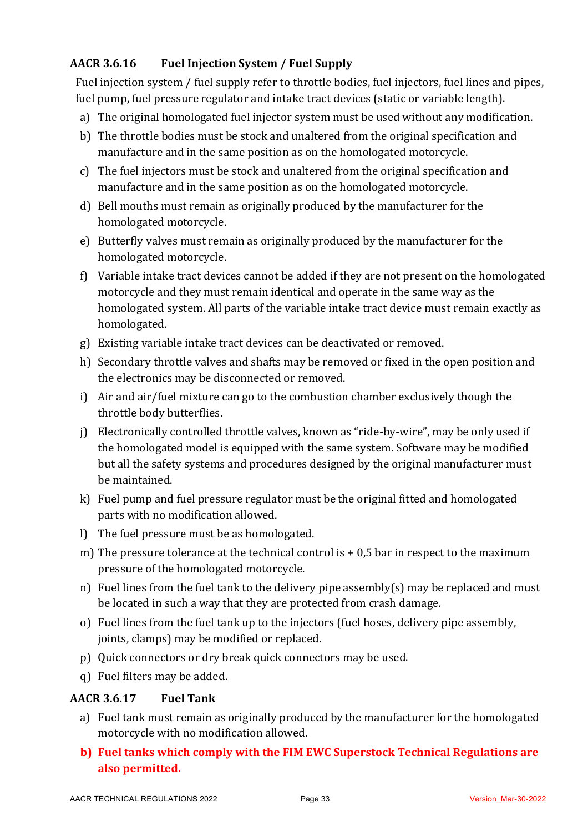# **AACR 3.6.16 Fuel Injection System / Fuel Supply**

Fuel injection system / fuel supply refer to throttle bodies, fuel injectors, fuel lines and pipes, fuel pump, fuel pressure regulator and intake tract devices (static or variable length).

- a) The original homologated fuel injector system must be used without any modification.
- b) The throttle bodies must be stock and unaltered from the original specification and manufacture and in the same position as on the homologated motorcycle.
- c) The fuel injectors must be stock and unaltered from the original specification and manufacture and in the same position as on the homologated motorcycle.
- d) Bell mouths must remain as originally produced by the manufacturer for the homologated motorcycle.
- e) Butterfly valves must remain as originally produced by the manufacturer for the homologated motorcycle.
- f) Variable intake tract devices cannot be added if they are not present on the homologated motorcycle and they must remain identical and operate in the same way as the homologated system. All parts of the variable intake tract device must remain exactly as homologated.
- g) Existing variable intake tract devices can be deactivated or removed.
- h) Secondary throttle valves and shafts may be removed or fixed in the open position and the electronics may be disconnected or removed.
- i) Air and air/fuel mixture can go to the combustion chamber exclusively though the throttle body butterflies.
- j) Electronically controlled throttle valves, known as "ride-by-wire", may be only used if the homologated model is equipped with the same system. Software may be modified but all the safety systems and procedures designed by the original manufacturer must be maintained.
- k) Fuel pump and fuel pressure regulator must be the original fitted and homologated parts with no modification allowed.
- l) The fuel pressure must be as homologated.
- m) The pressure tolerance at the technical control is  $+0.5$  bar in respect to the maximum pressure of the homologated motorcycle.
- n) Fuel lines from the fuel tank to the delivery pipe assembly(s) may be replaced and must be located in such a way that they are protected from crash damage.
- o) Fuel lines from the fuel tank up to the injectors (fuel hoses, delivery pipe assembly, joints, clamps) may be modified or replaced.
- p) Quick connectors or dry break quick connectors may be used.
- q) Fuel filters may be added.

# **AACR 3.6.17 Fuel Tank**

- a) Fuel tank must remain as originally produced by the manufacturer for the homologated motorcycle with no modification allowed.
- **b)** Fuel tanks which comply with the FIM EWC Superstock Technical Regulations are **also permitted.**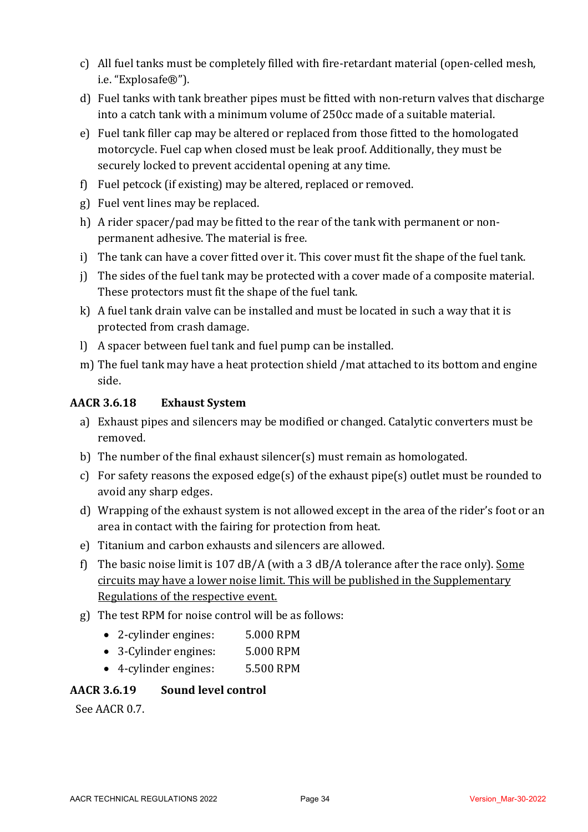- c) All fuel tanks must be completely filled with fire-retardant material (open-celled mesh, i.e. "Explosafe®").
- d) Fuel tanks with tank breather pipes must be fitted with non-return valves that discharge into a catch tank with a minimum volume of 250cc made of a suitable material.
- e) Fuel tank filler cap may be altered or replaced from those fitted to the homologated motorcycle. Fuel cap when closed must be leak proof. Additionally, they must be securely locked to prevent accidental opening at any time.
- f) Fuel petcock (if existing) may be altered, replaced or removed.
- g) Fuel vent lines may be replaced.
- h) A rider spacer/pad may be fitted to the rear of the tank with permanent or nonpermanent adhesive. The material is free.
- i) The tank can have a cover fitted over it. This cover must fit the shape of the fuel tank.
- j) The sides of the fuel tank may be protected with a cover made of a composite material. These protectors must fit the shape of the fuel tank.
- k) A fuel tank drain valve can be installed and must be located in such a way that it is protected from crash damage.
- l) A spacer between fuel tank and fuel pump can be installed.
- m) The fuel tank may have a heat protection shield /mat attached to its bottom and engine side.

# **AACR 3.6.18 Exhaust System**

- a) Exhaust pipes and silencers may be modified or changed. Catalytic converters must be removed.
- b) The number of the final exhaust silencer(s) must remain as homologated.
- c) For safety reasons the exposed edge(s) of the exhaust pipe(s) outlet must be rounded to avoid any sharp edges.
- d) Wrapping of the exhaust system is not allowed except in the area of the rider's foot or an area in contact with the fairing for protection from heat.
- e) Titanium and carbon exhausts and silencers are allowed.
- f) The basic noise limit is 107 dB/A (with a 3 dB/A tolerance after the race only). Some circuits may have a lower noise limit. This will be published in the Supplementary Regulations of the respective event.
- g) The test RPM for noise control will be as follows:
	- 2-cylinder engines: 5.000 RPM
	- 3-Cylinder engines: 5.000 RPM
	- 4-cylinder engines: 5.500 RPM

# **AACR 3.6.19 Sound level control**

See AACR 0.7.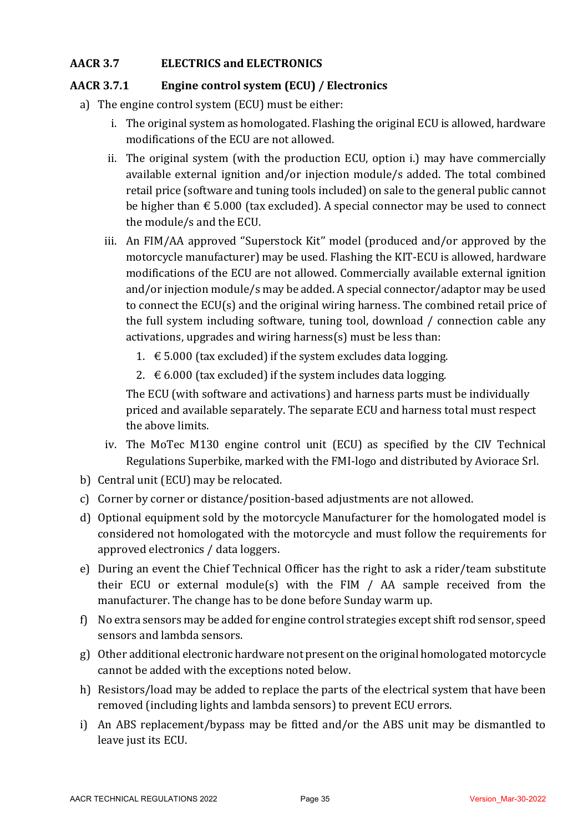# **AACR 3.7 ELECTRICS and ELECTRONICS**

# AACR 3.7.1 **Engine control system (ECU)** / Electronics

- a) The engine control system (ECU) must be either:
	- i. The original system as homologated. Flashing the original ECU is allowed, hardware modifications of the ECU are not allowed.
	- ii. The original system (with the production ECU, option i.) may have commercially available external ignition and/or injection module/s added. The total combined retail price (software and tuning tools included) on sale to the general public cannot be higher than  $\epsilon$  5.000 (tax excluded). A special connector may be used to connect the module/s and the ECU.
	- iii. An FIM/AA approved "Superstock Kit" model (produced and/or approved by the motorcycle manufacturer) may be used. Flashing the KIT-ECU is allowed, hardware modifications of the ECU are not allowed. Commercially available external ignition and/or injection module/s may be added. A special connector/adaptor may be used to connect the  $ECU(s)$  and the original wiring harness. The combined retail price of the full system including software, tuning tool, download  $/$  connection cable any activations, upgrades and wiring harness(s) must be less than:
		- 1.  $\epsilon$  5.000 (tax excluded) if the system excludes data logging.
		- 2.  $\epsilon$  6.000 (tax excluded) if the system includes data logging.

The ECU (with software and activations) and harness parts must be individually priced and available separately. The separate ECU and harness total must respect the above limits.

- iv. The MoTec M130 engine control unit (ECU) as specified by the CIV Technical Regulations Superbike, marked with the FMI-logo and distributed by Aviorace Srl.
- b) Central unit (ECU) may be relocated.
- c) Corner by corner or distance/position-based adjustments are not allowed.
- d) Optional equipment sold by the motorcycle Manufacturer for the homologated model is considered not homologated with the motorcycle and must follow the requirements for approved electronics / data loggers.
- e) During an event the Chief Technical Officer has the right to ask a rider/team substitute their ECU or external module(s) with the FIM  $/$  AA sample received from the manufacturer. The change has to be done before Sunday warm up.
- f) No extra sensors may be added for engine control strategies except shift rod sensor, speed sensors and lambda sensors.
- $g$ ) Other additional electronic hardware not present on the original homologated motorcycle cannot be added with the exceptions noted below.
- h) Resistors/load may be added to replace the parts of the electrical system that have been removed (including lights and lambda sensors) to prevent ECU errors.
- i) An ABS replacement/bypass may be fitted and/or the ABS unit may be dismantled to leave just its ECU.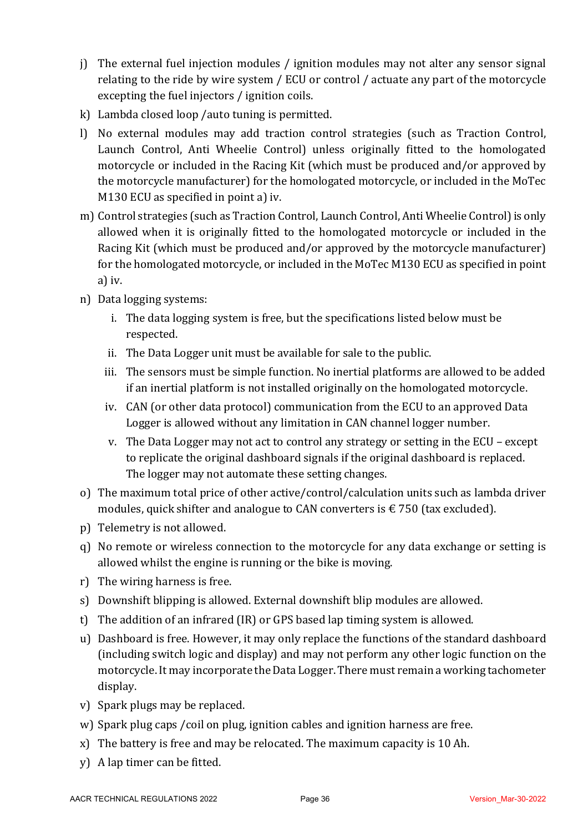- i) The external fuel injection modules / ignition modules may not alter any sensor signal relating to the ride by wire system / ECU or control / actuate any part of the motorcycle excepting the fuel injectors / ignition coils.
- k) Lambda closed loop /auto tuning is permitted.
- l) No external modules may add traction control strategies (such as Traction Control, Launch Control, Anti Wheelie Control) unless originally fitted to the homologated motorcycle or included in the Racing Kit (which must be produced and/or approved by the motorcycle manufacturer) for the homologated motorcycle, or included in the MoTec  $M130$  ECU as specified in point a) iv.
- m) Control strategies (such as Traction Control, Launch Control, Anti Wheelie Control) is only allowed when it is originally fitted to the homologated motorcycle or included in the Racing Kit (which must be produced and/or approved by the motorcycle manufacturer) for the homologated motorcycle, or included in the MoTec M130 ECU as specified in point a) iv.
- n) Data logging systems:
	- i. The data logging system is free, but the specifications listed below must be respected.
	- ii. The Data Logger unit must be available for sale to the public.
	- iii. The sensors must be simple function. No inertial platforms are allowed to be added if an inertial platform is not installed originally on the homologated motorcycle.
	- iv. CAN (or other data protocol) communication from the ECU to an approved Data Logger is allowed without any limitation in CAN channel logger number.
	- v. The Data Logger may not act to control any strategy or setting in the  $ECU$  except to replicate the original dashboard signals if the original dashboard is replaced. The logger may not automate these setting changes.
- o) The maximum total price of other active/control/calculation units such as lambda driver modules, quick shifter and analogue to CAN converters is  $\epsilon$  750 (tax excluded).
- p) Telemetry is not allowed.
- g) No remote or wireless connection to the motorcycle for any data exchange or setting is allowed whilst the engine is running or the bike is moving.
- r) The wiring harness is free.
- s) Downshift blipping is allowed. External downshift blip modules are allowed.
- t) The addition of an infrared (IR) or GPS based lap timing system is allowed.
- u) Dashboard is free. However, it may only replace the functions of the standard dashboard (including switch logic and display) and may not perform any other logic function on the motorcycle. It may incorporate the Data Logger. There must remain a working tachometer display.
- v) Spark plugs may be replaced.
- w) Spark plug caps / coil on plug, ignition cables and ignition harness are free.
- x) The battery is free and may be relocated. The maximum capacity is 10 Ah.
- $y)$  A lap timer can be fitted.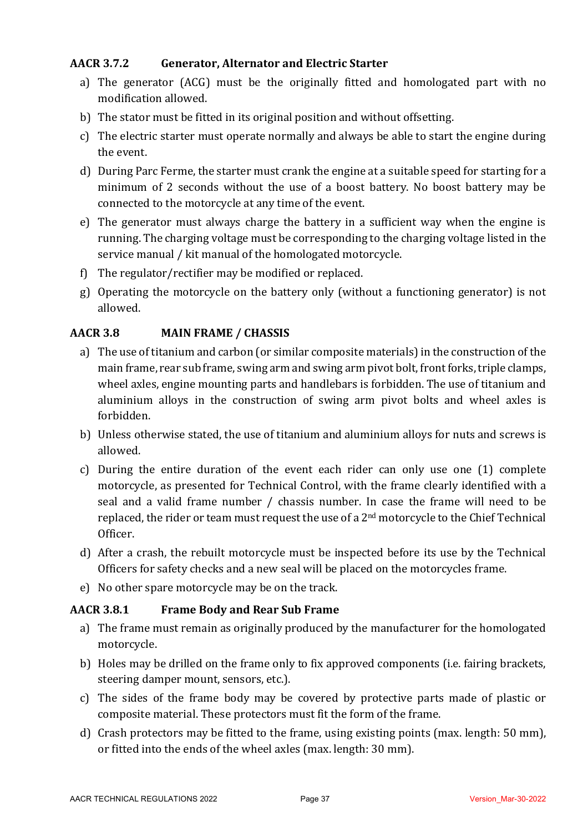# **AACR 3.7.2 Generator, Alternator and Electric Starter**

- a) The generator (ACG) must be the originally fitted and homologated part with no modification allowed.
- b) The stator must be fitted in its original position and without offsetting.
- c) The electric starter must operate normally and always be able to start the engine during the event.
- d) During Parc Ferme, the starter must crank the engine at a suitable speed for starting for a minimum of 2 seconds without the use of a boost battery. No boost battery may be connected to the motorcycle at any time of the event.
- e) The generator must always charge the battery in a sufficient way when the engine is running. The charging voltage must be corresponding to the charging voltage listed in the service manual / kit manual of the homologated motorcycle.
- f) The regulator/rectifier may be modified or replaced.
- g) Operating the motorcycle on the battery only (without a functioning generator) is not allowed.

### **AACR 3.8 MAIN FRAME / CHASSIS**

- a) The use of titanium and carbon (or similar composite materials) in the construction of the main frame, rear sub frame, swing arm and swing arm pivot bolt, front forks, triple clamps, wheel axles, engine mounting parts and handlebars is forbidden. The use of titanium and aluminium alloys in the construction of swing arm pivot bolts and wheel axles is forbidden.
- b) Unless otherwise stated, the use of titanium and aluminium alloys for nuts and screws is allowed.
- c) During the entire duration of the event each rider can only use one (1) complete motorcycle, as presented for Technical Control, with the frame clearly identified with a seal and a valid frame number / chassis number. In case the frame will need to be replaced, the rider or team must request the use of a  $2<sup>nd</sup>$  motorcycle to the Chief Technical Officer.
- d) After a crash, the rebuilt motorcycle must be inspected before its use by the Technical Officers for safety checks and a new seal will be placed on the motorcycles frame.
- e) No other spare motorcycle may be on the track.

#### **AACR 3.8.1 Frame Body and Rear Sub Frame**

- a) The frame must remain as originally produced by the manufacturer for the homologated motorcycle.
- b) Holes may be drilled on the frame only to fix approved components (i.e. fairing brackets, steering damper mount, sensors, etc.).
- c) The sides of the frame body may be covered by protective parts made of plastic or composite material. These protectors must fit the form of the frame.
- d) Crash protectors may be fitted to the frame, using existing points (max. length: 50 mm), or fitted into the ends of the wheel axles (max. length: 30 mm).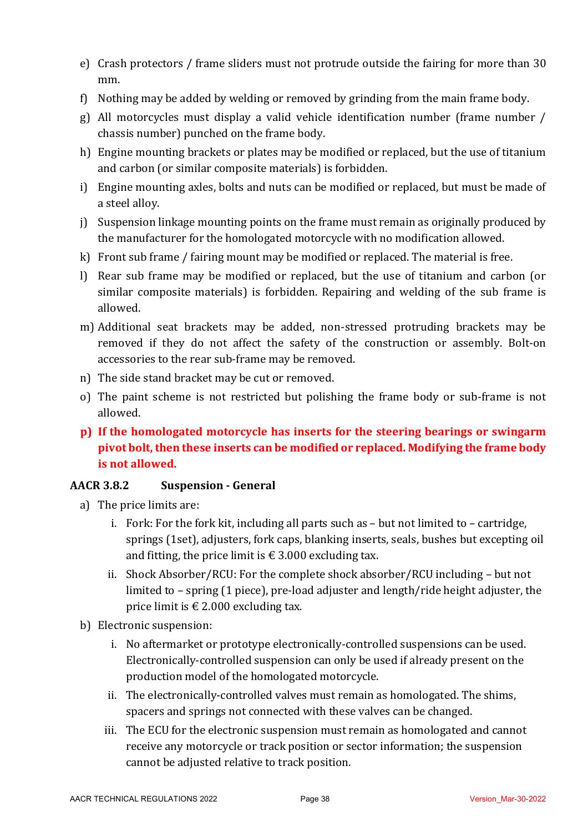- e) Crash protectors / frame sliders must not protrude outside the fairing for more than 30 mm.
- f) Nothing may be added by welding or removed by grinding from the main frame body.
- g) All motorcycles must display a valid vehicle identification number (frame number / chassis number) punched on the frame body.
- h) Engine mounting brackets or plates may be modified or replaced, but the use of titanium and carbon (or similar composite materials) is forbidden.
- i) Engine mounting axles, bolts and nuts can be modified or replaced, but must be made of a steel alloy.
- i) Suspension linkage mounting points on the frame must remain as originally produced by the manufacturer for the homologated motorcycle with no modification allowed.
- k) Front sub frame  $\ell$  fairing mount may be modified or replaced. The material is free.
- l) Rear sub frame may be modified or replaced, but the use of titanium and carbon (or similar composite materials) is forbidden. Repairing and welding of the sub frame is allowed.
- m) Additional seat brackets may be added, non-stressed protruding brackets may be removed if they do not affect the safety of the construction or assembly. Bolt-on accessories to the rear sub-frame may be removed.
- n) The side stand bracket may be cut or removed.
- o) The paint scheme is not restricted but polishing the frame body or sub-frame is not allowed.
- **p**) If the homologated motorcycle has inserts for the steering bearings or swingarm pivot bolt, then these inserts can be modified or replaced. Modifying the frame body **is not allowed.**

# **AACR 3.8.2 Suspension - General**

- a) The price limits are:
	- i. Fork: For the fork kit, including all parts such as  $-$  but not limited to  $-$  cartridge, springs (1set), adjusters, fork caps, blanking inserts, seals, bushes but excepting oil and fitting, the price limit is  $\epsilon$  3.000 excluding tax.
	- ii. Shock Absorber/RCU: For the complete shock absorber/RCU including but not limited to - spring (1 piece), pre-load adjuster and length/ride height adjuster, the price limit is  $\epsilon$  2.000 excluding tax.
- b) Electronic suspension:
	- i. No aftermarket or prototype electronically-controlled suspensions can be used. Electronically-controlled suspension can only be used if already present on the production model of the homologated motorcycle.
	- ii. The electronically-controlled valves must remain as homologated. The shims, spacers and springs not connected with these valves can be changed.
	- iii. The ECU for the electronic suspension must remain as homologated and cannot receive any motorcycle or track position or sector information; the suspension cannot be adjusted relative to track position.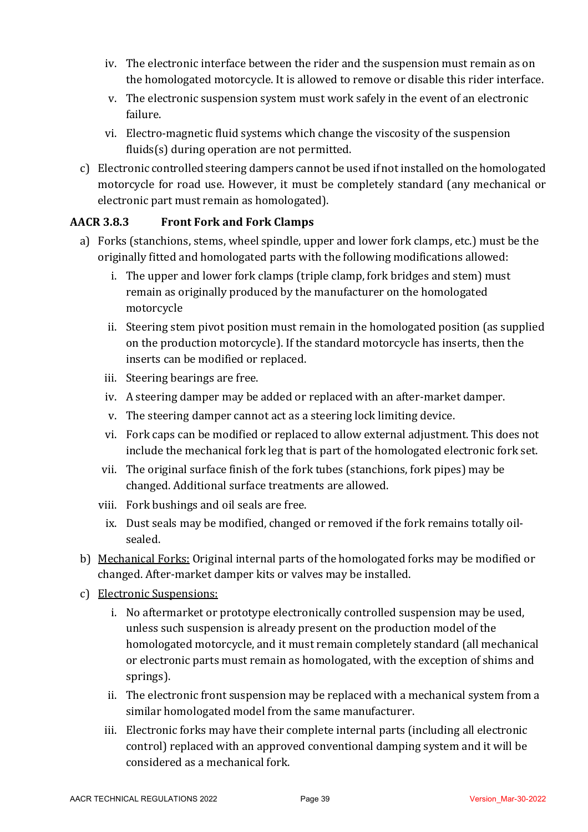- iv. The electronic interface between the rider and the suspension must remain as on the homologated motorcycle. It is allowed to remove or disable this rider interface.
- v. The electronic suspension system must work safely in the event of an electronic failure.
- vi. Electro-magnetic fluid systems which change the viscosity of the suspension  $fluids(s)$  during operation are not permitted.
- c) Electronic controlled steering dampers cannot be used if not installed on the homologated motorcycle for road use. However, it must be completely standard (any mechanical or electronic part must remain as homologated).

# **AACR 3.8.3 Front Fork and Fork Clamps**

- a) Forks (stanchions, stems, wheel spindle, upper and lower fork clamps, etc.) must be the originally fitted and homologated parts with the following modifications allowed:
	- i. The upper and lower fork clamps (triple clamp, fork bridges and stem) must remain as originally produced by the manufacturer on the homologated motorcycle
	- ii. Steering stem pivot position must remain in the homologated position (as supplied on the production motorcycle). If the standard motorcycle has inserts, then the inserts can be modified or replaced.
	- iii. Steering bearings are free.
	- iv. A steering damper may be added or replaced with an after-market damper.
	- v. The steering damper cannot act as a steering lock limiting device.
	- vi. Fork caps can be modified or replaced to allow external adjustment. This does not include the mechanical fork leg that is part of the homologated electronic fork set.
	- vii. The original surface finish of the fork tubes (stanchions, fork pipes) may be changed. Additional surface treatments are allowed.
	- viii. Fork bushings and oil seals are free.
		- ix. Dust seals may be modified, changed or removed if the fork remains totally oilsealed.
- b) Mechanical Forks: Original internal parts of the homologated forks may be modified or changed. After-market damper kits or valves may be installed.
- c) Electronic Suspensions:
	- i. No aftermarket or prototype electronically controlled suspension may be used, unless such suspension is already present on the production model of the homologated motorcycle, and it must remain completely standard (all mechanical or electronic parts must remain as homologated, with the exception of shims and springs).
	- ii. The electronic front suspension may be replaced with a mechanical system from a similar homologated model from the same manufacturer.
	- iii. Electronic forks may have their complete internal parts (including all electronic control) replaced with an approved conventional damping system and it will be considered as a mechanical fork.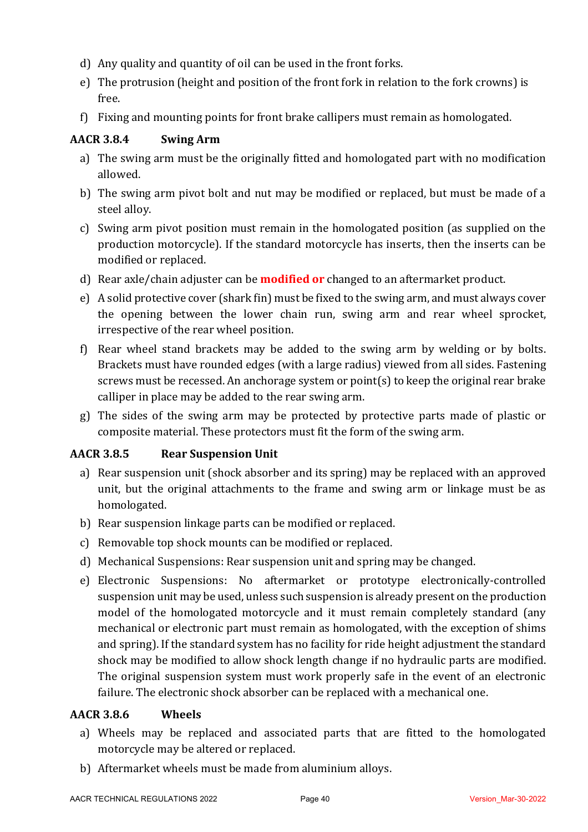- d) Any quality and quantity of oil can be used in the front forks.
- e) The protrusion (height and position of the front fork in relation to the fork crowns) is free.
- f) Fixing and mounting points for front brake callipers must remain as homologated.

# **AACR 3.8.4 Swing Arm**

- a) The swing arm must be the originally fitted and homologated part with no modification allowed.
- b) The swing arm pivot bolt and nut may be modified or replaced, but must be made of a steel alloy.
- c) Swing arm pivot position must remain in the homologated position (as supplied on the production motorcycle). If the standard motorcycle has inserts, then the inserts can be modified or replaced.
- d) Rear axle/chain adjuster can be **modified or** changed to an aftermarket product.
- e) A solid protective cover (shark fin) must be fixed to the swing arm, and must always cover the opening between the lower chain run, swing arm and rear wheel sprocket, irrespective of the rear wheel position.
- f) Rear wheel stand brackets may be added to the swing arm by welding or by bolts. Brackets must have rounded edges (with a large radius) viewed from all sides. Fastening screws must be recessed. An anchorage system or point(s) to keep the original rear brake calliper in place may be added to the rear swing arm.
- g) The sides of the swing arm may be protected by protective parts made of plastic or composite material. These protectors must fit the form of the swing arm.

# **AACR 3.8.5 Rear Suspension Unit**

- a) Rear suspension unit (shock absorber and its spring) may be replaced with an approved unit, but the original attachments to the frame and swing arm or linkage must be as homologated.
- b) Rear suspension linkage parts can be modified or replaced.
- c) Removable top shock mounts can be modified or replaced.
- d) Mechanical Suspensions: Rear suspension unit and spring may be changed.
- e) Electronic Suspensions: No aftermarket or prototype electronically-controlled suspension unit may be used, unless such suspension is already present on the production model of the homologated motorcycle and it must remain completely standard (any mechanical or electronic part must remain as homologated, with the exception of shims and spring). If the standard system has no facility for ride height adjustment the standard shock may be modified to allow shock length change if no hydraulic parts are modified. The original suspension system must work properly safe in the event of an electronic failure. The electronic shock absorber can be replaced with a mechanical one.

#### **AACR 3.8.6 Wheels**

- a) Wheels may be replaced and associated parts that are fitted to the homologated motorcycle may be altered or replaced.
- b) Aftermarket wheels must be made from aluminium alloys.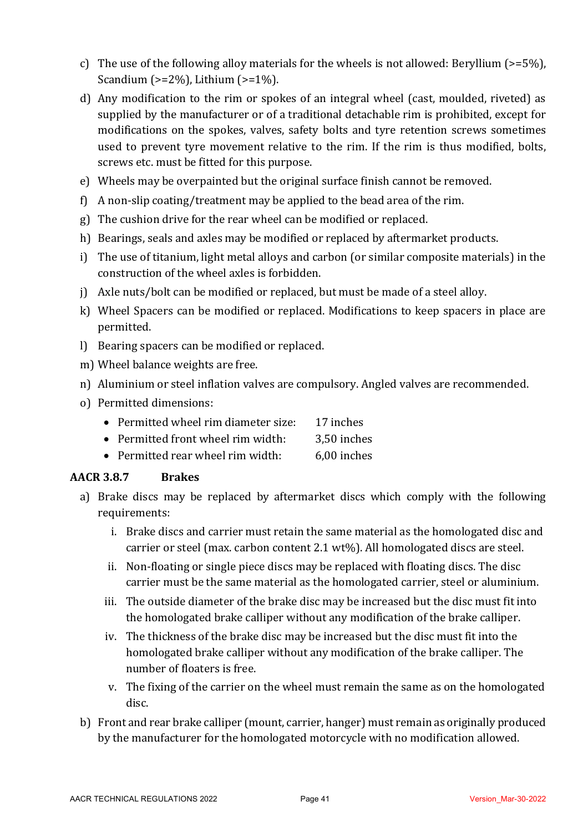- c) The use of the following alloy materials for the wheels is not allowed: Beryllium  $(>=5\%)$ , Scandium  $(>=2\%)$ , Lithium  $(>=1\%)$ .
- d) Any modification to the rim or spokes of an integral wheel (cast, moulded, riveted) as supplied by the manufacturer or of a traditional detachable rim is prohibited, except for modifications on the spokes, valves, safety bolts and tyre retention screws sometimes used to prevent tyre movement relative to the rim. If the rim is thus modified, bolts, screws etc. must be fitted for this purpose.
- e) Wheels may be overpainted but the original surface finish cannot be removed.
- f) A non-slip coating/treatment may be applied to the bead area of the rim.
- g) The cushion drive for the rear wheel can be modified or replaced.
- h) Bearings, seals and axles may be modified or replaced by aftermarket products.
- i) The use of titanium, light metal alloys and carbon (or similar composite materials) in the construction of the wheel axles is forbidden.
- j) Axle nuts/bolt can be modified or replaced, but must be made of a steel alloy.
- k) Wheel Spacers can be modified or replaced. Modifications to keep spacers in place are permitted.
- l) Bearing spacers can be modified or replaced.
- m) Wheel balance weights are free.
- n) Aluminium or steel inflation valves are compulsory. Angled valves are recommended.
- o) Permitted dimensions:
	- Permitted wheel rim diameter size: 17 inches
	- Permitted front wheel rim width: 3.50 inches
	- Permitted rear wheel rim width: 6,00 inches

# **AACR 3.8.7 Brakes**

- a) Brake discs may be replaced by aftermarket discs which comply with the following requirements:
	- i. Brake discs and carrier must retain the same material as the homologated disc and carrier or steel (max. carbon content 2.1 wt%). All homologated discs are steel.
	- ii. Non-floating or single piece discs may be replaced with floating discs. The disc carrier must be the same material as the homologated carrier, steel or aluminium.
	- iii. The outside diameter of the brake disc may be increased but the disc must fit into the homologated brake calliper without any modification of the brake calliper.
	- iv. The thickness of the brake disc may be increased but the disc must fit into the homologated brake calliper without any modification of the brake calliper. The number of floaters is free.
	- v. The fixing of the carrier on the wheel must remain the same as on the homologated disc.
- b) Front and rear brake calliper (mount, carrier, hanger) must remain as originally produced by the manufacturer for the homologated motorcycle with no modification allowed.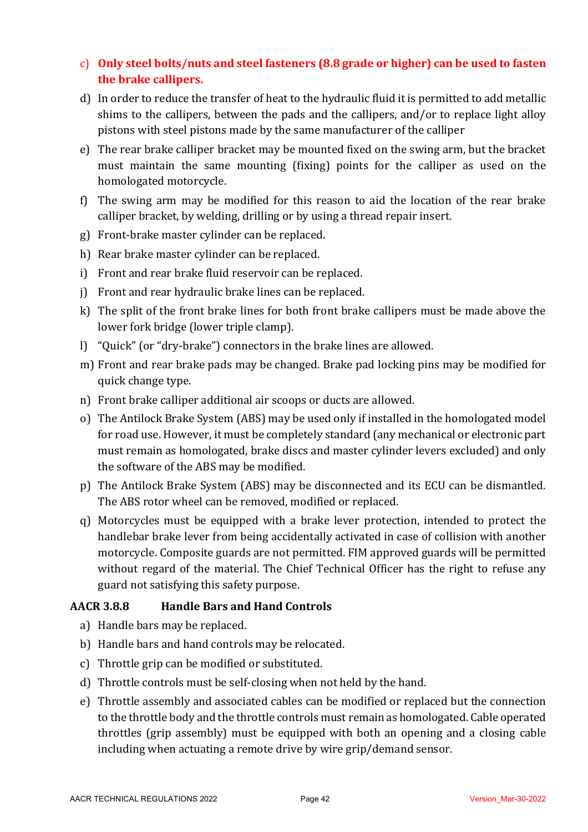# c) Only steel bolts/nuts and steel fasteners (8.8 grade or higher) can be used to fasten **the brake callipers.**

- d) In order to reduce the transfer of heat to the hydraulic fluid it is permitted to add metallic shims to the callipers, between the pads and the callipers, and/or to replace light alloy pistons with steel pistons made by the same manufacturer of the calliper
- e) The rear brake calliper bracket may be mounted fixed on the swing arm, but the bracket must maintain the same mounting (fixing) points for the calliper as used on the homologated motorcycle.
- f) The swing arm may be modified for this reason to aid the location of the rear brake calliper bracket, by welding, drilling or by using a thread repair insert.
- g) Front-brake master cylinder can be replaced.
- h) Rear brake master cylinder can be replaced.
- i) Front and rear brake fluid reservoir can be replaced.
- j) Front and rear hydraulic brake lines can be replaced.
- k) The split of the front brake lines for both front brake callipers must be made above the lower fork bridge (lower triple clamp).
- l) "Quick" (or "dry-brake") connectors in the brake lines are allowed.
- m) Front and rear brake pads may be changed. Brake pad locking pins may be modified for quick change type.
- n) Front brake calliper additional air scoops or ducts are allowed.
- o) The Antilock Brake System (ABS) may be used only if installed in the homologated model for road use. However, it must be completely standard (any mechanical or electronic part must remain as homologated, brake discs and master cylinder levers excluded) and only the software of the ABS may be modified.
- p) The Antilock Brake System (ABS) may be disconnected and its ECU can be dismantled. The ABS rotor wheel can be removed, modified or replaced.
- q) Motorcycles must be equipped with a brake lever protection, intended to protect the handlebar brake lever from being accidentally activated in case of collision with another motorcycle. Composite guards are not permitted. FIM approved guards will be permitted without regard of the material. The Chief Technical Officer has the right to refuse any guard not satisfying this safety purpose.

# **AACR 3.8.8 Handle Bars and Hand Controls**

- a) Handle bars may be replaced.
- b) Handle bars and hand controls may be relocated.
- c) Throttle grip can be modified or substituted.
- d) Throttle controls must be self-closing when not held by the hand.
- e) Throttle assembly and associated cables can be modified or replaced but the connection to the throttle body and the throttle controls must remain as homologated. Cable operated throttles (grip assembly) must be equipped with both an opening and a closing cable including when actuating a remote drive by wire grip/demand sensor.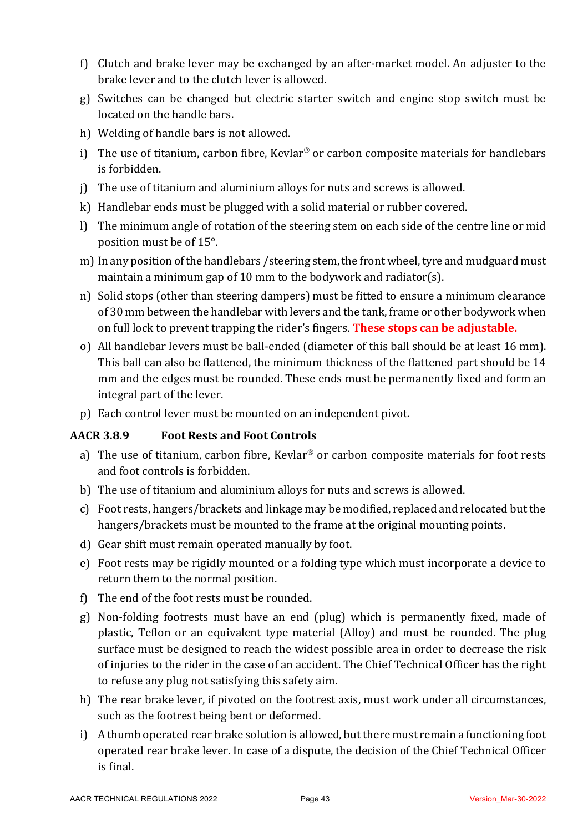- f) Clutch and brake lever may be exchanged by an after-market model. An adjuster to the brake lever and to the clutch lever is allowed.
- g) Switches can be changed but electric starter switch and engine stop switch must be located on the handle bars.
- h) Welding of handle bars is not allowed.
- i) The use of titanium, carbon fibre, Kevlar<sup>®</sup> or carbon composite materials for handlebars is forbidden.
- j) The use of titanium and aluminium alloys for nuts and screws is allowed.
- k) Handlebar ends must be plugged with a solid material or rubber covered.
- l) The minimum angle of rotation of the steering stem on each side of the centre line or mid position must be of 15°.
- m) In any position of the handlebars / steering stem, the front wheel, tyre and mudguard must maintain a minimum gap of 10 mm to the bodywork and radiator(s).
- n) Solid stops (other than steering dampers) must be fitted to ensure a minimum clearance of 30 mm between the handlebar with levers and the tank, frame or other bodywork when on full lock to prevent trapping the rider's fingers. **These stops can be adjustable.**
- o) All handlebar levers must be ball-ended (diameter of this ball should be at least 16 mm). This ball can also be flattened, the minimum thickness of the flattened part should be 14 mm and the edges must be rounded. These ends must be permanently fixed and form an integral part of the lever.
- p) Each control lever must be mounted on an independent pivot.

#### **AACR 3.8.9 Foot Rests and Foot Controls**

- a) The use of titanium, carbon fibre, Kevlar<sup>®</sup> or carbon composite materials for foot rests and foot controls is forbidden.
- b) The use of titanium and aluminium alloys for nuts and screws is allowed.
- c) Foot rests, hangers/brackets and linkage may be modified, replaced and relocated but the hangers/brackets must be mounted to the frame at the original mounting points.
- d) Gear shift must remain operated manually by foot.
- e) Foot rests may be rigidly mounted or a folding type which must incorporate a device to return them to the normal position.
- f) The end of the foot rests must be rounded.
- g) Non-folding footrests must have an end (plug) which is permanently fixed, made of plastic, Teflon or an equivalent type material (Alloy) and must be rounded. The plug surface must be designed to reach the widest possible area in order to decrease the risk of injuries to the rider in the case of an accident. The Chief Technical Officer has the right to refuse any plug not satisfying this safety aim.
- h) The rear brake lever, if pivoted on the footrest axis, must work under all circumstances, such as the footrest being bent or deformed.
- i) A thumb operated rear brake solution is allowed, but there must remain a functioning foot operated rear brake lever. In case of a dispute, the decision of the Chief Technical Officer is final.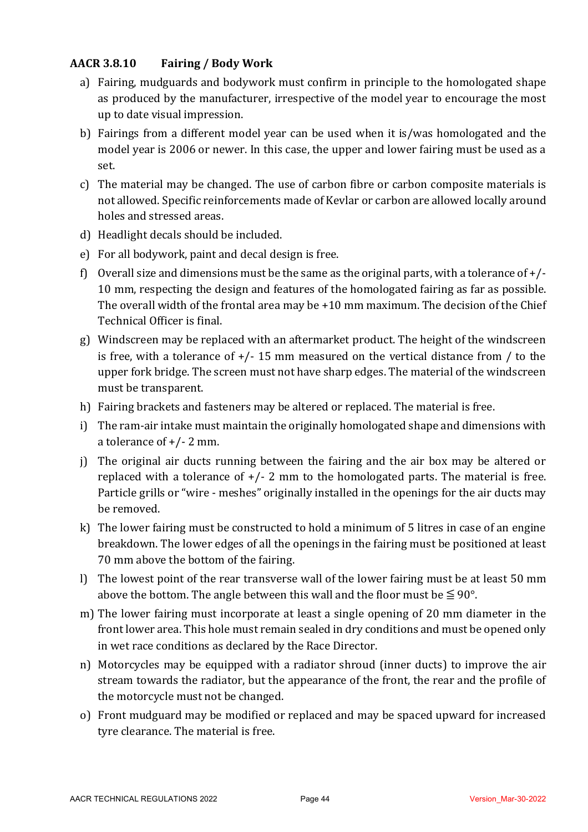### **AACR 3.8.10 Fairing / Body Work**

- a) Fairing, mudguards and bodywork must confirm in principle to the homologated shape as produced by the manufacturer, irrespective of the model year to encourage the most up to date visual impression.
- b) Fairings from a different model year can be used when it is/was homologated and the model year is 2006 or newer. In this case, the upper and lower fairing must be used as a set.
- c) The material may be changed. The use of carbon fibre or carbon composite materials is not allowed. Specific reinforcements made of Kevlar or carbon are allowed locally around holes and stressed areas.
- d) Headlight decals should be included.
- e) For all bodywork, paint and decal design is free.
- f) Overall size and dimensions must be the same as the original parts, with a tolerance of  $+/-$ 10 mm, respecting the design and features of the homologated fairing as far as possible. The overall width of the frontal area may be  $+10$  mm maximum. The decision of the Chief Technical Officer is final.
- g) Windscreen may be replaced with an aftermarket product. The height of the windscreen is free, with a tolerance of  $+/-$  15 mm measured on the vertical distance from / to the upper fork bridge. The screen must not have sharp edges. The material of the windscreen must be transparent.
- h) Fairing brackets and fasteners may be altered or replaced. The material is free.
- i) The ram-air intake must maintain the originally homologated shape and dimensions with a tolerance of  $+/- 2$  mm.
- j) The original air ducts running between the fairing and the air box may be altered or replaced with a tolerance of  $+/- 2$  mm to the homologated parts. The material is free. Particle grills or "wire - meshes" originally installed in the openings for the air ducts may be removed.
- k) The lower fairing must be constructed to hold a minimum of 5 litres in case of an engine breakdown. The lower edges of all the openings in the fairing must be positioned at least 70 mm above the bottom of the fairing.
- l) The lowest point of the rear transverse wall of the lower fairing must be at least 50 mm above the bottom. The angle between this wall and the floor must be  $\leq 90^{\circ}$ .
- m) The lower fairing must incorporate at least a single opening of 20 mm diameter in the front lower area. This hole must remain sealed in dry conditions and must be opened only in wet race conditions as declared by the Race Director.
- n) Motorcycles may be equipped with a radiator shroud (inner ducts) to improve the air stream towards the radiator, but the appearance of the front, the rear and the profile of the motorcycle must not be changed.
- o) Front mudguard may be modified or replaced and may be spaced upward for increased tyre clearance. The material is free.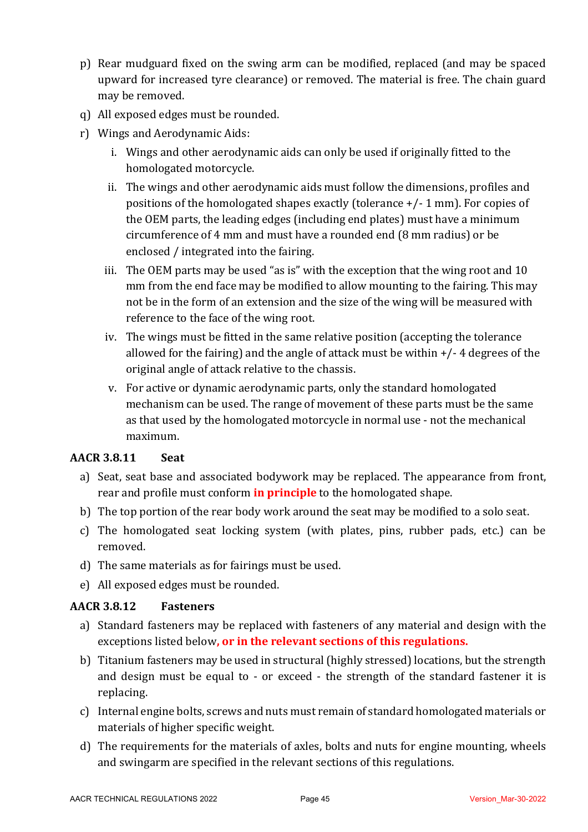- p) Rear mudguard fixed on the swing arm can be modified, replaced (and may be spaced upward for increased tyre clearance) or removed. The material is free. The chain guard may be removed.
- q) All exposed edges must be rounded.
- r) Wings and Aerodynamic Aids:
	- i. Wings and other aerodynamic aids can only be used if originally fitted to the homologated motorcycle.
	- ii. The wings and other aerodynamic aids must follow the dimensions, profiles and positions of the homologated shapes exactly (tolerance  $+/- 1$  mm). For copies of the OEM parts, the leading edges (including end plates) must have a minimum circumference of 4 mm and must have a rounded end (8 mm radius) or be enclosed / integrated into the fairing.
	- iii. The OEM parts may be used "as is" with the exception that the wing root and  $10$ mm from the end face may be modified to allow mounting to the fairing. This may not be in the form of an extension and the size of the wing will be measured with reference to the face of the wing root.
	- iv. The wings must be fitted in the same relative position (accepting the tolerance allowed for the fairing) and the angle of attack must be within  $+/- 4$  degrees of the original angle of attack relative to the chassis.
	- v. For active or dynamic aerodynamic parts, only the standard homologated mechanism can be used. The range of movement of these parts must be the same as that used by the homologated motorcycle in normal use - not the mechanical maximum.

#### **AACR 3.8.11 Seat**

- a) Seat, seat base and associated bodywork may be replaced. The appearance from front, rear and profile must conform **in principle** to the homologated shape.
- b) The top portion of the rear body work around the seat may be modified to a solo seat.
- c) The homologated seat locking system (with plates, pins, rubber pads, etc.) can be removed.
- d) The same materials as for fairings must be used.
- e) All exposed edges must be rounded.

#### **AACR 3.8.12 Fasteners**

- a) Standard fasteners may be replaced with fasteners of any material and design with the exceptions listed below, or in the relevant sections of this regulations.
- b) Titanium fasteners may be used in structural (highly stressed) locations, but the strength and design must be equal to - or exceed - the strength of the standard fastener it is replacing.
- c) Internal engine bolts, screws and nuts must remain of standard homologated materials or materials of higher specific weight.
- d) The requirements for the materials of axles, bolts and nuts for engine mounting, wheels and swingarm are specified in the relevant sections of this regulations.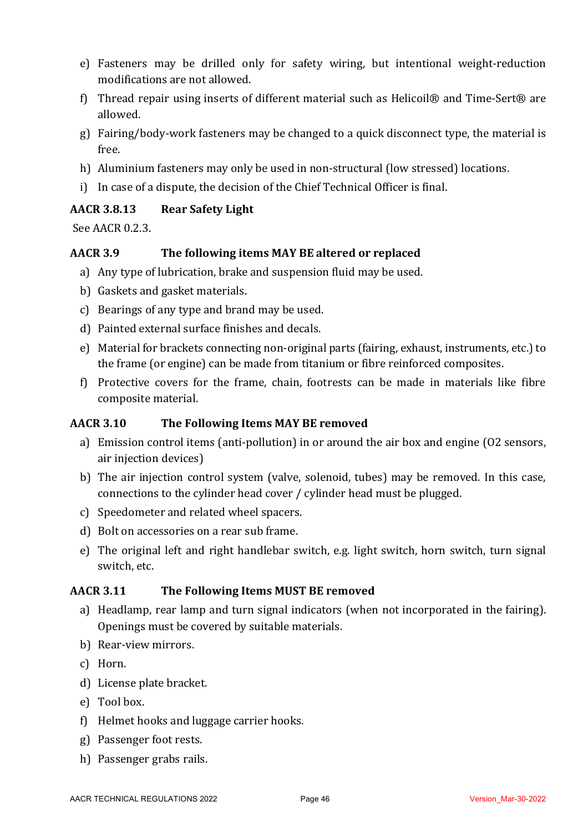- e) Fasteners may be drilled only for safety wiring, but intentional weight-reduction modifications are not allowed.
- f) Thread repair using inserts of different material such as Helicoil® and Time-Sert® are allowed.
- g) Fairing/body-work fasteners may be changed to a quick disconnect type, the material is free.
- h) Aluminium fasteners may only be used in non-structural (low stressed) locations.
- i) In case of a dispute, the decision of the Chief Technical Officer is final.

#### **AACR 3.8.13 Rear Safety Light**

See AACR 0.2.3.

### AACR 3.9 The following items MAY BE altered or replaced

- a) Any type of lubrication, brake and suspension fluid may be used.
- b) Gaskets and gasket materials.
- c) Bearings of any type and brand may be used.
- d) Painted external surface finishes and decals.
- e) Material for brackets connecting non-original parts (fairing, exhaust, instruments, etc.) to the frame (or engine) can be made from titanium or fibre reinforced composites.
- f) Protective covers for the frame, chain, footrests can be made in materials like fibre composite material.

#### AACR 3.10 The Following Items MAY BE removed

- a) Emission control items (anti-pollution) in or around the air box and engine (O2 sensors, air injection devices)
- b) The air injection control system (valve, solenoid, tubes) may be removed. In this case, connections to the cylinder head cover / cylinder head must be plugged.
- c) Speedometer and related wheel spacers.
- d) Bolt on accessories on a rear sub frame.
- e) The original left and right handlebar switch, e.g. light switch, horn switch, turn signal switch, etc.

#### AACR 3.11 The Following Items MUST BE removed

- a) Headlamp, rear lamp and turn signal indicators (when not incorporated in the fairing). Openings must be covered by suitable materials.
- b) Rear-view mirrors.
- c) Horn.
- d) License plate bracket.
- e) Tool box.
- $f$ ) Helmet hooks and luggage carrier hooks.
- g) Passenger foot rests.
- h) Passenger grabs rails.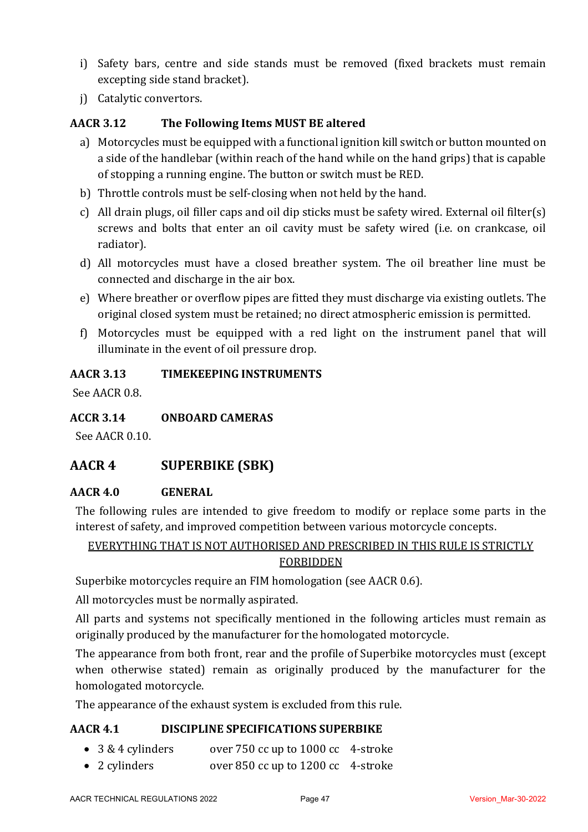- i) Safety bars, centre and side stands must be removed (fixed brackets must remain excepting side stand bracket).
- j) Catalytic convertors.

### AACR 3.12 The Following Items MUST BE altered

- a) Motorcycles must be equipped with a functional ignition kill switch or button mounted on a side of the handlebar (within reach of the hand while on the hand grips) that is capable of stopping a running engine. The button or switch must be RED.
- b) Throttle controls must be self-closing when not held by the hand.
- c) All drain plugs, oil filler caps and oil dip sticks must be safety wired. External oil filter(s) screws and bolts that enter an oil cavity must be safety wired (i.e. on crankcase, oil radiator).
- d) All motorcycles must have a closed breather system. The oil breather line must be connected and discharge in the air box.
- e) Where breather or overflow pipes are fitted they must discharge via existing outlets. The original closed system must be retained; no direct atmospheric emission is permitted.
- f) Motorcycles must be equipped with a red light on the instrument panel that will illuminate in the event of oil pressure drop.

#### **AACR 3.13 TIMEKEEPING INSTRUMENTS**

See AACR 0.8.

#### **ACCR 3.14 ONBOARD CAMERAS**

See AACR 0.10.

# **AACR 4 SUPERBIKE (SBK)**

#### **AACR 4.0 GENERAL**

The following rules are intended to give freedom to modify or replace some parts in the interest of safety, and improved competition between various motorcycle concepts.

### EVERYTHING THAT IS NOT AUTHORISED AND PRESCRIBED IN THIS RULE IS STRICTLY FORBIDDEN

Superbike motorcycles require an FIM homologation (see AACR 0.6).

All motorcycles must be normally aspirated.

All parts and systems not specifically mentioned in the following articles must remain as originally produced by the manufacturer for the homologated motorcycle.

The appearance from both front, rear and the profile of Superbike motorcycles must (except when otherwise stated) remain as originally produced by the manufacturer for the homologated motorcycle.

The appearance of the exhaust system is excluded from this rule.

#### **AACR 4.1 DISCIPLINE SPECIFICATIONS SUPERBIKE**

- 3 & 4 cylinders over 750 cc up to 1000 cc 4-stroke
- 2 cylinders over 850 cc up to 1200 cc 4-stroke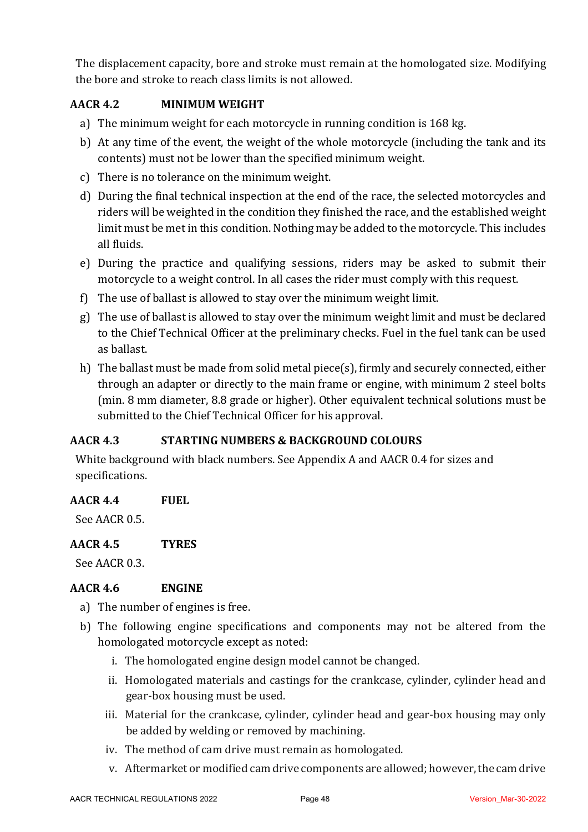The displacement capacity, bore and stroke must remain at the homologated size. Modifying the bore and stroke to reach class limits is not allowed.

# **AACR 4.2 MINIMUM WEIGHT**

- a) The minimum weight for each motorcycle in running condition is 168 kg.
- b) At any time of the event, the weight of the whole motorcycle (including the tank and its contents) must not be lower than the specified minimum weight.
- c) There is no tolerance on the minimum weight.
- d) During the final technical inspection at the end of the race, the selected motorcycles and riders will be weighted in the condition they finished the race, and the established weight limit must be met in this condition. Nothing may be added to the motorcycle. This includes all fluids.
- e) During the practice and qualifying sessions, riders may be asked to submit their motorcycle to a weight control. In all cases the rider must comply with this request.
- f) The use of ballast is allowed to stay over the minimum weight limit.
- $g$ ) The use of ballast is allowed to stay over the minimum weight limit and must be declared to the Chief Technical Officer at the preliminary checks. Fuel in the fuel tank can be used as ballast.
- h) The ballast must be made from solid metal piece(s), firmly and securely connected, either through an adapter or directly to the main frame or engine, with minimum 2 steel bolts (min. 8 mm diameter, 8.8 grade or higher). Other equivalent technical solutions must be submitted to the Chief Technical Officer for his approval.

# **AACR 4.3 STARTING NUMBERS & BACKGROUND COLOURS**

White background with black numbers. See Appendix A and AACR 0.4 for sizes and specifications.

# **AACR 4.4 FUEL**

See AACR 0.5.

# **AACR 4.5 TYRES**

See AACR 0.3.

# **AACR 4.6 ENGINE**

- a) The number of engines is free.
- b) The following engine specifications and components may not be altered from the homologated motorcycle except as noted:
	- i. The homologated engine design model cannot be changed.
	- ii. Homologated materials and castings for the crankcase, cylinder, cylinder head and gear-box housing must be used.
	- iii. Material for the crankcase, cylinder, cylinder head and gear-box housing may only be added by welding or removed by machining.
	- iv. The method of cam drive must remain as homologated.
	- v. Aftermarket or modified cam drive components are allowed; however, the cam drive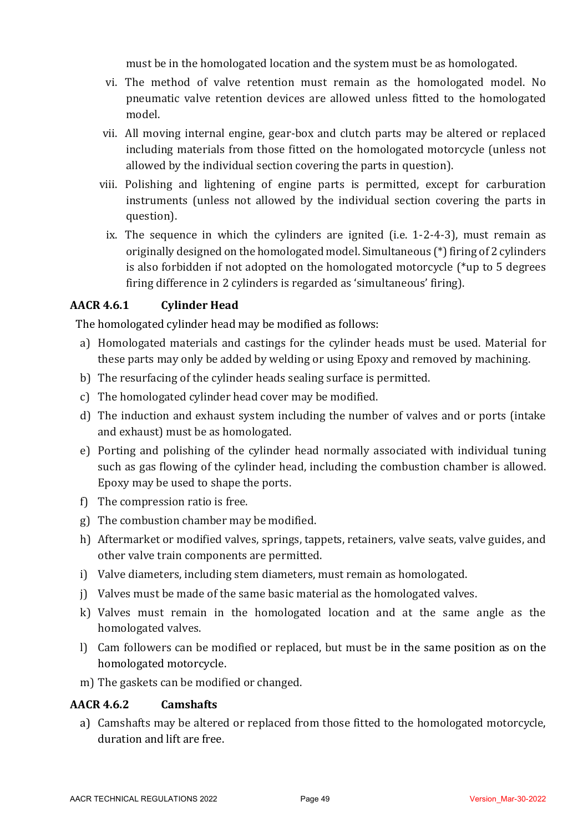must be in the homologated location and the system must be as homologated.

- vi. The method of valve retention must remain as the homologated model. No pneumatic valve retention devices are allowed unless fitted to the homologated model.
- vii. All moving internal engine, gear-box and clutch parts may be altered or replaced including materials from those fitted on the homologated motorcycle (unless not allowed by the individual section covering the parts in question).
- viii. Polishing and lightening of engine parts is permitted, except for carburation instruments (unless not allowed by the individual section covering the parts in question).
	- ix. The sequence in which the cylinders are ignited (i.e.  $1-2-4-3$ ), must remain as originally designed on the homologated model. Simultaneous  $(*)$  firing of 2 cylinders is also forbidden if not adopted on the homologated motorcycle  $(*$ up to 5 degrees firing difference in 2 cylinders is regarded as 'simultaneous' firing).

#### **AACR 4.6.1 Cylinder Head**

The homologated cylinder head may be modified as follows:

- a) Homologated materials and castings for the cylinder heads must be used. Material for these parts may only be added by welding or using Epoxy and removed by machining.
- b) The resurfacing of the cylinder heads sealing surface is permitted.
- c) The homologated cylinder head cover may be modified.
- d) The induction and exhaust system including the number of valves and or ports (intake and exhaust) must be as homologated.
- e) Porting and polishing of the cylinder head normally associated with individual tuning such as gas flowing of the cylinder head, including the combustion chamber is allowed. Epoxy may be used to shape the ports.
- f) The compression ratio is free.
- g) The combustion chamber may be modified.
- h) Aftermarket or modified valves, springs, tappets, retainers, valve seats, valve guides, and other valve train components are permitted.
- i) Valve diameters, including stem diameters, must remain as homologated.
- i) Valves must be made of the same basic material as the homologated valves.
- $k$ ) Valves must remain in the homologated location and at the same angle as the homologated valves.
- l) Cam followers can be modified or replaced, but must be in the same position as on the homologated motorcycle.
- m) The gaskets can be modified or changed.

#### **AACR 4.6.2 Camshafts**

a) Camshafts may be altered or replaced from those fitted to the homologated motorcycle. duration and lift are free.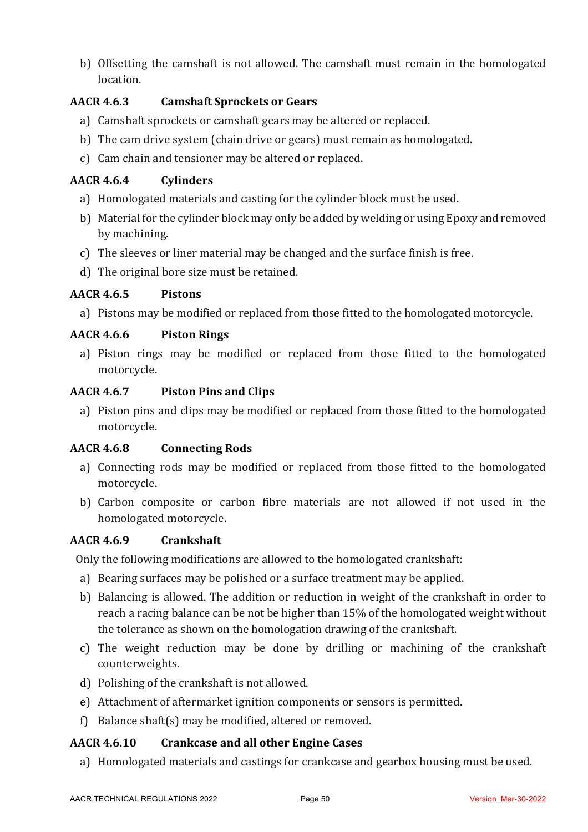b) Offsetting the camshaft is not allowed. The camshaft must remain in the homologated location.

# **AACR 4.6.3 Camshaft Sprockets or Gears**

- a) Camshaft sprockets or camshaft gears may be altered or replaced.
- b) The cam drive system (chain drive or gears) must remain as homologated.
- c) Cam chain and tensioner may be altered or replaced.

### **AACR 4.6.4 Cylinders**

- a) Homologated materials and casting for the cylinder block must be used.
- b) Material for the cylinder block may only be added by welding or using Epoxy and removed by machining.
- c) The sleeves or liner material may be changed and the surface finish is free.
- d) The original bore size must be retained.

#### **AACR 4.6.5 Pistons**

a) Pistons may be modified or replaced from those fitted to the homologated motorcycle.

### **AACR 4.6.6 Piston Rings**

a) Piston rings may be modified or replaced from those fitted to the homologated motorcycle.

#### **AACR 4.6.7 Piston Pins and Clips**

a) Piston pins and clips may be modified or replaced from those fitted to the homologated motorcycle.

#### **AACR 4.6.8 Connecting Rods**

- a) Connecting rods may be modified or replaced from those fitted to the homologated motorcycle.
- b) Carbon composite or carbon fibre materials are not allowed if not used in the homologated motorcycle.

### **AACR 4.6.9 Crankshaft**

Only the following modifications are allowed to the homologated crankshaft:

- a) Bearing surfaces may be polished or a surface treatment may be applied.
- b) Balancing is allowed. The addition or reduction in weight of the crankshaft in order to reach a racing balance can be not be higher than 15% of the homologated weight without the tolerance as shown on the homologation drawing of the crankshaft.
- c) The weight reduction may be done by drilling or machining of the crankshaft counterweights.
- d) Polishing of the crankshaft is not allowed.
- e) Attachment of aftermarket ignition components or sensors is permitted.
- f) Balance shaft(s) may be modified, altered or removed.

#### **AACR 4.6.10 Crankcase and all other Engine Cases**

a) Homologated materials and castings for crankcase and gearbox housing must be used.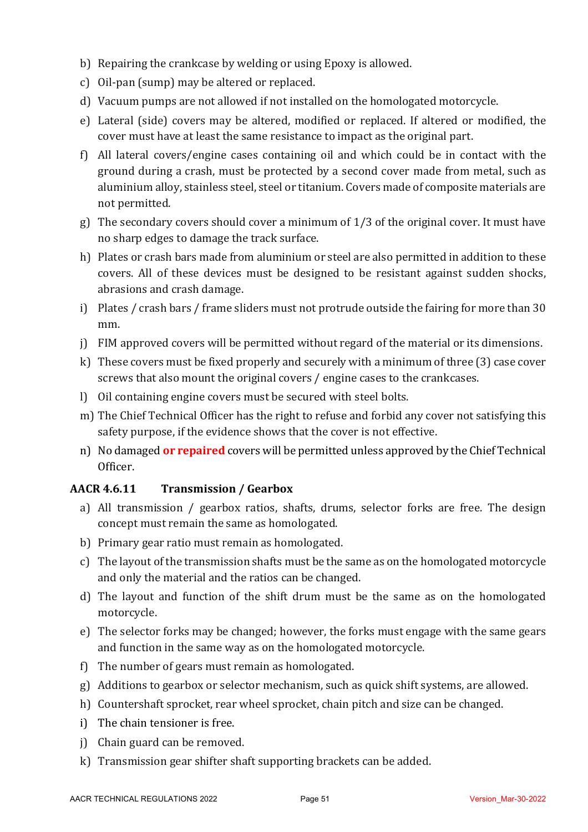- b) Repairing the crankcase by welding or using Epoxy is allowed.
- c) Oil-pan (sump) may be altered or replaced.
- d) Vacuum pumps are not allowed if not installed on the homologated motorcycle.
- e) Lateral (side) covers may be altered, modified or replaced. If altered or modified, the cover must have at least the same resistance to impact as the original part.
- f) All lateral covers/engine cases containing oil and which could be in contact with the ground during a crash, must be protected by a second cover made from metal, such as aluminium alloy, stainless steel, steel or titanium. Covers made of composite materials are not permitted.
- g) The secondary covers should cover a minimum of  $1/3$  of the original cover. It must have no sharp edges to damage the track surface.
- h) Plates or crash bars made from aluminium or steel are also permitted in addition to these covers. All of these devices must be designed to be resistant against sudden shocks, abrasions and crash damage.
- i) Plates / crash bars / frame sliders must not protrude outside the fairing for more than 30 mm.
- j) FIM approved covers will be permitted without regard of the material or its dimensions.
- k) These covers must be fixed properly and securely with a minimum of three  $(3)$  case cover screws that also mount the original covers / engine cases to the crankcases.
- l) Oil containing engine covers must be secured with steel bolts.
- m) The Chief Technical Officer has the right to refuse and forbid any cover not satisfying this safety purpose, if the evidence shows that the cover is not effective.
- n) No damaged **or repaired** covers will be permitted unless approved by the Chief Technical Officer.

# **AACR 4.6.11 Transmission / Gearbox**

- a) All transmission / gearbox ratios, shafts, drums, selector forks are free. The design concept must remain the same as homologated.
- b) Primary gear ratio must remain as homologated.
- c) The layout of the transmission shafts must be the same as on the homologated motorcycle and only the material and the ratios can be changed.
- d) The layout and function of the shift drum must be the same as on the homologated motorcycle.
- e) The selector forks may be changed; however, the forks must engage with the same gears and function in the same way as on the homologated motorcycle.
- f) The number of gears must remain as homologated.
- g) Additions to gearbox or selector mechanism, such as quick shift systems, are allowed.
- h) Countershaft sprocket, rear wheel sprocket, chain pitch and size can be changed.
- i) The chain tensioner is free.
- j) Chain guard can be removed.
- k) Transmission gear shifter shaft supporting brackets can be added.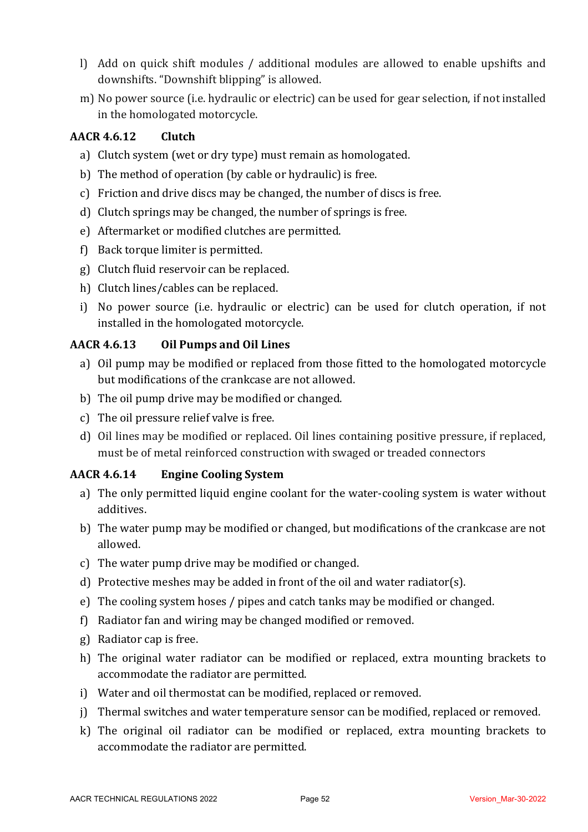- l) Add on quick shift modules / additional modules are allowed to enable upshifts and downshifts. "Downshift blipping" is allowed.
- m) No power source (i.e. hydraulic or electric) can be used for gear selection, if not installed in the homologated motorcycle.

### **AACR 4.6.12 Clutch**

- a) Clutch system (wet or dry type) must remain as homologated.
- b) The method of operation (by cable or hydraulic) is free.
- c) Friction and drive discs may be changed, the number of discs is free.
- d) Clutch springs may be changed, the number of springs is free.
- e) Aftermarket or modified clutches are permitted.
- f) Back torque limiter is permitted.
- g) Clutch fluid reservoir can be replaced.
- h) Clutch lines/cables can be replaced.
- i) No power source (i.e. hydraulic or electric) can be used for clutch operation, if not installed in the homologated motorcycle.

### **AACR 4.6.13 Oil Pumps and Oil Lines**

- a) Oil pump may be modified or replaced from those fitted to the homologated motorcycle but modifications of the crankcase are not allowed.
- b) The oil pump drive may be modified or changed.
- c) The oil pressure relief valve is free.
- d) Oil lines may be modified or replaced. Oil lines containing positive pressure, if replaced, must be of metal reinforced construction with swaged or treaded connectors

# **AACR 4.6.14 Engine Cooling System**

- a) The only permitted liquid engine coolant for the water-cooling system is water without additives.
- b) The water pump may be modified or changed, but modifications of the crankcase are not allowed.
- c) The water pump drive may be modified or changed.
- d) Protective meshes may be added in front of the oil and water radiator(s).
- e) The cooling system hoses / pipes and catch tanks may be modified or changed.
- f) Radiator fan and wiring may be changed modified or removed.
- g) Radiator cap is free.
- h) The original water radiator can be modified or replaced, extra mounting brackets to accommodate the radiator are permitted.
- i) Water and oil thermostat can be modified, replaced or removed.
- j) Thermal switches and water temperature sensor can be modified, replaced or removed.
- k) The original oil radiator can be modified or replaced, extra mounting brackets to accommodate the radiator are permitted.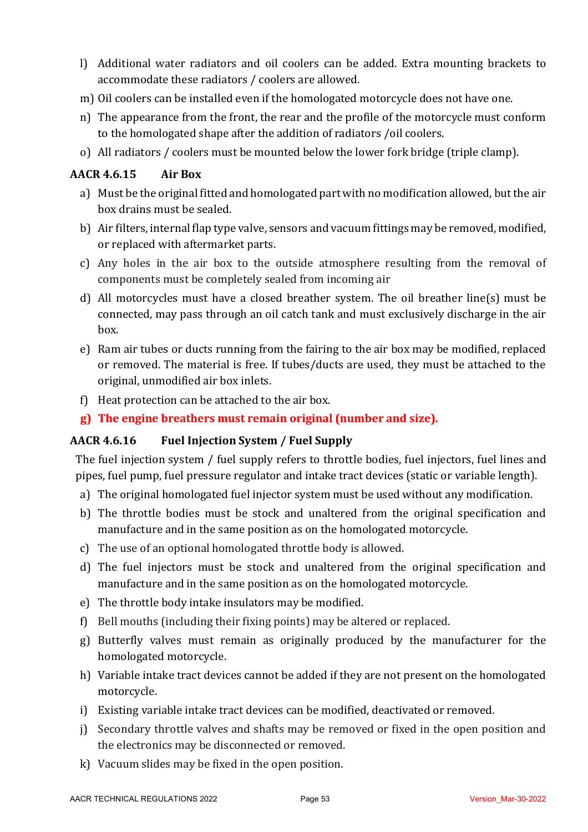- l) Additional water radiators and oil coolers can be added. Extra mounting brackets to accommodate these radiators / coolers are allowed.
- m) Oil coolers can be installed even if the homologated motorcycle does not have one.
- n) The appearance from the front, the rear and the profile of the motorcycle must conform to the homologated shape after the addition of radiators /oil coolers.
- o) All radiators / coolers must be mounted below the lower fork bridge (triple clamp).

# **AACR 4.6.15 Air Box**

- a) Must be the original fitted and homologated part with no modification allowed, but the air box drains must be sealed.
- b) Air filters, internal flap type valve, sensors and vacuum fittings may be removed, modified, or replaced with aftermarket parts.
- c) Any holes in the air box to the outside atmosphere resulting from the removal of components must be completely sealed from incoming air
- d) All motorcycles must have a closed breather system. The oil breather line(s) must be connected, may pass through an oil catch tank and must exclusively discharge in the air box.
- e) Ram air tubes or ducts running from the fairing to the air box may be modified, replaced or removed. The material is free. If tubes/ducts are used, they must be attached to the original, unmodified air box inlets.
- f) Heat protection can be attached to the air box.
- **g**) The engine breathers must remain original (number and size).

#### **AACR 4.6.16 Fuel Injection System / Fuel Supply**

The fuel injection system / fuel supply refers to throttle bodies, fuel injectors, fuel lines and pipes, fuel pump, fuel pressure regulator and intake tract devices (static or variable length).

- a) The original homologated fuel injector system must be used without any modification.
- b) The throttle bodies must be stock and unaltered from the original specification and manufacture and in the same position as on the homologated motorcycle.
- c) The use of an optional homologated throttle body is allowed.
- d) The fuel injectors must be stock and unaltered from the original specification and manufacture and in the same position as on the homologated motorcycle.
- e) The throttle body intake insulators may be modified.
- f) Bell mouths (including their fixing points) may be altered or replaced.
- g) Butterfly valves must remain as originally produced by the manufacturer for the homologated motorcycle.
- h) Variable intake tract devices cannot be added if they are not present on the homologated motorcycle.
- i) Existing variable intake tract devices can be modified, deactivated or removed.
- j) Secondary throttle valves and shafts may be removed or fixed in the open position and the electronics may be disconnected or removed.
- $k$ ) Vacuum slides may be fixed in the open position.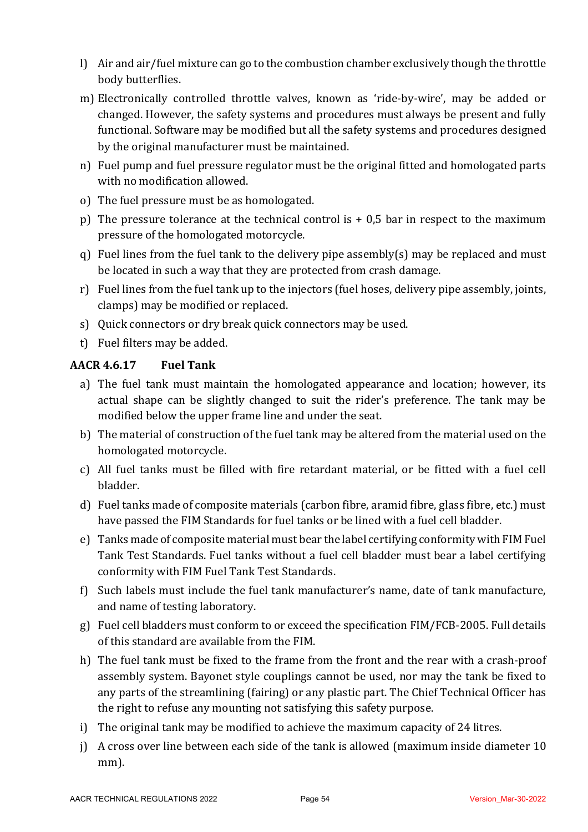- l) Air and air/fuel mixture can go to the combustion chamber exclusively though the throttle body butterflies.
- m) Electronically controlled throttle valves, known as 'ride-by-wire', may be added or changed. However, the safety systems and procedures must always be present and fully functional. Software may be modified but all the safety systems and procedures designed by the original manufacturer must be maintained.
- n) Fuel pump and fuel pressure regulator must be the original fitted and homologated parts with no modification allowed.
- o) The fuel pressure must be as homologated.
- p) The pressure tolerance at the technical control is  $+$  0,5 bar in respect to the maximum pressure of the homologated motorcycle.
- q) Fuel lines from the fuel tank to the delivery pipe assembly(s) may be replaced and must be located in such a way that they are protected from crash damage.
- r) Fuel lines from the fuel tank up to the injectors (fuel hoses, delivery pipe assembly, joints, clamps) may be modified or replaced.
- s) Quick connectors or dry break quick connectors may be used.
- t) Fuel filters may be added.

# **AACR 4.6.17 Fuel Tank**

- a) The fuel tank must maintain the homologated appearance and location; however, its actual shape can be slightly changed to suit the rider's preference. The tank may be modified below the upper frame line and under the seat.
- b) The material of construction of the fuel tank may be altered from the material used on the homologated motorcycle.
- c) All fuel tanks must be filled with fire retardant material, or be fitted with a fuel cell bladder.
- d) Fuel tanks made of composite materials (carbon fibre, aramid fibre, glass fibre, etc.) must have passed the FIM Standards for fuel tanks or be lined with a fuel cell bladder.
- e) Tanks made of composite material must bear the label certifying conformity with FIM Fuel Tank Test Standards. Fuel tanks without a fuel cell bladder must bear a label certifying conformity with FIM Fuel Tank Test Standards.
- f) Such labels must include the fuel tank manufacturer's name, date of tank manufacture, and name of testing laboratory.
- $g$ ) Fuel cell bladders must conform to or exceed the specification FIM/FCB-2005. Full details of this standard are available from the FIM.
- h) The fuel tank must be fixed to the frame from the front and the rear with a crash-proof assembly system. Bayonet style couplings cannot be used, nor may the tank be fixed to any parts of the streamlining (fairing) or any plastic part. The Chief Technical Officer has the right to refuse any mounting not satisfying this safety purpose.
- i) The original tank may be modified to achieve the maximum capacity of 24 litres.
- i) A cross over line between each side of the tank is allowed (maximum inside diameter  $10$ ) mm).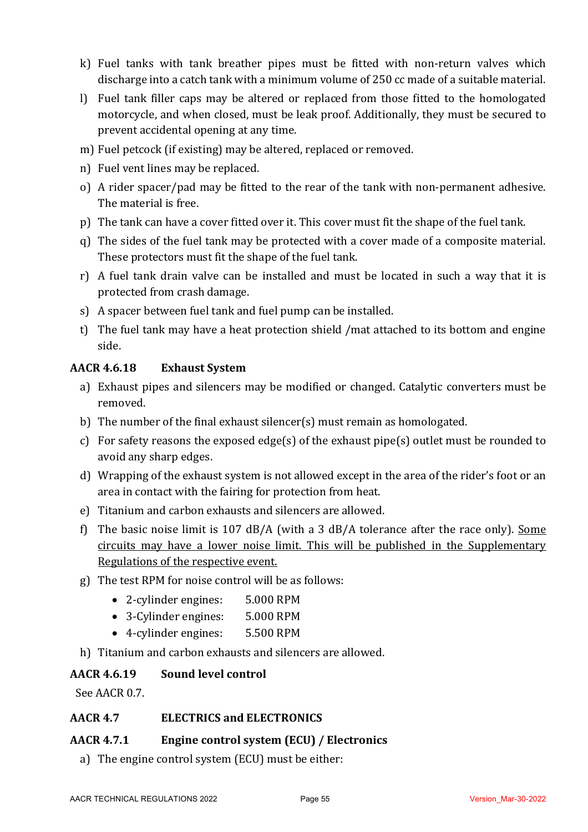- k) Fuel tanks with tank breather pipes must be fitted with non-return valves which discharge into a catch tank with a minimum volume of 250 cc made of a suitable material.
- l) Fuel tank filler caps may be altered or replaced from those fitted to the homologated motorcycle, and when closed, must be leak proof. Additionally, they must be secured to prevent accidental opening at any time.
- m) Fuel petcock (if existing) may be altered, replaced or removed.
- n) Fuel vent lines may be replaced.
- o) A rider spacer/pad may be fitted to the rear of the tank with non-permanent adhesive. The material is free.
- p) The tank can have a cover fitted over it. This cover must fit the shape of the fuel tank.
- q) The sides of the fuel tank may be protected with a cover made of a composite material. These protectors must fit the shape of the fuel tank.
- r) A fuel tank drain valve can be installed and must be located in such a way that it is protected from crash damage.
- s) A spacer between fuel tank and fuel pump can be installed.
- t) The fuel tank may have a heat protection shield /mat attached to its bottom and engine side.

#### **AACR 4.6.18 Exhaust System**

- a) Exhaust pipes and silencers may be modified or changed. Catalytic converters must be removed.
- b) The number of the final exhaust silencer(s) must remain as homologated.
- c) For safety reasons the exposed edge(s) of the exhaust pipe(s) outlet must be rounded to avoid any sharp edges.
- d) Wrapping of the exhaust system is not allowed except in the area of the rider's foot or an area in contact with the fairing for protection from heat.
- e) Titanium and carbon exhausts and silencers are allowed.
- f) The basic noise limit is  $107$  dB/A (with a 3 dB/A tolerance after the race only). Some circuits may have a lower noise limit. This will be published in the Supplementary Regulations of the respective event.
- g) The test RPM for noise control will be as follows:
	- 2-cylinder engines: 5.000 RPM
	- 3-Cylinder engines: 5.000 RPM
	- 4-cylinder engines: 5.500 RPM
- h) Titanium and carbon exhausts and silencers are allowed.

#### **AACR 4.6.19 Sound level control**

See AACR 0.7.

#### **AACR 4.7 ELECTRICS and ELECTRONICS**

#### AACR 4.7.1 **Engine control system (ECU)** / Electronics

a) The engine control system (ECU) must be either: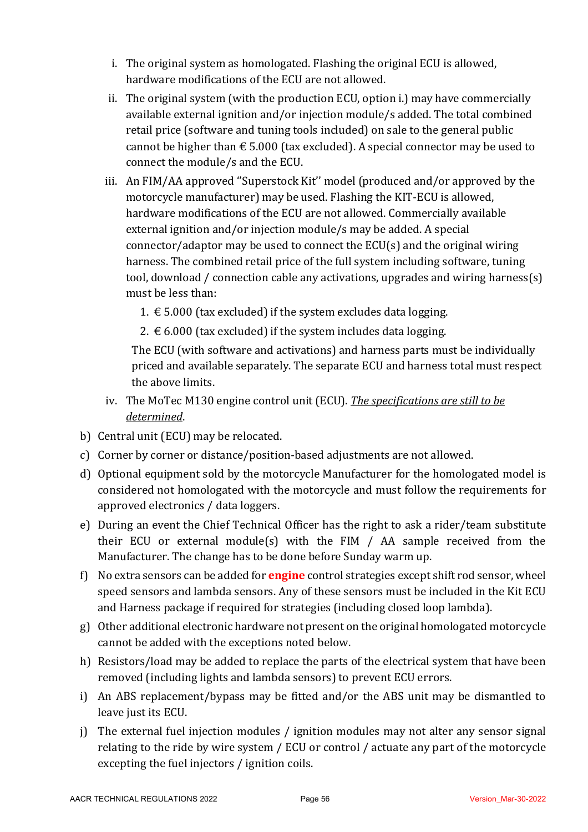- i. The original system as homologated. Flashing the original ECU is allowed, hardware modifications of the ECU are not allowed.
- ii. The original system (with the production ECU, option i.) may have commercially available external ignition and/or injection module/s added. The total combined retail price (software and tuning tools included) on sale to the general public cannot be higher than  $\epsilon$  5.000 (tax excluded). A special connector may be used to connect the module/s and the ECU.
- iii. An FIM/AA approved "Superstock Kit" model (produced and/or approved by the motorcycle manufacturer) may be used. Flashing the KIT-ECU is allowed, hardware modifications of the ECU are not allowed. Commercially available external ignition and/or injection module/s may be added. A special connector/adaptor may be used to connect the  $ECU(s)$  and the original wiring harness. The combined retail price of the full system including software, tuning tool, download / connection cable any activations, upgrades and wiring harness(s) must be less than:
	- 1.  $€$  5.000 (tax excluded) if the system excludes data logging.
	- 2.  $\epsilon$  6.000 (tax excluded) if the system includes data logging.

The ECU (with software and activations) and harness parts must be individually priced and available separately. The separate ECU and harness total must respect the above limits.

- iv. The MoTec M130 engine control unit (ECU). The specifications are still to be *determined*.
- b) Central unit (ECU) may be relocated.
- c) Corner by corner or distance/position-based adjustments are not allowed.
- d) Optional equipment sold by the motorcycle Manufacturer for the homologated model is considered not homologated with the motorcycle and must follow the requirements for approved electronics / data loggers.
- e) During an event the Chief Technical Officer has the right to ask a rider/team substitute their ECU or external module(s) with the FIM  $/$  AA sample received from the Manufacturer. The change has to be done before Sunday warm up.
- f) No extra sensors can be added for **engine** control strategies except shift rod sensor, wheel speed sensors and lambda sensors. Any of these sensors must be included in the Kit ECU and Harness package if required for strategies (including closed loop lambda).
- $g$ ) Other additional electronic hardware not present on the original homologated motorcycle cannot be added with the exceptions noted below.
- h) Resistors/load may be added to replace the parts of the electrical system that have been removed (including lights and lambda sensors) to prevent ECU errors.
- i) An ABS replacement/bypass may be fitted and/or the ABS unit may be dismantled to leave just its ECU.
- j) The external fuel injection modules / ignition modules may not alter any sensor signal relating to the ride by wire system / ECU or control / actuate any part of the motorcycle excepting the fuel injectors / ignition coils.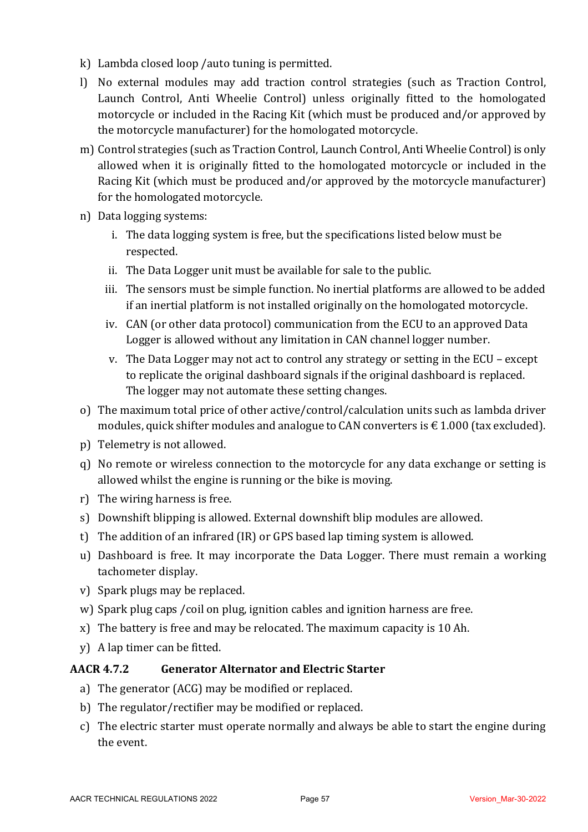- $k)$  Lambda closed loop /auto tuning is permitted.
- l) No external modules may add traction control strategies (such as Traction Control, Launch Control, Anti Wheelie Control) unless originally fitted to the homologated motorcycle or included in the Racing Kit (which must be produced and/or approved by the motorcycle manufacturer) for the homologated motorcycle.
- m) Control strategies (such as Traction Control, Launch Control, Anti Wheelie Control) is only allowed when it is originally fitted to the homologated motorcycle or included in the Racing Kit (which must be produced and/or approved by the motorcycle manufacturer) for the homologated motorcycle.
- n) Data logging systems:
	- i. The data logging system is free, but the specifications listed below must be respected.
	- ii. The Data Logger unit must be available for sale to the public.
	- iii. The sensors must be simple function. No inertial platforms are allowed to be added if an inertial platform is not installed originally on the homologated motorcycle.
	- iv. CAN (or other data protocol) communication from the ECU to an approved Data Logger is allowed without any limitation in CAN channel logger number.
	- v. The Data Logger may not act to control any strategy or setting in the ECU except to replicate the original dashboard signals if the original dashboard is replaced. The logger may not automate these setting changes.
- o) The maximum total price of other active/control/calculation units such as lambda driver modules, quick shifter modules and analogue to CAN converters is  $\epsilon$  1.000 (tax excluded).
- p) Telemetry is not allowed.
- q) No remote or wireless connection to the motorcycle for any data exchange or setting is allowed whilst the engine is running or the bike is moving.
- $r$ ) The wiring harness is free.
- s) Downshift blipping is allowed. External downshift blip modules are allowed.
- t) The addition of an infrared (IR) or GPS based lap timing system is allowed.
- u) Dashboard is free. It may incorporate the Data Logger. There must remain a working tachometer display.
- v) Spark plugs may be replaced.
- w) Spark plug caps / coil on plug, ignition cables and ignition harness are free.
- $x)$  The battery is free and may be relocated. The maximum capacity is 10 Ah.
- y) A lap timer can be fitted.

#### **AACR 4.7.2 Generator Alternator and Electric Starter**

- a) The generator (ACG) may be modified or replaced.
- b) The regulator/rectifier may be modified or replaced.
- c) The electric starter must operate normally and always be able to start the engine during the event.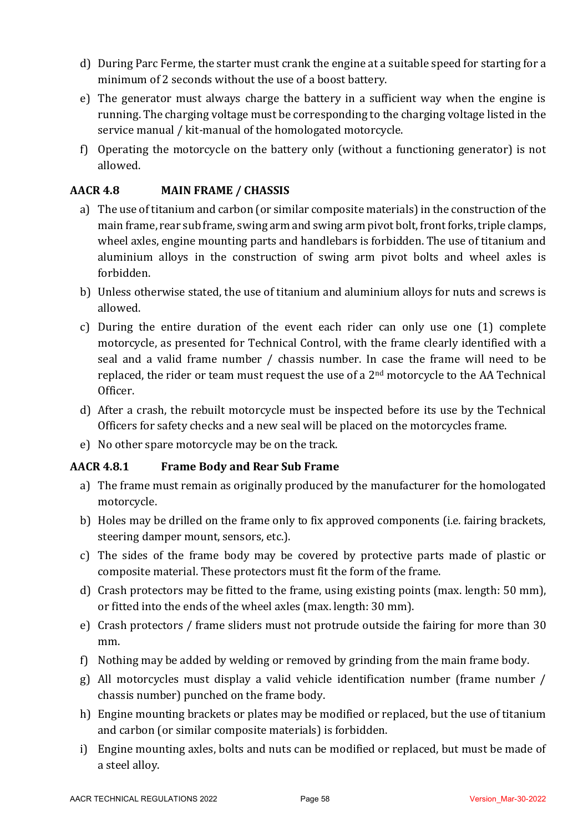- d) During Parc Ferme, the starter must crank the engine at a suitable speed for starting for a minimum of 2 seconds without the use of a boost battery.
- e) The generator must always charge the battery in a sufficient way when the engine is running. The charging voltage must be corresponding to the charging voltage listed in the service manual / kit-manual of the homologated motorcycle.
- f) Operating the motorcycle on the battery only (without a functioning generator) is not allowed.

# **AACR 4.8 MAIN FRAME / CHASSIS**

- a) The use of titanium and carbon (or similar composite materials) in the construction of the main frame, rear sub frame, swing arm and swing arm pivot bolt, front forks, triple clamps, wheel axles, engine mounting parts and handlebars is forbidden. The use of titanium and aluminium alloys in the construction of swing arm pivot bolts and wheel axles is forbidden.
- b) Unless otherwise stated, the use of titanium and aluminium alloys for nuts and screws is allowed.
- c) During the entire duration of the event each rider can only use one (1) complete motorcycle, as presented for Technical Control, with the frame clearly identified with a seal and a valid frame number / chassis number. In case the frame will need to be replaced, the rider or team must request the use of a  $2<sup>nd</sup>$  motorcycle to the AA Technical Officer.
- d) After a crash, the rebuilt motorcycle must be inspected before its use by the Technical Officers for safety checks and a new seal will be placed on the motorcycles frame.
- e) No other spare motorcycle may be on the track.

#### **AACR 4.8.1 Frame Body and Rear Sub Frame**

- a) The frame must remain as originally produced by the manufacturer for the homologated motorcycle.
- b) Holes may be drilled on the frame only to fix approved components (i.e. fairing brackets, steering damper mount, sensors, etc.).
- c) The sides of the frame body may be covered by protective parts made of plastic or composite material. These protectors must fit the form of the frame.
- d) Crash protectors may be fitted to the frame, using existing points (max. length:  $50 \text{ mm}$ ). or fitted into the ends of the wheel axles (max. length: 30 mm).
- e) Crash protectors / frame sliders must not protrude outside the fairing for more than 30 mm.
- f) Nothing may be added by welding or removed by grinding from the main frame body.
- g) All motorcycles must display a valid vehicle identification number (frame number / chassis number) punched on the frame body.
- h) Engine mounting brackets or plates may be modified or replaced, but the use of titanium and carbon (or similar composite materials) is forbidden.
- i) Engine mounting axles, bolts and nuts can be modified or replaced, but must be made of a steel alloy.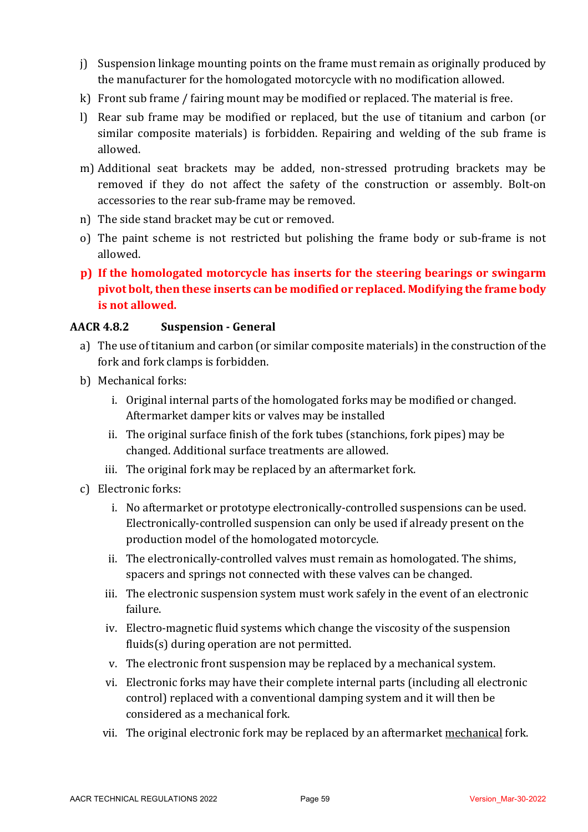- $j$ ) Suspension linkage mounting points on the frame must remain as originally produced by the manufacturer for the homologated motorcycle with no modification allowed.
- $k$ ) Front sub frame / fairing mount may be modified or replaced. The material is free.
- l) Rear sub frame may be modified or replaced, but the use of titanium and carbon (or similar composite materials) is forbidden. Repairing and welding of the sub frame is allowed.
- m) Additional seat brackets may be added, non-stressed protruding brackets may be removed if they do not affect the safety of the construction or assembly. Bolt-on accessories to the rear sub-frame may be removed.
- n) The side stand bracket may be cut or removed.
- o) The paint scheme is not restricted but polishing the frame body or sub-frame is not allowed.
- **p)** If the homologated motorcycle has inserts for the steering bearings or swingarm pivot bolt, then these inserts can be modified or replaced. Modifying the frame body **is not allowed.**

# **AACR 4.8.2 Suspension - General**

- a) The use of titanium and carbon (or similar composite materials) in the construction of the fork and fork clamps is forbidden.
- b) Mechanical forks:
	- i. Original internal parts of the homologated forks may be modified or changed. Aftermarket damper kits or valves may be installed
	- ii. The original surface finish of the fork tubes (stanchions, fork pipes) may be changed. Additional surface treatments are allowed.
	- iii. The original fork may be replaced by an aftermarket fork.
- c) Electronic forks:
	- i. No aftermarket or prototype electronically-controlled suspensions can be used. Electronically-controlled suspension can only be used if already present on the production model of the homologated motorcycle.
	- ii. The electronically-controlled valves must remain as homologated. The shims, spacers and springs not connected with these valves can be changed.
	- iii. The electronic suspension system must work safely in the event of an electronic failure.
	- iv. Electro-magnetic fluid systems which change the viscosity of the suspension  $fluids(s)$  during operation are not permitted.
	- v. The electronic front suspension may be replaced by a mechanical system.
	- vi. Electronic forks may have their complete internal parts (including all electronic control) replaced with a conventional damping system and it will then be considered as a mechanical fork.
	- vii. The original electronic fork may be replaced by an aftermarket mechanical fork.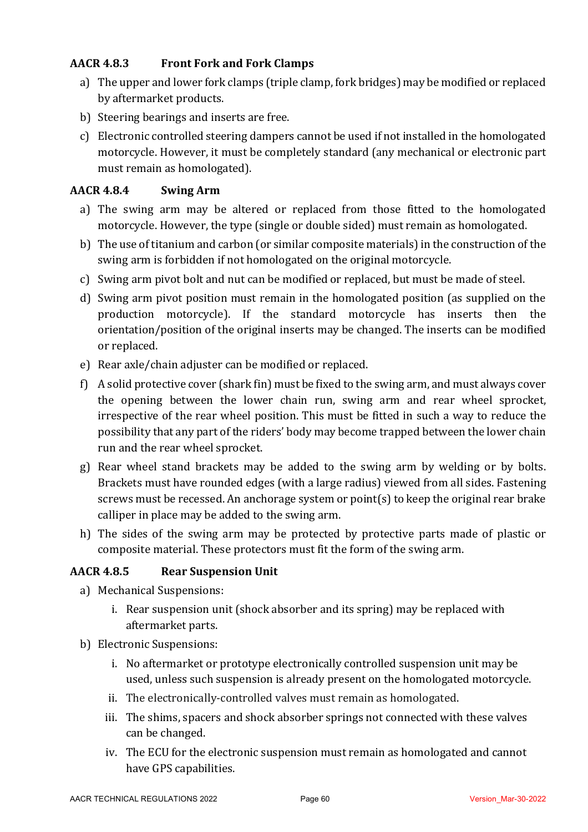# **AACR 4.8.3 Front Fork and Fork Clamps**

- a) The upper and lower fork clamps (triple clamp, fork bridges) may be modified or replaced by aftermarket products.
- b) Steering bearings and inserts are free.
- c) Electronic controlled steering dampers cannot be used if not installed in the homologated motorcycle. However, it must be completely standard (any mechanical or electronic part must remain as homologated).

# **AACR 4.8.4 Swing Arm**

- a) The swing arm may be altered or replaced from those fitted to the homologated motorcycle. However, the type (single or double sided) must remain as homologated.
- b) The use of titanium and carbon (or similar composite materials) in the construction of the swing arm is forbidden if not homologated on the original motorcycle.
- c) Swing arm pivot bolt and nut can be modified or replaced, but must be made of steel.
- d) Swing arm pivot position must remain in the homologated position (as supplied on the production motorcycle). If the standard motorcycle has inserts then the orientation/position of the original inserts may be changed. The inserts can be modified or replaced.
- e) Rear axle/chain adjuster can be modified or replaced.
- f) A solid protective cover (shark fin) must be fixed to the swing arm, and must always cover the opening between the lower chain run, swing arm and rear wheel sprocket, irrespective of the rear wheel position. This must be fitted in such a way to reduce the possibility that any part of the riders' body may become trapped between the lower chain run and the rear wheel sprocket.
- g) Rear wheel stand brackets may be added to the swing arm by welding or by bolts. Brackets must have rounded edges (with a large radius) viewed from all sides. Fastening screws must be recessed. An anchorage system or point(s) to keep the original rear brake calliper in place may be added to the swing arm.
- h) The sides of the swing arm may be protected by protective parts made of plastic or composite material. These protectors must fit the form of the swing arm.

# **AACR 4.8.5 Rear Suspension Unit**

- a) Mechanical Suspensions:
	- i. Rear suspension unit (shock absorber and its spring) may be replaced with aftermarket parts.
- b) Electronic Suspensions:
	- i. No aftermarket or prototype electronically controlled suspension unit may be used, unless such suspension is already present on the homologated motorcycle.
	- ii. The electronically-controlled valves must remain as homologated.
	- iii. The shims, spacers and shock absorber springs not connected with these valves can be changed.
	- iv. The ECU for the electronic suspension must remain as homologated and cannot have GPS capabilities.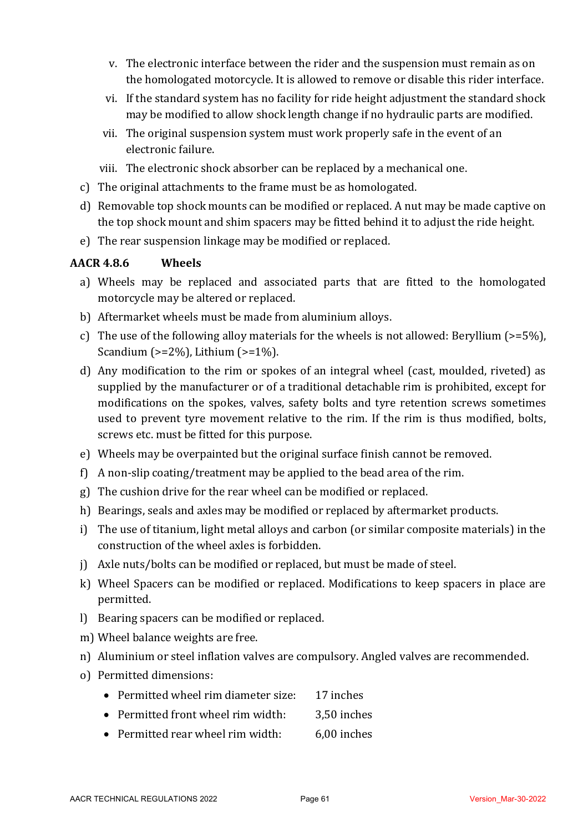- v. The electronic interface between the rider and the suspension must remain as on the homologated motorcycle. It is allowed to remove or disable this rider interface.
- vi. If the standard system has no facility for ride height adjustment the standard shock may be modified to allow shock length change if no hydraulic parts are modified.
- vii. The original suspension system must work properly safe in the event of an electronic failure.
- viii. The electronic shock absorber can be replaced by a mechanical one.
- c) The original attachments to the frame must be as homologated.
- d) Removable top shock mounts can be modified or replaced. A nut may be made captive on the top shock mount and shim spacers may be fitted behind it to adjust the ride height.
- e) The rear suspension linkage may be modified or replaced.

# **AACR 4.8.6 Wheels**

- a) Wheels may be replaced and associated parts that are fitted to the homologated motorcycle may be altered or replaced.
- b) Aftermarket wheels must be made from aluminium alloys.
- c) The use of the following alloy materials for the wheels is not allowed: Beryllium ( $>=5\%$ ), Scandium  $(>=2\%)$ , Lithium  $(>=1\%)$ .
- d) Any modification to the rim or spokes of an integral wheel (cast, moulded, riveted) as supplied by the manufacturer or of a traditional detachable rim is prohibited, except for modifications on the spokes, valves, safety bolts and tyre retention screws sometimes used to prevent tyre movement relative to the rim. If the rim is thus modified, bolts, screws etc. must be fitted for this purpose.
- e) Wheels may be overpainted but the original surface finish cannot be removed.
- f) A non-slip coating/treatment may be applied to the bead area of the rim.
- g) The cushion drive for the rear wheel can be modified or replaced.
- h) Bearings, seals and axles may be modified or replaced by aftermarket products.
- i) The use of titanium, light metal alloys and carbon (or similar composite materials) in the construction of the wheel axles is forbidden.
- i) Axle nuts/bolts can be modified or replaced, but must be made of steel.
- k) Wheel Spacers can be modified or replaced. Modifications to keep spacers in place are permitted.
- l) Bearing spacers can be modified or replaced.
- m) Wheel balance weights are free.
- n) Aluminium or steel inflation valves are compulsory. Angled valves are recommended.
- o) Permitted dimensions:
	- Permitted wheel rim diameter size: 17 inches
	- Permitted front wheel rim width: 3.50 inches
	- Permitted rear wheel rim width: 6,00 inches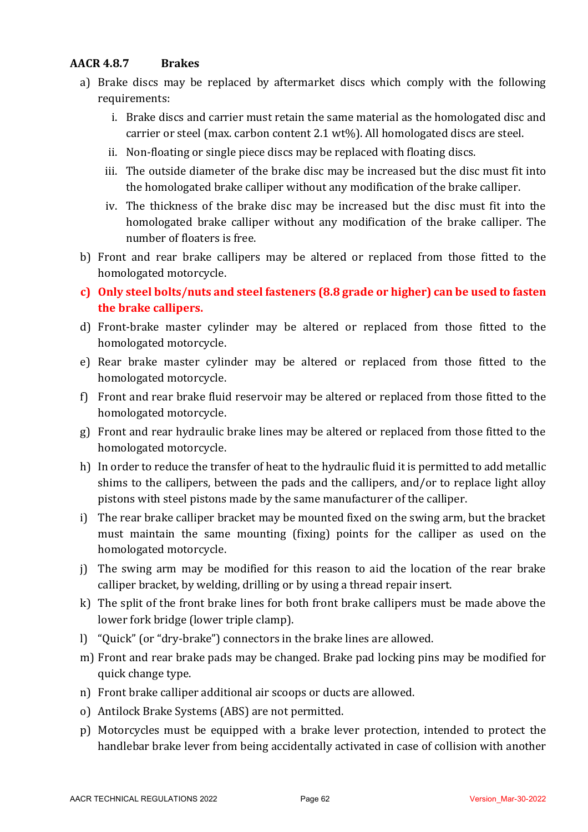### **AACR 4.8.7 Brakes**

- a) Brake discs may be replaced by aftermarket discs which comply with the following requirements:
	- i. Brake discs and carrier must retain the same material as the homologated disc and carrier or steel (max. carbon content 2.1 wt%). All homologated discs are steel.
	- ii. Non-floating or single piece discs may be replaced with floating discs.
	- iii. The outside diameter of the brake disc may be increased but the disc must fit into the homologated brake calliper without any modification of the brake calliper.
	- iv. The thickness of the brake disc may be increased but the disc must fit into the homologated brake calliper without any modification of the brake calliper. The number of floaters is free.
- b) Front and rear brake callipers may be altered or replaced from those fitted to the homologated motorcycle.
- **c)** Only steel bolts/nuts and steel fasteners (8.8 grade or higher) can be used to fasten **the brake callipers.**
- d) Front-brake master cylinder may be altered or replaced from those fitted to the homologated motorcycle.
- e) Rear brake master cylinder may be altered or replaced from those fitted to the homologated motorcycle.
- f) Front and rear brake fluid reservoir may be altered or replaced from those fitted to the homologated motorcycle.
- g) Front and rear hydraulic brake lines may be altered or replaced from those fitted to the homologated motorcycle.
- h) In order to reduce the transfer of heat to the hydraulic fluid it is permitted to add metallic shims to the callipers, between the pads and the callipers, and/or to replace light alloy pistons with steel pistons made by the same manufacturer of the calliper.
- i) The rear brake calliper bracket may be mounted fixed on the swing arm, but the bracket must maintain the same mounting (fixing) points for the calliper as used on the homologated motorcycle.
- j) The swing arm may be modified for this reason to aid the location of the rear brake calliper bracket, by welding, drilling or by using a thread repair insert.
- k) The split of the front brake lines for both front brake callipers must be made above the lower fork bridge (lower triple clamp).
- l) "Quick" (or "dry-brake") connectors in the brake lines are allowed.
- m) Front and rear brake pads may be changed. Brake pad locking pins may be modified for quick change type.
- n) Front brake calliper additional air scoops or ducts are allowed.
- o) Antilock Brake Systems (ABS) are not permitted.
- p) Motorcycles must be equipped with a brake lever protection, intended to protect the handlebar brake lever from being accidentally activated in case of collision with another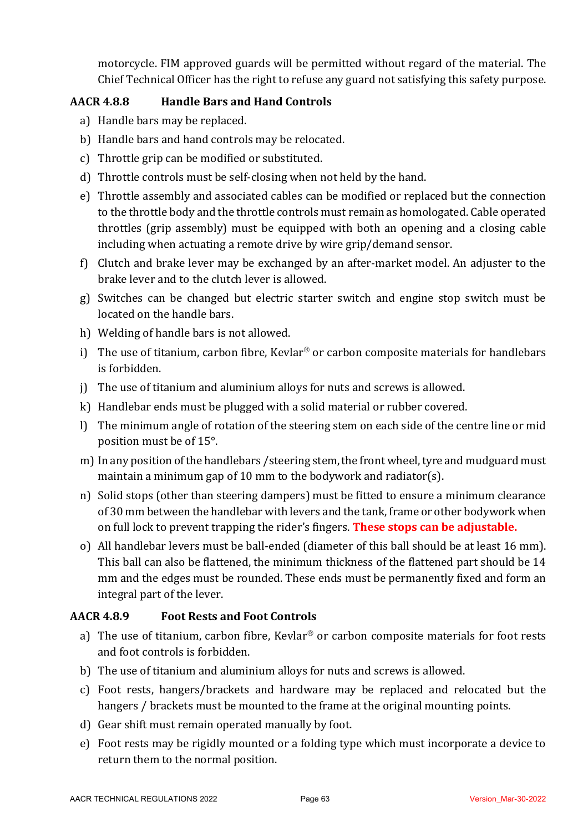motorcycle. FIM approved guards will be permitted without regard of the material. The Chief Technical Officer has the right to refuse any guard not satisfying this safety purpose.

# **AACR 4.8.8 Handle Bars and Hand Controls**

- a) Handle bars may be replaced.
- b) Handle bars and hand controls may be relocated.
- c) Throttle grip can be modified or substituted.
- d) Throttle controls must be self-closing when not held by the hand.
- e) Throttle assembly and associated cables can be modified or replaced but the connection to the throttle body and the throttle controls must remain as homologated. Cable operated throttles (grip assembly) must be equipped with both an opening and a closing cable including when actuating a remote drive by wire grip/demand sensor.
- f) Clutch and brake lever may be exchanged by an after-market model. An adjuster to the brake lever and to the clutch lever is allowed.
- g) Switches can be changed but electric starter switch and engine stop switch must be located on the handle bars.
- h) Welding of handle bars is not allowed.
- i) The use of titanium, carbon fibre, Kevlar<sup>®</sup> or carbon composite materials for handlebars is forbidden.
- j) The use of titanium and aluminium alloys for nuts and screws is allowed.
- $k$ ) Handlebar ends must be plugged with a solid material or rubber covered.
- l) The minimum angle of rotation of the steering stem on each side of the centre line or mid position must be of 15°.
- m) In any position of the handlebars / steering stem, the front wheel, tyre and mudguard must maintain a minimum gap of 10 mm to the bodywork and radiator(s).
- n) Solid stops (other than steering dampers) must be fitted to ensure a minimum clearance of 30 mm between the handlebar with levers and the tank, frame or other bodywork when on full lock to prevent trapping the rider's fingers. **These stops can be adjustable.**
- o) All handlebar levers must be ball-ended (diameter of this ball should be at least 16 mm). This ball can also be flattened, the minimum thickness of the flattened part should be 14 mm and the edges must be rounded. These ends must be permanently fixed and form an integral part of the lever.

# **AACR 4.8.9 Foot Rests and Foot Controls**

- a) The use of titanium, carbon fibre, Kevlar<sup>®</sup> or carbon composite materials for foot rests and foot controls is forbidden.
- b) The use of titanium and aluminium alloys for nuts and screws is allowed.
- c) Foot rests, hangers/brackets and hardware may be replaced and relocated but the hangers / brackets must be mounted to the frame at the original mounting points.
- d) Gear shift must remain operated manually by foot.
- e) Foot rests may be rigidly mounted or a folding type which must incorporate a device to return them to the normal position.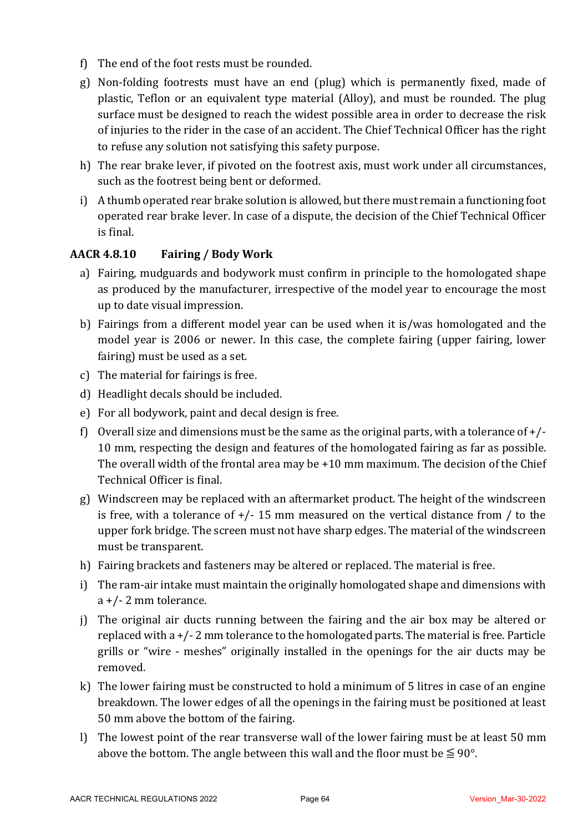- f) The end of the foot rests must be rounded.
- g) Non-folding footrests must have an end (plug) which is permanently fixed, made of plastic, Teflon or an equivalent type material (Alloy), and must be rounded. The plug surface must be designed to reach the widest possible area in order to decrease the risk of injuries to the rider in the case of an accident. The Chief Technical Officer has the right to refuse any solution not satisfying this safety purpose.
- h) The rear brake lever, if pivoted on the footrest axis, must work under all circumstances, such as the footrest being bent or deformed.
- i) A thumb operated rear brake solution is allowed, but there must remain a functioning foot operated rear brake lever. In case of a dispute, the decision of the Chief Technical Officer is final.

# **AACR 4.8.10 Fairing / Body Work**

- a) Fairing, mudguards and bodywork must confirm in principle to the homologated shape as produced by the manufacturer, irrespective of the model year to encourage the most up to date visual impression.
- b) Fairings from a different model year can be used when it is/was homologated and the model year is 2006 or newer. In this case, the complete fairing (upper fairing, lower fairing) must be used as a set.
- c) The material for fairings is free.
- d) Headlight decals should be included.
- e) For all bodywork, paint and decal design is free.
- f) Overall size and dimensions must be the same as the original parts, with a tolerance of  $+$ /-10 mm, respecting the design and features of the homologated fairing as far as possible. The overall width of the frontal area may be  $+10$  mm maximum. The decision of the Chief Technical Officer is final.
- g) Windscreen may be replaced with an aftermarket product. The height of the windscreen is free, with a tolerance of  $+/- 15$  mm measured on the vertical distance from / to the upper fork bridge. The screen must not have sharp edges. The material of the windscreen must be transparent.
- h) Fairing brackets and fasteners may be altered or replaced. The material is free.
- i) The ram-air intake must maintain the originally homologated shape and dimensions with  $a +$ /- 2 mm tolerance.
- j) The original air ducts running between the fairing and the air box may be altered or replaced with  $a + (-2)$  mm tolerance to the homologated parts. The material is free. Particle grills or "wire - meshes" originally installed in the openings for the air ducts may be removed.
- k) The lower fairing must be constructed to hold a minimum of 5 litres in case of an engine breakdown. The lower edges of all the openings in the fairing must be positioned at least 50 mm above the bottom of the fairing.
- l) The lowest point of the rear transverse wall of the lower fairing must be at least 50 mm above the bottom. The angle between this wall and the floor must be  $\leq 90^{\circ}$ .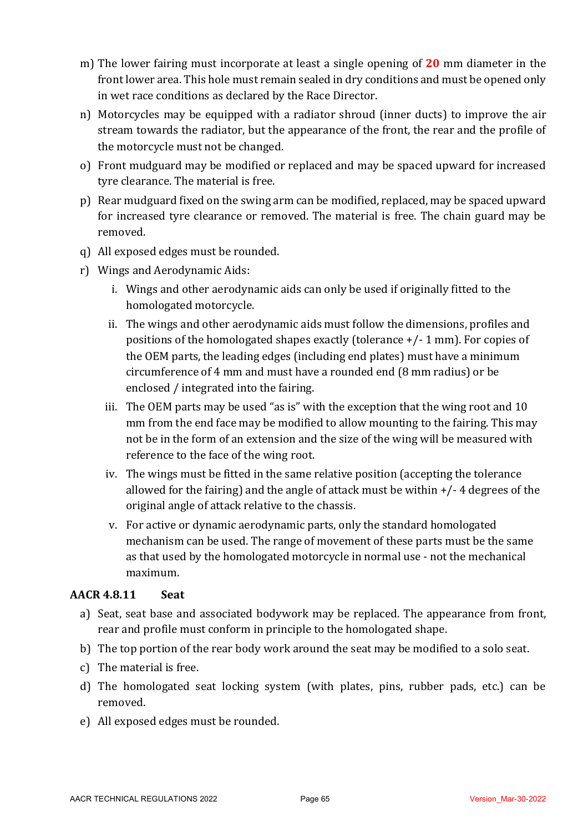- m) The lower fairing must incorporate at least a single opening of **20** mm diameter in the front lower area. This hole must remain sealed in dry conditions and must be opened only in wet race conditions as declared by the Race Director.
- n) Motorcycles may be equipped with a radiator shroud (inner ducts) to improve the air stream towards the radiator, but the appearance of the front, the rear and the profile of the motorcycle must not be changed.
- o) Front mudguard may be modified or replaced and may be spaced upward for increased tyre clearance. The material is free.
- p) Rear mudguard fixed on the swing arm can be modified, replaced, may be spaced upward for increased tyre clearance or removed. The material is free. The chain guard may be removed.
- q) All exposed edges must be rounded.
- r) Wings and Aerodynamic Aids:
	- i. Wings and other aerodynamic aids can only be used if originally fitted to the homologated motorcycle.
	- ii. The wings and other aerodynamic aids must follow the dimensions, profiles and positions of the homologated shapes exactly (tolerance  $+/- 1$  mm). For copies of the OEM parts, the leading edges (including end plates) must have a minimum circumference of 4 mm and must have a rounded end (8 mm radius) or be enclosed / integrated into the fairing.
	- iii. The OEM parts may be used "as is" with the exception that the wing root and  $10$ mm from the end face may be modified to allow mounting to the fairing. This may not be in the form of an extension and the size of the wing will be measured with reference to the face of the wing root.
	- iv. The wings must be fitted in the same relative position (accepting the tolerance allowed for the fairing) and the angle of attack must be within  $+/- 4$  degrees of the original angle of attack relative to the chassis.
	- v. For active or dynamic aerodynamic parts, only the standard homologated mechanism can be used. The range of movement of these parts must be the same as that used by the homologated motorcycle in normal use - not the mechanical maximum.

# **AACR 4.8.11 Seat**

- a) Seat, seat base and associated bodywork may be replaced. The appearance from front, rear and profile must conform in principle to the homologated shape.
- b) The top portion of the rear body work around the seat may be modified to a solo seat.
- c) The material is free.
- d) The homologated seat locking system (with plates, pins, rubber pads, etc.) can be removed.
- e) All exposed edges must be rounded.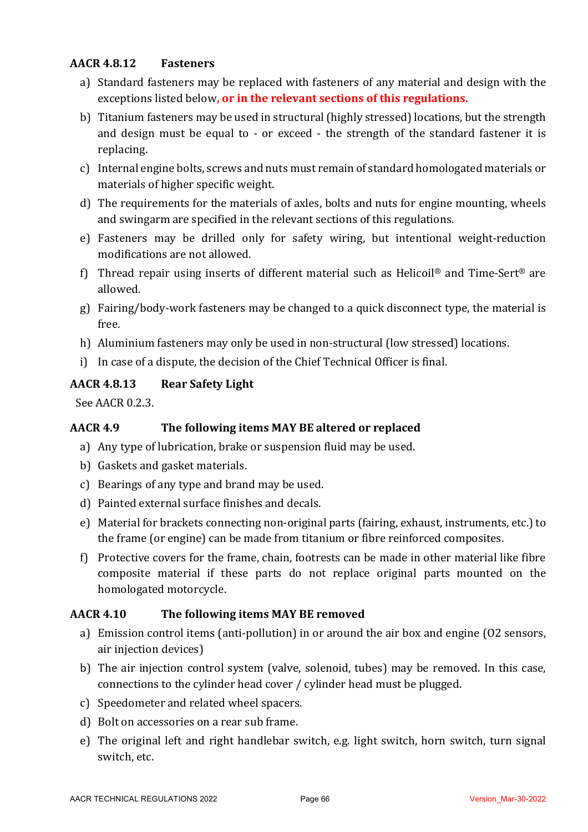### **AACR 4.8.12 Fasteners**

- a) Standard fasteners may be replaced with fasteners of any material and design with the exceptions listed below, or in the relevant sections of this regulations.
- b) Titanium fasteners may be used in structural (highly stressed) locations, but the strength and design must be equal to - or exceed - the strength of the standard fastener it is replacing.
- c) Internal engine bolts, screws and nuts must remain of standard homologated materials or materials of higher specific weight.
- d) The requirements for the materials of axles, bolts and nuts for engine mounting, wheels and swingarm are specified in the relevant sections of this regulations.
- e) Fasteners may be drilled only for safety wiring, but intentional weight-reduction modifications are not allowed.
- f) Thread repair using inserts of different material such as Helicoil<sup>®</sup> and Time-Sert<sup>®</sup> are allowed.
- g) Fairing/body-work fasteners may be changed to a quick disconnect type, the material is free.
- h) Aluminium fasteners may only be used in non-structural (low stressed) locations.
- i) In case of a dispute, the decision of the Chief Technical Officer is final.

# **AACR 4.8.13 Rear Safety Light**

See AACR 0.2.3.

# **AACR 4.9** The following items MAY BE altered or replaced

- a) Any type of lubrication, brake or suspension fluid may be used.
- b) Gaskets and gasket materials.
- c) Bearings of any type and brand may be used.
- d) Painted external surface finishes and decals.
- e) Material for brackets connecting non-original parts (fairing, exhaust, instruments, etc.) to the frame (or engine) can be made from titanium or fibre reinforced composites.
- f) Protective covers for the frame, chain, footrests can be made in other material like fibre composite material if these parts do not replace original parts mounted on the homologated motorcycle.

# **AACR** 4.10 The following items MAY BE removed

- a) Emission control items (anti-pollution) in or around the air box and engine (O2 sensors, air injection devices)
- b) The air injection control system (valve, solenoid, tubes) may be removed. In this case, connections to the cylinder head cover / cylinder head must be plugged.
- c) Speedometer and related wheel spacers.
- d) Bolt on accessories on a rear sub frame.
- e) The original left and right handlebar switch, e.g. light switch, horn switch, turn signal switch, etc.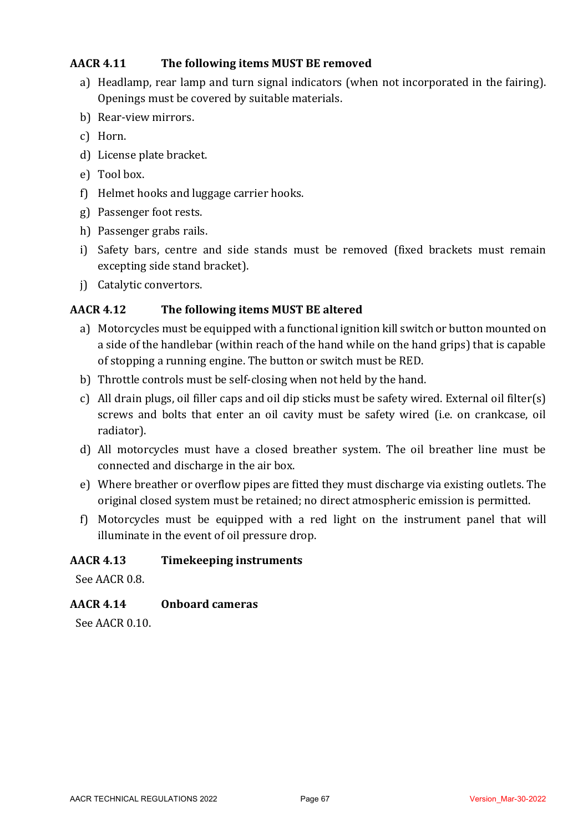### **AACR** 4.11 The following items MUST BE removed

- a) Headlamp, rear lamp and turn signal indicators (when not incorporated in the fairing). Openings must be covered by suitable materials.
- b) Rear-view mirrors.
- c) Horn.
- d) License plate bracket.
- e) Tool box.
- f) Helmet hooks and luggage carrier hooks.
- g) Passenger foot rests.
- h) Passenger grabs rails.
- i) Safety bars, centre and side stands must be removed (fixed brackets must remain excepting side stand bracket).
- j) Catalytic convertors.

#### **AACR** 4.12 **The following items MUST BE altered**

- a) Motorcycles must be equipped with a functional ignition kill switch or button mounted on a side of the handlebar (within reach of the hand while on the hand grips) that is capable of stopping a running engine. The button or switch must be RED.
- b) Throttle controls must be self-closing when not held by the hand.
- c) All drain plugs, oil filler caps and oil dip sticks must be safety wired. External oil filter(s) screws and bolts that enter an oil cavity must be safety wired (i.e. on crankcase, oil radiator).
- d) All motorcycles must have a closed breather system. The oil breather line must be connected and discharge in the air box.
- e) Where breather or overflow pipes are fitted they must discharge via existing outlets. The original closed system must be retained; no direct atmospheric emission is permitted.
- f) Motorcycles must be equipped with a red light on the instrument panel that will illuminate in the event of oil pressure drop.

#### **AACR 4.13 Timekeeping instruments**

See AACR 0.8.

# **AACR 4.14 Onboard cameras**

 $Sep$  AACR  $0.10$ .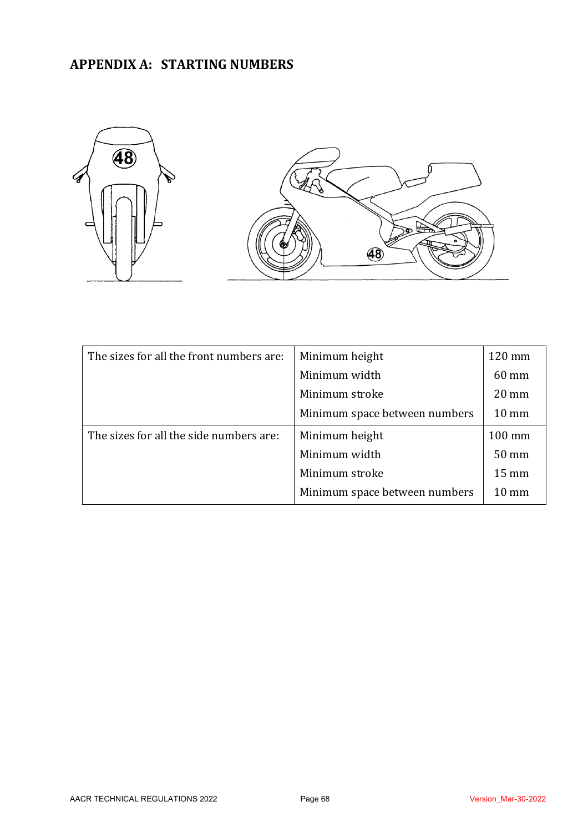# **APPENDIX A: STARTING NUMBERS**



| The sizes for all the front numbers are: | Minimum height                | 120 mm          |
|------------------------------------------|-------------------------------|-----------------|
|                                          | Minimum width                 | 60 mm           |
|                                          | Minimum stroke                | $20 \text{ mm}$ |
|                                          | Minimum space between numbers | $10 \text{ mm}$ |
| The sizes for all the side numbers are:  | Minimum height                | 100 mm          |
|                                          | Minimum width                 | 50 mm           |
|                                          | Minimum stroke                | $15 \text{ mm}$ |
|                                          | Minimum space between numbers | $10 \text{ mm}$ |